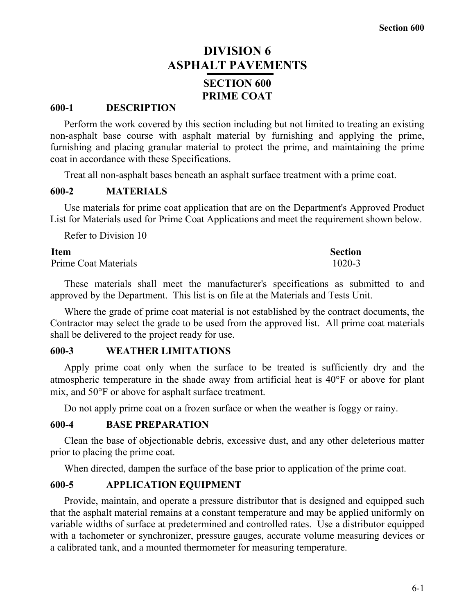# **DIVISION 6 ASPHALT PAVEMENTS SECTION 600 PRIME COAT**

## **600-1 DESCRIPTION**

Perform the work covered by this section including but not limited to treating an existing non-asphalt base course with asphalt material by furnishing and applying the prime, furnishing and placing granular material to protect the prime, and maintaining the prime coat in accordance with these Specifications.

Treat all non-asphalt bases beneath an asphalt surface treatment with a prime coat.

## **600-2 MATERIALS**

Use materials for prime coat application that are on the Department's Approved Product List for Materials used for Prime Coat Applications and meet the requirement shown below.

Refer to Division 10

| <b>Item</b>                 | <b>Section</b> |
|-----------------------------|----------------|
| <b>Prime Coat Materials</b> | 1020-3         |

These materials shall meet the manufacturer's specifications as submitted to and approved by the Department. This list is on file at the Materials and Tests Unit.

Where the grade of prime coat material is not established by the contract documents, the Contractor may select the grade to be used from the approved list. All prime coat materials shall be delivered to the project ready for use.

## **600-3 WEATHER LIMITATIONS**

Apply prime coat only when the surface to be treated is sufficiently dry and the atmospheric temperature in the shade away from artificial heat is 40°F or above for plant mix, and 50°F or above for asphalt surface treatment.

Do not apply prime coat on a frozen surface or when the weather is foggy or rainy.

### **600-4 BASE PREPARATION**

Clean the base of objectionable debris, excessive dust, and any other deleterious matter prior to placing the prime coat.

When directed, dampen the surface of the base prior to application of the prime coat.

## **600-5 APPLICATION EQUIPMENT**

Provide, maintain, and operate a pressure distributor that is designed and equipped such that the asphalt material remains at a constant temperature and may be applied uniformly on variable widths of surface at predetermined and controlled rates. Use a distributor equipped with a tachometer or synchronizer, pressure gauges, accurate volume measuring devices or a calibrated tank, and a mounted thermometer for measuring temperature.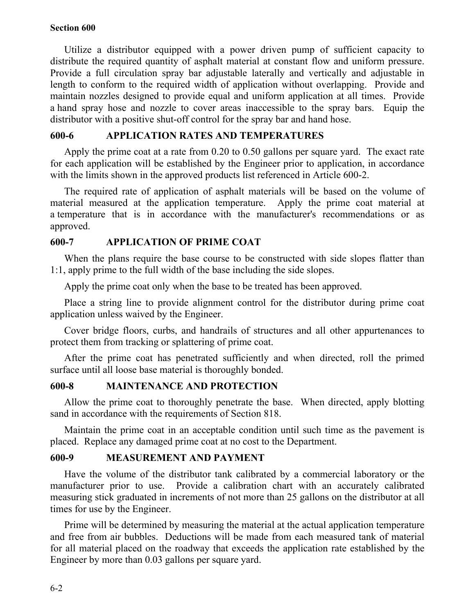## **Section 600**

Utilize a distributor equipped with a power driven pump of sufficient capacity to distribute the required quantity of asphalt material at constant flow and uniform pressure. Provide a full circulation spray bar adjustable laterally and vertically and adjustable in length to conform to the required width of application without overlapping. Provide and maintain nozzles designed to provide equal and uniform application at all times. Provide a hand spray hose and nozzle to cover areas inaccessible to the spray bars. Equip the distributor with a positive shut-off control for the spray bar and hand hose.

# **600-6 APPLICATION RATES AND TEMPERATURES**

Apply the prime coat at a rate from 0.20 to 0.50 gallons per square yard. The exact rate for each application will be established by the Engineer prior to application, in accordance with the limits shown in the approved products list referenced in Article 600-2.

The required rate of application of asphalt materials will be based on the volume of material measured at the application temperature. Apply the prime coat material at a temperature that is in accordance with the manufacturer's recommendations or as approved.

## **600-7 APPLICATION OF PRIME COAT**

When the plans require the base course to be constructed with side slopes flatter than 1:1, apply prime to the full width of the base including the side slopes.

Apply the prime coat only when the base to be treated has been approved.

Place a string line to provide alignment control for the distributor during prime coat application unless waived by the Engineer.

Cover bridge floors, curbs, and handrails of structures and all other appurtenances to protect them from tracking or splattering of prime coat.

After the prime coat has penetrated sufficiently and when directed, roll the primed surface until all loose base material is thoroughly bonded.

## **600-8 MAINTENANCE AND PROTECTION**

Allow the prime coat to thoroughly penetrate the base. When directed, apply blotting sand in accordance with the requirements of Section 818.

Maintain the prime coat in an acceptable condition until such time as the pavement is placed. Replace any damaged prime coat at no cost to the Department.

# **600-9 MEASUREMENT AND PAYMENT**

Have the volume of the distributor tank calibrated by a commercial laboratory or the manufacturer prior to use. Provide a calibration chart with an accurately calibrated measuring stick graduated in increments of not more than 25 gallons on the distributor at all times for use by the Engineer.

Prime will be determined by measuring the material at the actual application temperature and free from air bubbles. Deductions will be made from each measured tank of material for all material placed on the roadway that exceeds the application rate established by the Engineer by more than 0.03 gallons per square yard.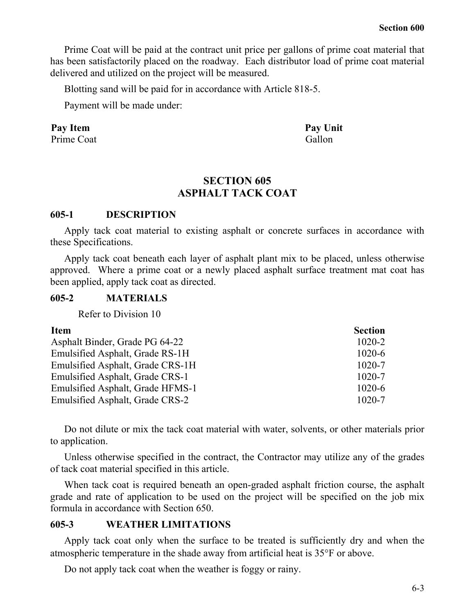Prime Coat will be paid at the contract unit price per gallons of prime coat material that has been satisfactorily placed on the roadway. Each distributor load of prime coat material delivered and utilized on the project will be measured.

Blotting sand will be paid for in accordance with Article 818-5.

Payment will be made under:

# Pay Item Pay Unit

Prime Coat Gallon

# **SECTION 605 ASPHALT TACK COAT**

## **605-1 DESCRIPTION**

Apply tack coat material to existing asphalt or concrete surfaces in accordance with these Specifications.

Apply tack coat beneath each layer of asphalt plant mix to be placed, unless otherwise approved. Where a prime coat or a newly placed asphalt surface treatment mat coat has been applied, apply tack coat as directed.

## **605-2 MATERIALS**

Refer to Division 10

| <b>Item</b>                      | <b>Section</b> |
|----------------------------------|----------------|
| Asphalt Binder, Grade PG 64-22   | $1020 - 2$     |
| Emulsified Asphalt, Grade RS-1H  | $1020 - 6$     |
| Emulsified Asphalt, Grade CRS-1H | $1020 - 7$     |
| Emulsified Asphalt, Grade CRS-1  | $1020 - 7$     |
| Emulsified Asphalt, Grade HFMS-1 | $1020 - 6$     |
| Emulsified Asphalt, Grade CRS-2  | $1020 - 7$     |

Do not dilute or mix the tack coat material with water, solvents, or other materials prior to application.

Unless otherwise specified in the contract, the Contractor may utilize any of the grades of tack coat material specified in this article.

When tack coat is required beneath an open-graded asphalt friction course, the asphalt grade and rate of application to be used on the project will be specified on the job mix formula in accordance with Section 650.

# **605-3 WEATHER LIMITATIONS**

Apply tack coat only when the surface to be treated is sufficiently dry and when the atmospheric temperature in the shade away from artificial heat is 35°F or above.

Do not apply tack coat when the weather is foggy or rainy.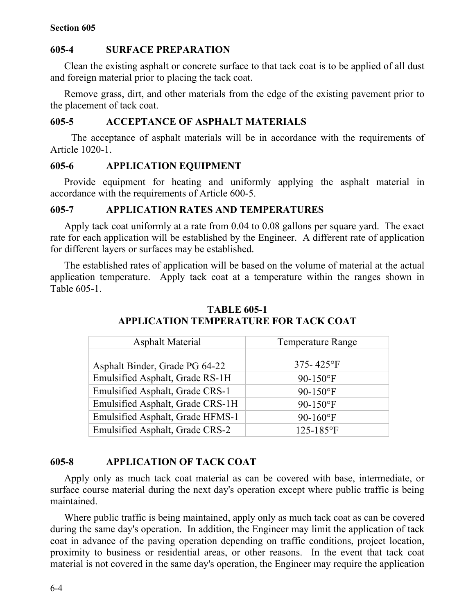## **Section 605**

# **605-4 SURFACE PREPARATION**

Clean the existing asphalt or concrete surface to that tack coat is to be applied of all dust and foreign material prior to placing the tack coat.

Remove grass, dirt, and other materials from the edge of the existing pavement prior to the placement of tack coat.

# **605-5 ACCEPTANCE OF ASPHALT MATERIALS**

The acceptance of asphalt materials will be in accordance with the requirements of Article 1020-1.

# **605-6 APPLICATION EQUIPMENT**

Provide equipment for heating and uniformly applying the asphalt material in accordance with the requirements of Article 600-5.

## **605-7 APPLICATION RATES AND TEMPERATURES**

Apply tack coat uniformly at a rate from 0.04 to 0.08 gallons per square yard. The exact rate for each application will be established by the Engineer. A different rate of application for different layers or surfaces may be established.

The established rates of application will be based on the volume of material at the actual application temperature. Apply tack coat at a temperature within the ranges shown in Table 605-1.

| <b>Asphalt Material</b>          | <b>Temperature Range</b>     |
|----------------------------------|------------------------------|
| Asphalt Binder, Grade PG 64-22   | 375-425 $\mathrm{^{\circ}F}$ |
| Emulsified Asphalt, Grade RS-1H  | $90-150$ °F                  |
| Emulsified Asphalt, Grade CRS-1  | $90-150$ °F                  |
| Emulsified Asphalt, Grade CRS-1H | $90-150$ °F                  |
| Emulsified Asphalt, Grade HFMS-1 | $90 - 160$ °F                |
| Emulsified Asphalt, Grade CRS-2  | 125-185°F                    |

# **TABLE 605-1 APPLICATION TEMPERATURE FOR TACK COAT**

# **605-8 APPLICATION OF TACK COAT**

Apply only as much tack coat material as can be covered with base, intermediate, or surface course material during the next day's operation except where public traffic is being maintained.

Where public traffic is being maintained, apply only as much tack coat as can be covered during the same day's operation. In addition, the Engineer may limit the application of tack coat in advance of the paving operation depending on traffic conditions, project location, proximity to business or residential areas, or other reasons. In the event that tack coat material is not covered in the same day's operation, the Engineer may require the application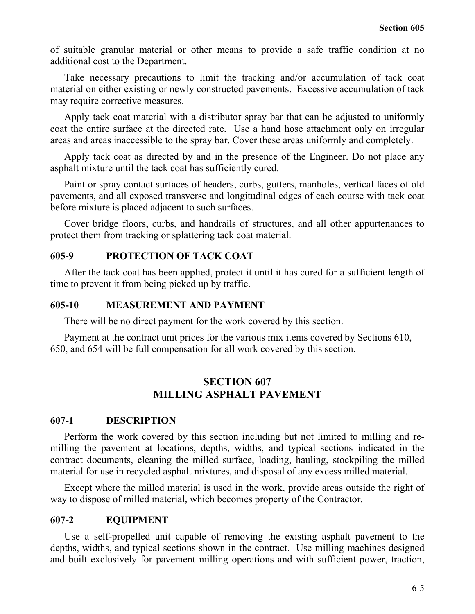of suitable granular material or other means to provide a safe traffic condition at no additional cost to the Department.

Take necessary precautions to limit the tracking and/or accumulation of tack coat material on either existing or newly constructed pavements. Excessive accumulation of tack may require corrective measures.

Apply tack coat material with a distributor spray bar that can be adjusted to uniformly coat the entire surface at the directed rate. Use a hand hose attachment only on irregular areas and areas inaccessible to the spray bar. Cover these areas uniformly and completely.

Apply tack coat as directed by and in the presence of the Engineer. Do not place any asphalt mixture until the tack coat has sufficiently cured.

Paint or spray contact surfaces of headers, curbs, gutters, manholes, vertical faces of old pavements, and all exposed transverse and longitudinal edges of each course with tack coat before mixture is placed adjacent to such surfaces.

Cover bridge floors, curbs, and handrails of structures, and all other appurtenances to protect them from tracking or splattering tack coat material.

# **605-9 PROTECTION OF TACK COAT**

After the tack coat has been applied, protect it until it has cured for a sufficient length of time to prevent it from being picked up by traffic.

# **605-10 MEASUREMENT AND PAYMENT**

There will be no direct payment for the work covered by this section.

Payment at the contract unit prices for the various mix items covered by Sections 610, 650, and 654 will be full compensation for all work covered by this section.

# **SECTION 607 MILLING ASPHALT PAVEMENT**

# **607-1 DESCRIPTION**

Perform the work covered by this section including but not limited to milling and remilling the pavement at locations, depths, widths, and typical sections indicated in the contract documents, cleaning the milled surface, loading, hauling, stockpiling the milled material for use in recycled asphalt mixtures, and disposal of any excess milled material.

Except where the milled material is used in the work, provide areas outside the right of way to dispose of milled material, which becomes property of the Contractor.

# **607-2 EQUIPMENT**

Use a self-propelled unit capable of removing the existing asphalt pavement to the depths, widths, and typical sections shown in the contract. Use milling machines designed and built exclusively for pavement milling operations and with sufficient power, traction,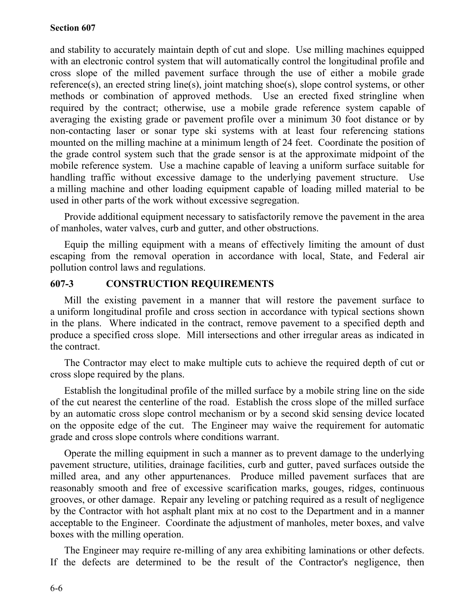## **Section 607**

and stability to accurately maintain depth of cut and slope. Use milling machines equipped with an electronic control system that will automatically control the longitudinal profile and cross slope of the milled pavement surface through the use of either a mobile grade reference(s), an erected string line(s), joint matching shoe(s), slope control systems, or other methods or combination of approved methods. Use an erected fixed stringline when required by the contract; otherwise, use a mobile grade reference system capable of averaging the existing grade or pavement profile over a minimum 30 foot distance or by non-contacting laser or sonar type ski systems with at least four referencing stations mounted on the milling machine at a minimum length of 24 feet. Coordinate the position of the grade control system such that the grade sensor is at the approximate midpoint of the mobile reference system. Use a machine capable of leaving a uniform surface suitable for handling traffic without excessive damage to the underlying pavement structure. Use a milling machine and other loading equipment capable of loading milled material to be used in other parts of the work without excessive segregation.

Provide additional equipment necessary to satisfactorily remove the pavement in the area of manholes, water valves, curb and gutter, and other obstructions.

Equip the milling equipment with a means of effectively limiting the amount of dust escaping from the removal operation in accordance with local, State, and Federal air pollution control laws and regulations.

# **607-3 CONSTRUCTION REQUIREMENTS**

Mill the existing pavement in a manner that will restore the pavement surface to a uniform longitudinal profile and cross section in accordance with typical sections shown in the plans. Where indicated in the contract, remove pavement to a specified depth and produce a specified cross slope. Mill intersections and other irregular areas as indicated in the contract.

The Contractor may elect to make multiple cuts to achieve the required depth of cut or cross slope required by the plans.

Establish the longitudinal profile of the milled surface by a mobile string line on the side of the cut nearest the centerline of the road. Establish the cross slope of the milled surface by an automatic cross slope control mechanism or by a second skid sensing device located on the opposite edge of the cut. The Engineer may waive the requirement for automatic grade and cross slope controls where conditions warrant.

Operate the milling equipment in such a manner as to prevent damage to the underlying pavement structure, utilities, drainage facilities, curb and gutter, paved surfaces outside the milled area, and any other appurtenances. Produce milled pavement surfaces that are reasonably smooth and free of excessive scarification marks, gouges, ridges, continuous grooves, or other damage. Repair any leveling or patching required as a result of negligence by the Contractor with hot asphalt plant mix at no cost to the Department and in a manner acceptable to the Engineer. Coordinate the adjustment of manholes, meter boxes, and valve boxes with the milling operation.

The Engineer may require re-milling of any area exhibiting laminations or other defects. If the defects are determined to be the result of the Contractor's negligence, then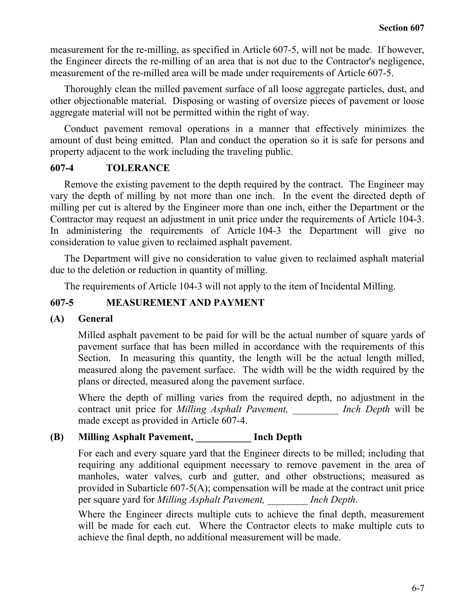measurement for the re-milling, as specified in Article 607-5, will not be made. If however, the Engineer directs the re-milling of an area that is not due to the Contractor's negligence, measurement of the re-milled area will be made under requirements of Article 607-5.

Thoroughly clean the milled pavement surface of all loose aggregate particles, dust, and other objectionable material. Disposing or wasting of oversize pieces of pavement or loose aggregate material will not be permitted within the right of way.

Conduct pavement removal operations in a manner that effectively minimizes the amount of dust being emitted. Plan and conduct the operation so it is safe for persons and property adjacent to the work including the traveling public.

## **607-4 TOLERANCE**

Remove the existing pavement to the depth required by the contract. The Engineer may vary the depth of milling by not more than one inch. In the event the directed depth of milling per cut is altered by the Engineer more than one inch, either the Department or the Contractor may request an adjustment in unit price under the requirements of Article 104-3. In administering the requirements of Article 104-3 the Department will give no consideration to value given to reclaimed asphalt pavement.

The Department will give no consideration to value given to reclaimed asphalt material due to the deletion or reduction in quantity of milling.

The requirements of Article 104-3 will not apply to the item of Incidental Milling.

# **607-5 MEASUREMENT AND PAYMENT**

## **(A) General**

Milled asphalt pavement to be paid for will be the actual number of square yards of pavement surface that has been milled in accordance with the requirements of this Section. In measuring this quantity, the length will be the actual length milled, measured along the pavement surface. The width will be the width required by the plans or directed, measured along the pavement surface.

Where the depth of milling varies from the required depth, no adjustment in the contract unit price for *Milling Asphalt Pavement, \_\_\_\_\_\_\_\_\_ Inch Depth* will be made except as provided in Article 607-4.

# **(B) Milling Asphalt Pavement, \_\_\_\_\_\_\_\_\_\_\_ Inch Depth**

For each and every square yard that the Engineer directs to be milled; including that requiring any additional equipment necessary to remove pavement in the area of manholes, water valves, curb and gutter, and other obstructions; measured as provided in Subarticle 607-5(A); compensation will be made at the contract unit price per square yard for *Milling Asphalt Pavement, \_\_\_\_\_\_\_\_ Inch Depth*.

Where the Engineer directs multiple cuts to achieve the final depth, measurement will be made for each cut. Where the Contractor elects to make multiple cuts to achieve the final depth, no additional measurement will be made.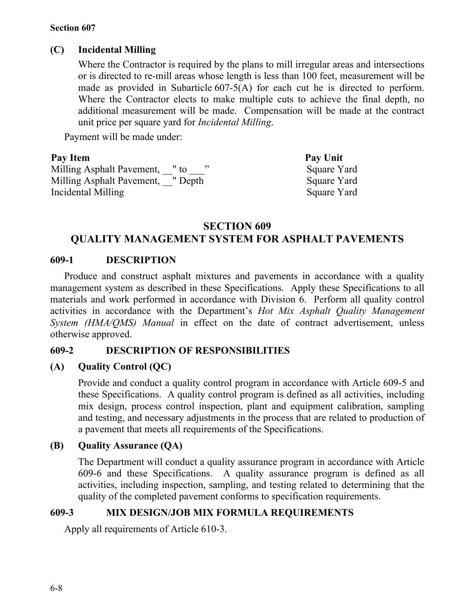## **Section 607**

# **(C) Incidental Milling**

Where the Contractor is required by the plans to mill irregular areas and intersections or is directed to re-mill areas whose length is less than 100 feet, measurement will be made as provided in Subarticle 607-5(A) for each cut he is directed to perform. Where the Contractor elects to make multiple cuts to achieve the final depth, no additional measurement will be made. Compensation will be made at the contract unit price per square yard for *Incidental Milling*.

Payment will be made under:

| Pay Item                             | Pay Unit    |
|--------------------------------------|-------------|
| Milling Asphalt Pavement,<br>$"$ to  | Square Yard |
| Milling Asphalt Pavement,<br>" Depth | Square Yard |
| Incidental Milling                   | Square Yard |

# **SECTION 609**

# **QUALITY MANAGEMENT SYSTEM FOR ASPHALT PAVEMENTS**

## **609-1 DESCRIPTION**

Produce and construct asphalt mixtures and pavements in accordance with a quality management system as described in these Specifications. Apply these Specifications to all materials and work performed in accordance with Division 6. Perform all quality control activities in accordance with the Department's *Hot Mix Asphalt Quality Management System (HMA/QMS) Manual* in effect on the date of contract advertisement, unless otherwise approved.

# **609-2 DESCRIPTION OF RESPONSIBILITIES**

# **(A) Quality Control (QC)**

Provide and conduct a quality control program in accordance with Article 609-5 and these Specifications. A quality control program is defined as all activities, including mix design, process control inspection, plant and equipment calibration, sampling and testing, and necessary adjustments in the process that are related to production of a pavement that meets all requirements of the Specifications.

# **(B) Quality Assurance (QA)**

The Department will conduct a quality assurance program in accordance with Article 609-6 and these Specifications. A quality assurance program is defined as all activities, including inspection, sampling, and testing related to determining that the quality of the completed pavement conforms to specification requirements.

# **609-3 MIX DESIGN/JOB MIX FORMULA REQUIREMENTS**

Apply all requirements of Article 610-3.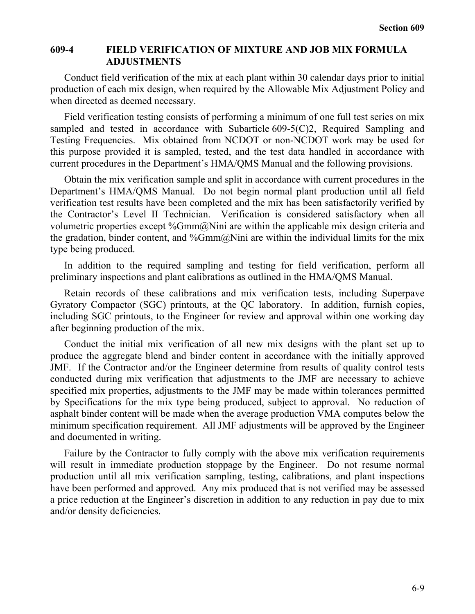## **609-4 FIELD VERIFICATION OF MIXTURE AND JOB MIX FORMULA ADJUSTMENTS**

Conduct field verification of the mix at each plant within 30 calendar days prior to initial production of each mix design, when required by the Allowable Mix Adjustment Policy and when directed as deemed necessary.

Field verification testing consists of performing a minimum of one full test series on mix sampled and tested in accordance with Subarticle 609-5(C)2, Required Sampling and Testing Frequencies. Mix obtained from NCDOT or non-NCDOT work may be used for this purpose provided it is sampled, tested, and the test data handled in accordance with current procedures in the Department's HMA/QMS Manual and the following provisions.

Obtain the mix verification sample and split in accordance with current procedures in the Department's HMA/QMS Manual. Do not begin normal plant production until all field verification test results have been completed and the mix has been satisfactorily verified by the Contractor's Level II Technician. Verification is considered satisfactory when all volumetric properties except %Gmm@Nini are within the applicable mix design criteria and the gradation, binder content, and  $\%Gmm@Nini$  are within the individual limits for the mix type being produced.

In addition to the required sampling and testing for field verification, perform all preliminary inspections and plant calibrations as outlined in the HMA/QMS Manual.

Retain records of these calibrations and mix verification tests, including Superpave Gyratory Compactor (SGC) printouts, at the QC laboratory. In addition, furnish copies, including SGC printouts, to the Engineer for review and approval within one working day after beginning production of the mix.

Conduct the initial mix verification of all new mix designs with the plant set up to produce the aggregate blend and binder content in accordance with the initially approved JMF. If the Contractor and/or the Engineer determine from results of quality control tests conducted during mix verification that adjustments to the JMF are necessary to achieve specified mix properties, adjustments to the JMF may be made within tolerances permitted by Specifications for the mix type being produced, subject to approval. No reduction of asphalt binder content will be made when the average production VMA computes below the minimum specification requirement. All JMF adjustments will be approved by the Engineer and documented in writing.

Failure by the Contractor to fully comply with the above mix verification requirements will result in immediate production stoppage by the Engineer. Do not resume normal production until all mix verification sampling, testing, calibrations, and plant inspections have been performed and approved. Any mix produced that is not verified may be assessed a price reduction at the Engineer's discretion in addition to any reduction in pay due to mix and/or density deficiencies.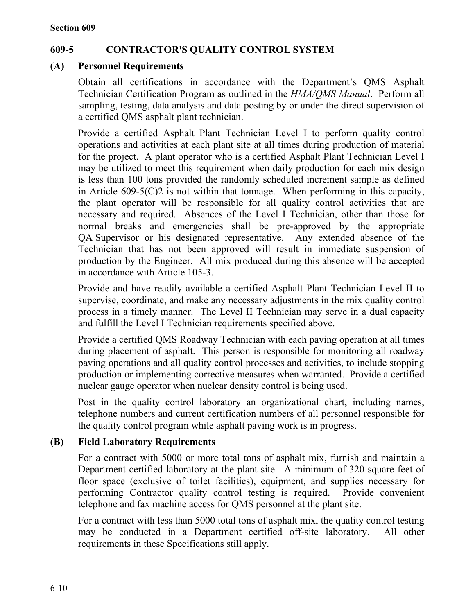# **609-5 CONTRACTOR'S QUALITY CONTROL SYSTEM**

# **(A) Personnel Requirements**

Obtain all certifications in accordance with the Department's QMS Asphalt Technician Certification Program as outlined in the *HMA/QMS Manual*. Perform all sampling, testing, data analysis and data posting by or under the direct supervision of a certified QMS asphalt plant technician.

Provide a certified Asphalt Plant Technician Level I to perform quality control operations and activities at each plant site at all times during production of material for the project. A plant operator who is a certified Asphalt Plant Technician Level I may be utilized to meet this requirement when daily production for each mix design is less than 100 tons provided the randomly scheduled increment sample as defined in Article 609-5(C)2 is not within that tonnage. When performing in this capacity, the plant operator will be responsible for all quality control activities that are necessary and required. Absences of the Level I Technician, other than those for normal breaks and emergencies shall be pre-approved by the appropriate QA Supervisor or his designated representative. Any extended absence of the Technician that has not been approved will result in immediate suspension of production by the Engineer. All mix produced during this absence will be accepted in accordance with Article 105-3.

Provide and have readily available a certified Asphalt Plant Technician Level II to supervise, coordinate, and make any necessary adjustments in the mix quality control process in a timely manner. The Level II Technician may serve in a dual capacity and fulfill the Level I Technician requirements specified above.

Provide a certified QMS Roadway Technician with each paving operation at all times during placement of asphalt. This person is responsible for monitoring all roadway paving operations and all quality control processes and activities, to include stopping production or implementing corrective measures when warranted. Provide a certified nuclear gauge operator when nuclear density control is being used.

Post in the quality control laboratory an organizational chart, including names, telephone numbers and current certification numbers of all personnel responsible for the quality control program while asphalt paving work is in progress.

# **(B) Field Laboratory Requirements**

For a contract with 5000 or more total tons of asphalt mix, furnish and maintain a Department certified laboratory at the plant site. A minimum of 320 square feet of floor space (exclusive of toilet facilities), equipment, and supplies necessary for performing Contractor quality control testing is required. Provide convenient telephone and fax machine access for QMS personnel at the plant site.

For a contract with less than 5000 total tons of asphalt mix, the quality control testing may be conducted in a Department certified off-site laboratory. All other requirements in these Specifications still apply.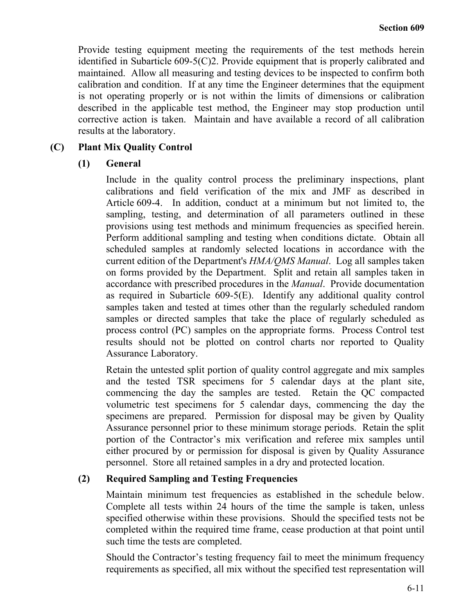Provide testing equipment meeting the requirements of the test methods herein identified in Subarticle 609-5(C)2. Provide equipment that is properly calibrated and maintained. Allow all measuring and testing devices to be inspected to confirm both calibration and condition. If at any time the Engineer determines that the equipment is not operating properly or is not within the limits of dimensions or calibration described in the applicable test method, the Engineer may stop production until corrective action is taken. Maintain and have available a record of all calibration results at the laboratory.

# **(C) Plant Mix Quality Control**

## **(1) General**

Include in the quality control process the preliminary inspections, plant calibrations and field verification of the mix and JMF as described in Article 609-4. In addition, conduct at a minimum but not limited to, the sampling, testing, and determination of all parameters outlined in these provisions using test methods and minimum frequencies as specified herein. Perform additional sampling and testing when conditions dictate. Obtain all scheduled samples at randomly selected locations in accordance with the current edition of the Department's *HMA/QMS Manual*. Log all samples taken on forms provided by the Department. Split and retain all samples taken in accordance with prescribed procedures in the *Manual*. Provide documentation as required in Subarticle 609-5(E). Identify any additional quality control samples taken and tested at times other than the regularly scheduled random samples or directed samples that take the place of regularly scheduled as process control (PC) samples on the appropriate forms. Process Control test results should not be plotted on control charts nor reported to Quality Assurance Laboratory.

Retain the untested split portion of quality control aggregate and mix samples and the tested TSR specimens for 5 calendar days at the plant site, commencing the day the samples are tested. Retain the QC compacted volumetric test specimens for 5 calendar days, commencing the day the specimens are prepared. Permission for disposal may be given by Quality Assurance personnel prior to these minimum storage periods. Retain the split portion of the Contractor's mix verification and referee mix samples until either procured by or permission for disposal is given by Quality Assurance personnel. Store all retained samples in a dry and protected location.

## **(2) Required Sampling and Testing Frequencies**

Maintain minimum test frequencies as established in the schedule below. Complete all tests within 24 hours of the time the sample is taken, unless specified otherwise within these provisions. Should the specified tests not be completed within the required time frame, cease production at that point until such time the tests are completed.

Should the Contractor's testing frequency fail to meet the minimum frequency requirements as specified, all mix without the specified test representation will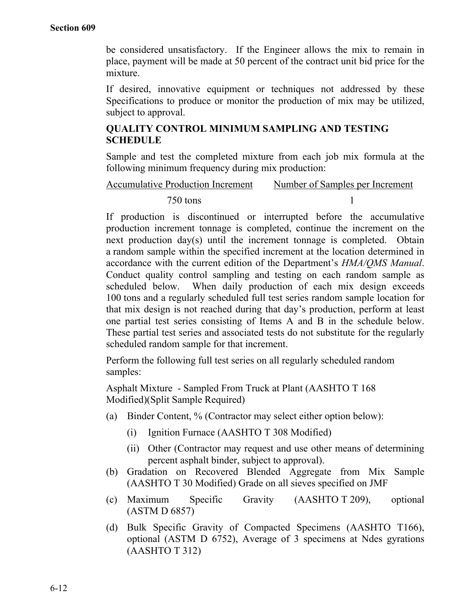be considered unsatisfactory. If the Engineer allows the mix to remain in place, payment will be made at 50 percent of the contract unit bid price for the mixture.

If desired, innovative equipment or techniques not addressed by these Specifications to produce or monitor the production of mix may be utilized, subject to approval.

# **QUALITY CONTROL MINIMUM SAMPLING AND TESTING SCHEDULE**

Sample and test the completed mixture from each job mix formula at the following minimum frequency during mix production:

# Accumulative Production Increment Number of Samples per Increment

# 750 tons 1

If production is discontinued or interrupted before the accumulative production increment tonnage is completed, continue the increment on the next production day(s) until the increment tonnage is completed. Obtain a random sample within the specified increment at the location determined in accordance with the current edition of the Department's *HMA/QMS Manual*. Conduct quality control sampling and testing on each random sample as scheduled below. When daily production of each mix design exceeds 100 tons and a regularly scheduled full test series random sample location for that mix design is not reached during that day's production, perform at least one partial test series consisting of Items A and B in the schedule below. These partial test series and associated tests do not substitute for the regularly scheduled random sample for that increment.

Perform the following full test series on all regularly scheduled random samples:

Asphalt Mixture - Sampled From Truck at Plant (AASHTO T 168 Modified)(Split Sample Required)

- (a) Binder Content, % (Contractor may select either option below):
	- (i) Ignition Furnace (AASHTO T 308 Modified)
	- (ii) Other (Contractor may request and use other means of determining percent asphalt binder, subject to approval).
- (b) Gradation on Recovered Blended Aggregate from Mix Sample (AASHTO T 30 Modified) Grade on all sieves specified on JMF
- (c) Maximum Specific Gravity (AASHTO T 209), optional (ASTM D 6857)
- (d) Bulk Specific Gravity of Compacted Specimens (AASHTO T166), optional (ASTM D 6752), Average of 3 specimens at Ndes gyrations (AASHTO T 312)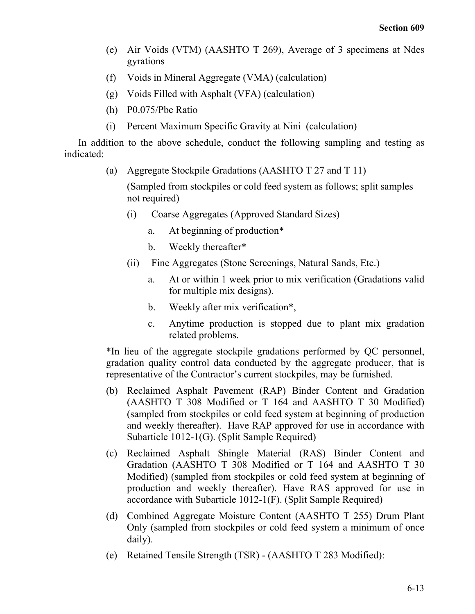- (e) Air Voids (VTM) (AASHTO T 269), Average of 3 specimens at Ndes gyrations
- (f) Voids in Mineral Aggregate (VMA) (calculation)
- (g) Voids Filled with Asphalt (VFA) (calculation)
- (h) P0.075/Pbe Ratio
- (i) Percent Maximum Specific Gravity at Nini (calculation)

In addition to the above schedule, conduct the following sampling and testing as indicated:

(a) Aggregate Stockpile Gradations (AASHTO T 27 and T 11)

(Sampled from stockpiles or cold feed system as follows; split samples not required)

- (i) Coarse Aggregates (Approved Standard Sizes)
	- a. At beginning of production\*
	- b. Weekly thereafter\*
- (ii) Fine Aggregates (Stone Screenings, Natural Sands, Etc.)
	- a. At or within 1 week prior to mix verification (Gradations valid for multiple mix designs).
	- b. Weekly after mix verification\*,
	- c. Anytime production is stopped due to plant mix gradation related problems.

\*In lieu of the aggregate stockpile gradations performed by QC personnel, gradation quality control data conducted by the aggregate producer, that is representative of the Contractor's current stockpiles, may be furnished.

- (b) Reclaimed Asphalt Pavement (RAP) Binder Content and Gradation (AASHTO T 308 Modified or T 164 and AASHTO T 30 Modified) (sampled from stockpiles or cold feed system at beginning of production and weekly thereafter). Have RAP approved for use in accordance with Subarticle 1012-1(G). (Split Sample Required)
- (c) Reclaimed Asphalt Shingle Material (RAS) Binder Content and Gradation (AASHTO T 308 Modified or T 164 and AASHTO T 30 Modified) (sampled from stockpiles or cold feed system at beginning of production and weekly thereafter). Have RAS approved for use in accordance with Subarticle 1012-1(F). (Split Sample Required)
- (d) Combined Aggregate Moisture Content (AASHTO T 255) Drum Plant Only (sampled from stockpiles or cold feed system a minimum of once daily).
- (e) Retained Tensile Strength (TSR) (AASHTO T 283 Modified):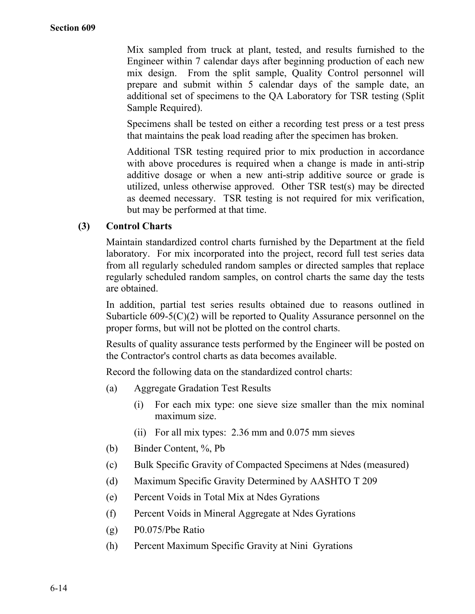Mix sampled from truck at plant, tested, and results furnished to the Engineer within 7 calendar days after beginning production of each new mix design. From the split sample, Quality Control personnel will prepare and submit within 5 calendar days of the sample date, an additional set of specimens to the QA Laboratory for TSR testing (Split Sample Required).

Specimens shall be tested on either a recording test press or a test press that maintains the peak load reading after the specimen has broken.

Additional TSR testing required prior to mix production in accordance with above procedures is required when a change is made in anti-strip additive dosage or when a new anti-strip additive source or grade is utilized, unless otherwise approved. Other TSR test(s) may be directed as deemed necessary. TSR testing is not required for mix verification, but may be performed at that time.

## **(3) Control Charts**

Maintain standardized control charts furnished by the Department at the field laboratory. For mix incorporated into the project, record full test series data from all regularly scheduled random samples or directed samples that replace regularly scheduled random samples, on control charts the same day the tests are obtained.

In addition, partial test series results obtained due to reasons outlined in Subarticle 609-5(C)(2) will be reported to Quality Assurance personnel on the proper forms, but will not be plotted on the control charts.

Results of quality assurance tests performed by the Engineer will be posted on the Contractor's control charts as data becomes available.

Record the following data on the standardized control charts:

- (a) Aggregate Gradation Test Results
	- (i) For each mix type: one sieve size smaller than the mix nominal maximum size.
	- (ii) For all mix types: 2.36 mm and 0.075 mm sieves
- (b) Binder Content, %, Pb
- (c) Bulk Specific Gravity of Compacted Specimens at Ndes (measured)
- (d) Maximum Specific Gravity Determined by AASHTO T 209
- (e) Percent Voids in Total Mix at Ndes Gyrations
- (f) Percent Voids in Mineral Aggregate at Ndes Gyrations
- (g) P0.075/Pbe Ratio
- (h) Percent Maximum Specific Gravity at Nini Gyrations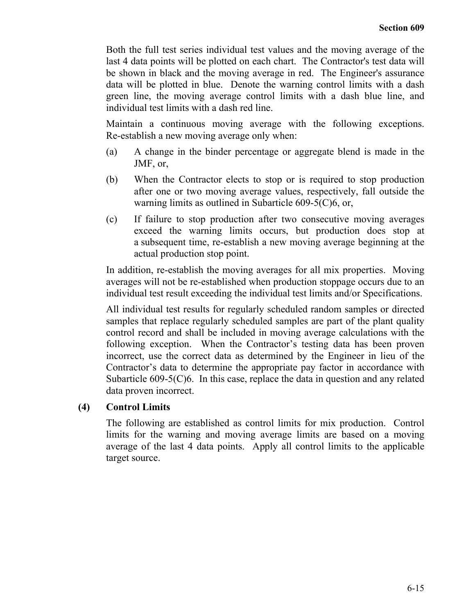Both the full test series individual test values and the moving average of the last 4 data points will be plotted on each chart. The Contractor's test data will be shown in black and the moving average in red. The Engineer's assurance data will be plotted in blue. Denote the warning control limits with a dash green line, the moving average control limits with a dash blue line, and individual test limits with a dash red line.

Maintain a continuous moving average with the following exceptions. Re-establish a new moving average only when:

- (a) A change in the binder percentage or aggregate blend is made in the JMF, or,
- (b) When the Contractor elects to stop or is required to stop production after one or two moving average values, respectively, fall outside the warning limits as outlined in Subarticle 609-5(C)6, or,
- (c) If failure to stop production after two consecutive moving averages exceed the warning limits occurs, but production does stop at a subsequent time, re-establish a new moving average beginning at the actual production stop point.

In addition, re-establish the moving averages for all mix properties. Moving averages will not be re-established when production stoppage occurs due to an individual test result exceeding the individual test limits and/or Specifications.

All individual test results for regularly scheduled random samples or directed samples that replace regularly scheduled samples are part of the plant quality control record and shall be included in moving average calculations with the following exception. When the Contractor's testing data has been proven incorrect, use the correct data as determined by the Engineer in lieu of the Contractor's data to determine the appropriate pay factor in accordance with Subarticle 609-5(C)6. In this case, replace the data in question and any related data proven incorrect.

# **(4) Control Limits**

The following are established as control limits for mix production. Control limits for the warning and moving average limits are based on a moving average of the last 4 data points. Apply all control limits to the applicable target source.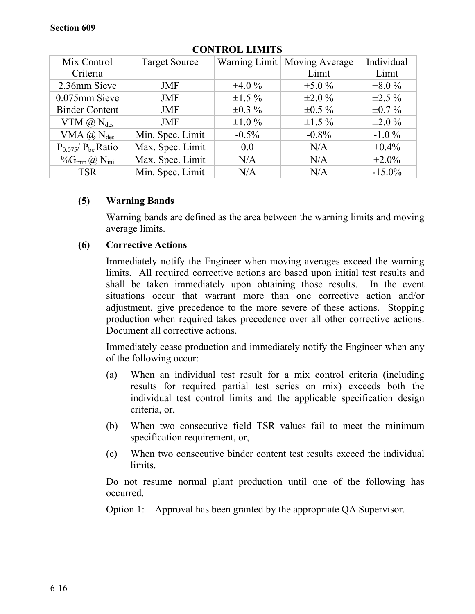| Mix Control                          | <b>Target Source</b> |              | Warning Limit   Moving Average | Individual   |
|--------------------------------------|----------------------|--------------|--------------------------------|--------------|
| Criteria                             |                      |              | Limit                          | Limit        |
| 2.36mm Sieve                         | <b>JMF</b>           | $\pm 4.0 \%$ | $\pm 5.0 \%$                   | $\pm 8.0 \%$ |
| 0.075mm Sieve                        | <b>JMF</b>           | $\pm 1.5 \%$ | $\pm 2.0 \%$                   | $\pm 2.5 \%$ |
| <b>Binder Content</b>                | <b>JMF</b>           | $\pm 0.3 \%$ | $\pm 0.5 \%$                   | $\pm 0.7 \%$ |
| VTM $(\widehat{a})$ N <sub>des</sub> | <b>JMF</b>           | $\pm 1.0 \%$ | $\pm 1.5 \%$                   | $\pm 2.0 \%$ |
| VMA $(\widehat{a})$ N <sub>des</sub> | Min. Spec. Limit     | $-0.5\%$     | $-0.8\%$                       | $-1.0\%$     |
| $P_{0.075}/P_{be}$ Ratio             | Max. Spec. Limit     | 0.0          | N/A                            | $+0.4\%$     |
| $\%G_{mm}(\partial N)_{\text{ini}}$  | Max. Spec. Limit     | N/A          | N/A                            | $+2.0\%$     |
| <b>TSR</b>                           | Min. Spec. Limit     | N/A          | N/A                            | $-15.0\%$    |

# **CONTROL LIMITS**

# **(5) Warning Bands**

Warning bands are defined as the area between the warning limits and moving average limits.

# **(6) Corrective Actions**

Immediately notify the Engineer when moving averages exceed the warning limits. All required corrective actions are based upon initial test results and shall be taken immediately upon obtaining those results. In the event situations occur that warrant more than one corrective action and/or adjustment, give precedence to the more severe of these actions. Stopping production when required takes precedence over all other corrective actions. Document all corrective actions.

Immediately cease production and immediately notify the Engineer when any of the following occur:

- (a) When an individual test result for a mix control criteria (including results for required partial test series on mix) exceeds both the individual test control limits and the applicable specification design criteria, or,
- (b) When two consecutive field TSR values fail to meet the minimum specification requirement, or,
- (c) When two consecutive binder content test results exceed the individual limits.

Do not resume normal plant production until one of the following has occurred.

Option 1: Approval has been granted by the appropriate QA Supervisor.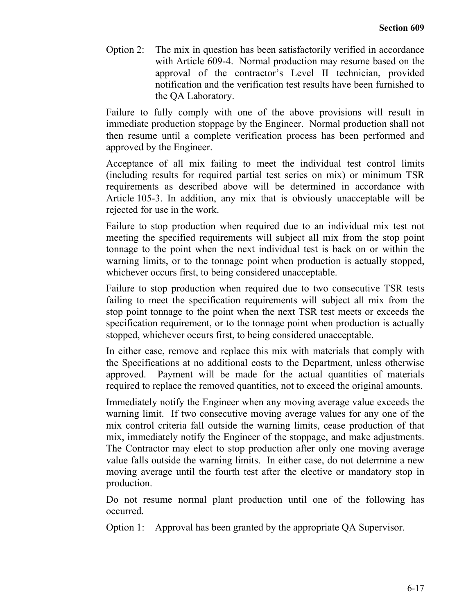Option 2: The mix in question has been satisfactorily verified in accordance with Article 609-4. Normal production may resume based on the approval of the contractor's Level II technician, provided notification and the verification test results have been furnished to the QA Laboratory.

Failure to fully comply with one of the above provisions will result in immediate production stoppage by the Engineer. Normal production shall not then resume until a complete verification process has been performed and approved by the Engineer.

Acceptance of all mix failing to meet the individual test control limits (including results for required partial test series on mix) or minimum TSR requirements as described above will be determined in accordance with Article 105-3. In addition, any mix that is obviously unacceptable will be rejected for use in the work.

Failure to stop production when required due to an individual mix test not meeting the specified requirements will subject all mix from the stop point tonnage to the point when the next individual test is back on or within the warning limits, or to the tonnage point when production is actually stopped, whichever occurs first, to being considered unacceptable.

Failure to stop production when required due to two consecutive TSR tests failing to meet the specification requirements will subject all mix from the stop point tonnage to the point when the next TSR test meets or exceeds the specification requirement, or to the tonnage point when production is actually stopped, whichever occurs first, to being considered unacceptable.

In either case, remove and replace this mix with materials that comply with the Specifications at no additional costs to the Department, unless otherwise approved. Payment will be made for the actual quantities of materials required to replace the removed quantities, not to exceed the original amounts.

Immediately notify the Engineer when any moving average value exceeds the warning limit. If two consecutive moving average values for any one of the mix control criteria fall outside the warning limits, cease production of that mix, immediately notify the Engineer of the stoppage, and make adjustments. The Contractor may elect to stop production after only one moving average value falls outside the warning limits. In either case, do not determine a new moving average until the fourth test after the elective or mandatory stop in production.

Do not resume normal plant production until one of the following has occurred.

Option 1: Approval has been granted by the appropriate QA Supervisor.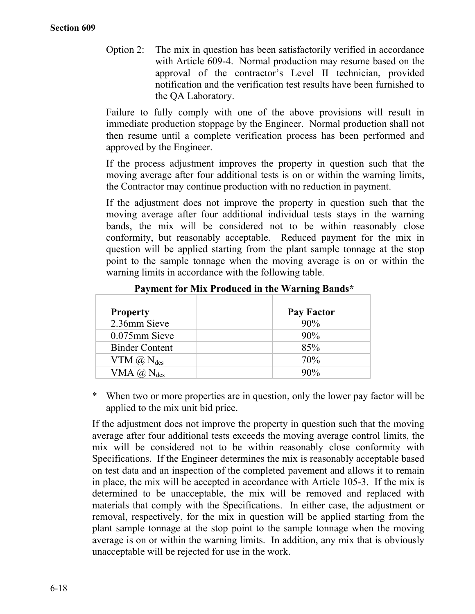Option 2: The mix in question has been satisfactorily verified in accordance with Article 609-4. Normal production may resume based on the approval of the contractor's Level II technician, provided notification and the verification test results have been furnished to the QA Laboratory.

Failure to fully comply with one of the above provisions will result in immediate production stoppage by the Engineer. Normal production shall not then resume until a complete verification process has been performed and approved by the Engineer.

If the process adjustment improves the property in question such that the moving average after four additional tests is on or within the warning limits, the Contractor may continue production with no reduction in payment.

If the adjustment does not improve the property in question such that the moving average after four additional individual tests stays in the warning bands, the mix will be considered not to be within reasonably close conformity, but reasonably acceptable. Reduced payment for the mix in question will be applied starting from the plant sample tonnage at the stop point to the sample tonnage when the moving average is on or within the warning limits in accordance with the following table.

| <b>Property</b><br>2.36mm Sieve      | <b>Pay Factor</b><br>90% |
|--------------------------------------|--------------------------|
| $0.075$ mm Sieve                     | 90%                      |
| <b>Binder Content</b>                | 85%                      |
| VTM $(\widehat{a})$ N <sub>des</sub> | 70%                      |
| VMA $(\widehat{a})$ N <sub>des</sub> | 90%                      |

## **Payment for Mix Produced in the Warning Bands\***

When two or more properties are in question, only the lower pay factor will be applied to the mix unit bid price.

If the adjustment does not improve the property in question such that the moving average after four additional tests exceeds the moving average control limits, the mix will be considered not to be within reasonably close conformity with Specifications. If the Engineer determines the mix is reasonably acceptable based on test data and an inspection of the completed pavement and allows it to remain in place, the mix will be accepted in accordance with Article 105-3. If the mix is determined to be unacceptable, the mix will be removed and replaced with materials that comply with the Specifications. In either case, the adjustment or removal, respectively, for the mix in question will be applied starting from the plant sample tonnage at the stop point to the sample tonnage when the moving average is on or within the warning limits. In addition, any mix that is obviously unacceptable will be rejected for use in the work.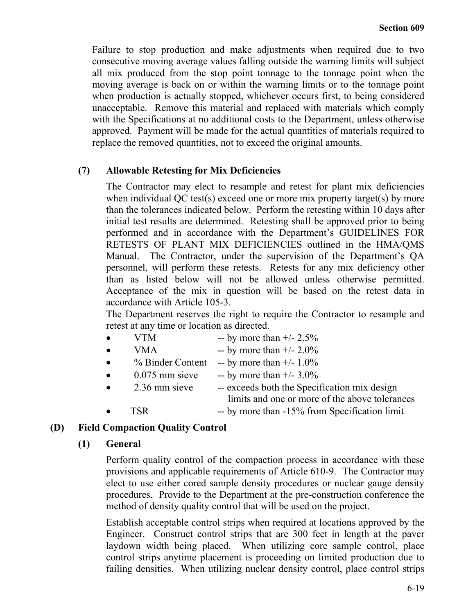Failure to stop production and make adjustments when required due to two consecutive moving average values falling outside the warning limits will subject all mix produced from the stop point tonnage to the tonnage point when the moving average is back on or within the warning limits or to the tonnage point when production is actually stopped, whichever occurs first, to being considered unacceptable. Remove this material and replaced with materials which comply with the Specifications at no additional costs to the Department, unless otherwise approved. Payment will be made for the actual quantities of materials required to replace the removed quantities, not to exceed the original amounts.

## **(7) Allowable Retesting for Mix Deficiencies**

The Contractor may elect to resample and retest for plant mix deficiencies when individual OC test(s) exceed one or more mix property target(s) by more than the tolerances indicated below. Perform the retesting within 10 days after initial test results are determined. Retesting shall be approved prior to being performed and in accordance with the Department's GUIDELINES FOR RETESTS OF PLANT MIX DEFICIENCIES outlined in the HMA/QMS Manual. The Contractor, under the supervision of the Department's QA personnel, will perform these retests. Retests for any mix deficiency other than as listed below will not be allowed unless otherwise permitted. Acceptance of the mix in question will be based on the retest data in accordance with Article 105-3.

The Department reserves the right to require the Contractor to resample and retest at any time or location as directed.

- VTM -- by more than  $+/- 2.5\%$
- VMA -- by more than  $+/- 2.0\%$
- $%$  Binder Content -- by more than  $+/- 1.0\%$
- 0.075 mm sieve -- by more than  $+/- 3.0\%$
- 2.36 mm sieve -- exceeds both the Specification mix design limits and one or more of the above tolerances
	- TSR -- by more than -15% from Specification limit

# **(D) Field Compaction Quality Control**

### **(1) General**

Perform quality control of the compaction process in accordance with these provisions and applicable requirements of Article 610-9. The Contractor may elect to use either cored sample density procedures or nuclear gauge density procedures. Provide to the Department at the pre-construction conference the method of density quality control that will be used on the project.

Establish acceptable control strips when required at locations approved by the Engineer. Construct control strips that are 300 feet in length at the paver laydown width being placed. When utilizing core sample control, place control strips anytime placement is proceeding on limited production due to failing densities. When utilizing nuclear density control, place control strips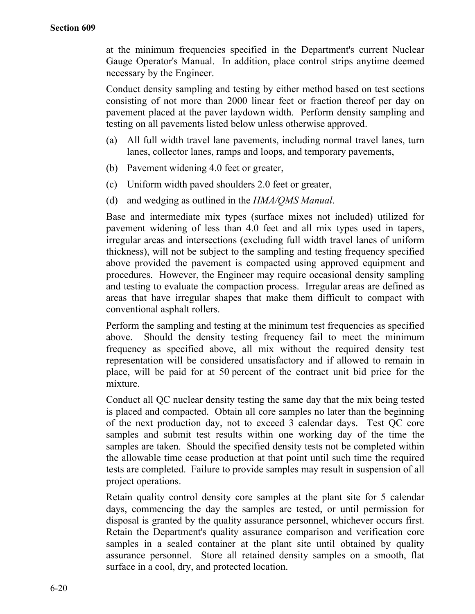at the minimum frequencies specified in the Department's current Nuclear Gauge Operator's Manual. In addition, place control strips anytime deemed necessary by the Engineer.

Conduct density sampling and testing by either method based on test sections consisting of not more than 2000 linear feet or fraction thereof per day on pavement placed at the paver laydown width. Perform density sampling and testing on all pavements listed below unless otherwise approved.

- (a) All full width travel lane pavements, including normal travel lanes, turn lanes, collector lanes, ramps and loops, and temporary pavements,
- (b) Pavement widening 4.0 feet or greater,
- (c) Uniform width paved shoulders 2.0 feet or greater,
- (d) and wedging as outlined in the *HMA/QMS Manual*.

Base and intermediate mix types (surface mixes not included) utilized for pavement widening of less than 4.0 feet and all mix types used in tapers, irregular areas and intersections (excluding full width travel lanes of uniform thickness), will not be subject to the sampling and testing frequency specified above provided the pavement is compacted using approved equipment and procedures. However, the Engineer may require occasional density sampling and testing to evaluate the compaction process. Irregular areas are defined as areas that have irregular shapes that make them difficult to compact with conventional asphalt rollers.

Perform the sampling and testing at the minimum test frequencies as specified above. Should the density testing frequency fail to meet the minimum frequency as specified above, all mix without the required density test representation will be considered unsatisfactory and if allowed to remain in place, will be paid for at 50 percent of the contract unit bid price for the mixture.

Conduct all QC nuclear density testing the same day that the mix being tested is placed and compacted. Obtain all core samples no later than the beginning of the next production day, not to exceed 3 calendar days. Test QC core samples and submit test results within one working day of the time the samples are taken. Should the specified density tests not be completed within the allowable time cease production at that point until such time the required tests are completed. Failure to provide samples may result in suspension of all project operations.

Retain quality control density core samples at the plant site for 5 calendar days, commencing the day the samples are tested, or until permission for disposal is granted by the quality assurance personnel, whichever occurs first. Retain the Department's quality assurance comparison and verification core samples in a sealed container at the plant site until obtained by quality assurance personnel. Store all retained density samples on a smooth, flat surface in a cool, dry, and protected location.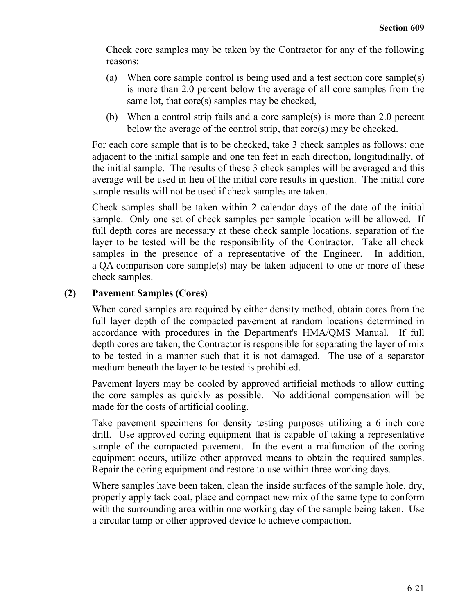Check core samples may be taken by the Contractor for any of the following reasons:

- (a) When core sample control is being used and a test section core sample(s) is more than 2.0 percent below the average of all core samples from the same lot, that core(s) samples may be checked,
- (b) When a control strip fails and a core sample(s) is more than 2.0 percent below the average of the control strip, that core(s) may be checked.

For each core sample that is to be checked, take 3 check samples as follows: one adjacent to the initial sample and one ten feet in each direction, longitudinally, of the initial sample. The results of these 3 check samples will be averaged and this average will be used in lieu of the initial core results in question. The initial core sample results will not be used if check samples are taken.

Check samples shall be taken within 2 calendar days of the date of the initial sample. Only one set of check samples per sample location will be allowed. If full depth cores are necessary at these check sample locations, separation of the layer to be tested will be the responsibility of the Contractor. Take all check samples in the presence of a representative of the Engineer. In addition, a QA comparison core sample(s) may be taken adjacent to one or more of these check samples.

# **(2) Pavement Samples (Cores)**

When cored samples are required by either density method, obtain cores from the full layer depth of the compacted pavement at random locations determined in accordance with procedures in the Department's HMA/QMS Manual. If full depth cores are taken, the Contractor is responsible for separating the layer of mix to be tested in a manner such that it is not damaged. The use of a separator medium beneath the layer to be tested is prohibited.

Pavement layers may be cooled by approved artificial methods to allow cutting the core samples as quickly as possible. No additional compensation will be made for the costs of artificial cooling.

Take pavement specimens for density testing purposes utilizing a 6 inch core drill. Use approved coring equipment that is capable of taking a representative sample of the compacted pavement. In the event a malfunction of the coring equipment occurs, utilize other approved means to obtain the required samples. Repair the coring equipment and restore to use within three working days.

Where samples have been taken, clean the inside surfaces of the sample hole, dry, properly apply tack coat, place and compact new mix of the same type to conform with the surrounding area within one working day of the sample being taken. Use a circular tamp or other approved device to achieve compaction.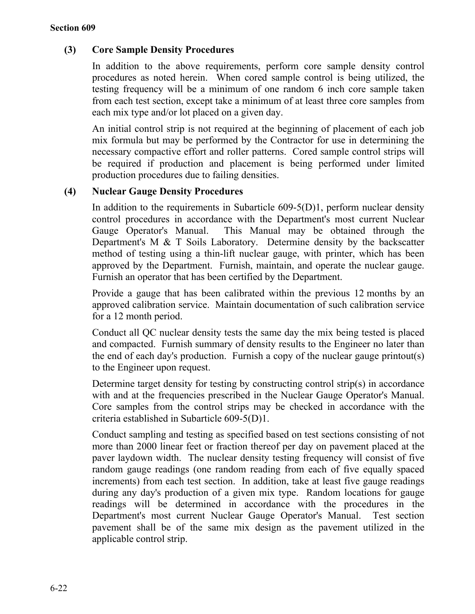# **(3) Core Sample Density Procedures**

In addition to the above requirements, perform core sample density control procedures as noted herein. When cored sample control is being utilized, the testing frequency will be a minimum of one random 6 inch core sample taken from each test section, except take a minimum of at least three core samples from each mix type and/or lot placed on a given day.

An initial control strip is not required at the beginning of placement of each job mix formula but may be performed by the Contractor for use in determining the necessary compactive effort and roller patterns. Cored sample control strips will be required if production and placement is being performed under limited production procedures due to failing densities.

# **(4) Nuclear Gauge Density Procedures**

In addition to the requirements in Subarticle 609-5(D)1, perform nuclear density control procedures in accordance with the Department's most current Nuclear Gauge Operator's Manual. This Manual may be obtained through the Department's M & T Soils Laboratory. Determine density by the backscatter method of testing using a thin-lift nuclear gauge, with printer, which has been approved by the Department. Furnish, maintain, and operate the nuclear gauge. Furnish an operator that has been certified by the Department.

Provide a gauge that has been calibrated within the previous 12 months by an approved calibration service. Maintain documentation of such calibration service for a 12 month period.

Conduct all QC nuclear density tests the same day the mix being tested is placed and compacted. Furnish summary of density results to the Engineer no later than the end of each day's production. Furnish a copy of the nuclear gauge printout(s) to the Engineer upon request.

Determine target density for testing by constructing control strip(s) in accordance with and at the frequencies prescribed in the Nuclear Gauge Operator's Manual. Core samples from the control strips may be checked in accordance with the criteria established in Subarticle 609-5(D)1.

Conduct sampling and testing as specified based on test sections consisting of not more than 2000 linear feet or fraction thereof per day on pavement placed at the paver laydown width. The nuclear density testing frequency will consist of five random gauge readings (one random reading from each of five equally spaced increments) from each test section. In addition, take at least five gauge readings during any day's production of a given mix type. Random locations for gauge readings will be determined in accordance with the procedures in the Department's most current Nuclear Gauge Operator's Manual. Test section pavement shall be of the same mix design as the pavement utilized in the applicable control strip.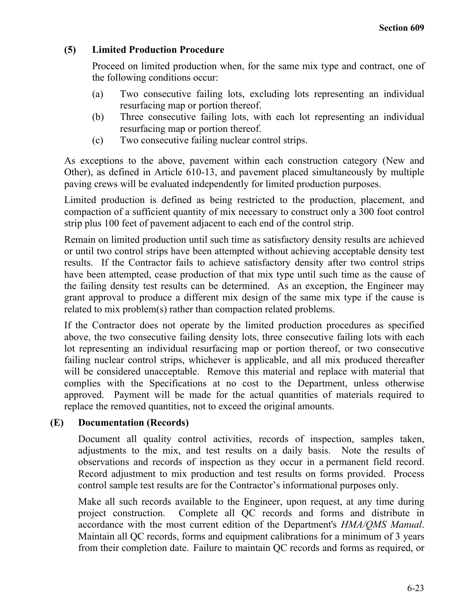# **(5) Limited Production Procedure**

Proceed on limited production when, for the same mix type and contract, one of the following conditions occur:

- (a) Two consecutive failing lots, excluding lots representing an individual resurfacing map or portion thereof.
- (b) Three consecutive failing lots, with each lot representing an individual resurfacing map or portion thereof.
- (c) Two consecutive failing nuclear control strips.

As exceptions to the above, pavement within each construction category (New and Other), as defined in Article 610-13, and pavement placed simultaneously by multiple paving crews will be evaluated independently for limited production purposes.

Limited production is defined as being restricted to the production, placement, and compaction of a sufficient quantity of mix necessary to construct only a 300 foot control strip plus 100 feet of pavement adjacent to each end of the control strip.

Remain on limited production until such time as satisfactory density results are achieved or until two control strips have been attempted without achieving acceptable density test results. If the Contractor fails to achieve satisfactory density after two control strips have been attempted, cease production of that mix type until such time as the cause of the failing density test results can be determined. As an exception, the Engineer may grant approval to produce a different mix design of the same mix type if the cause is related to mix problem(s) rather than compaction related problems.

If the Contractor does not operate by the limited production procedures as specified above, the two consecutive failing density lots, three consecutive failing lots with each lot representing an individual resurfacing map or portion thereof, or two consecutive failing nuclear control strips, whichever is applicable, and all mix produced thereafter will be considered unacceptable. Remove this material and replace with material that complies with the Specifications at no cost to the Department, unless otherwise approved. Payment will be made for the actual quantities of materials required to replace the removed quantities, not to exceed the original amounts.

# **(E) Documentation (Records)**

Document all quality control activities, records of inspection, samples taken, adjustments to the mix, and test results on a daily basis. Note the results of observations and records of inspection as they occur in a permanent field record. Record adjustment to mix production and test results on forms provided. Process control sample test results are for the Contractor's informational purposes only.

Make all such records available to the Engineer, upon request, at any time during project construction. Complete all QC records and forms and distribute in accordance with the most current edition of the Department's *HMA/QMS Manual*. Maintain all QC records, forms and equipment calibrations for a minimum of 3 years from their completion date. Failure to maintain QC records and forms as required, or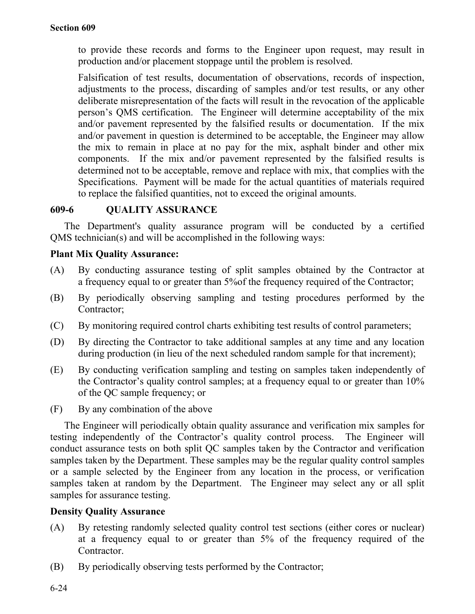to provide these records and forms to the Engineer upon request, may result in production and/or placement stoppage until the problem is resolved.

Falsification of test results, documentation of observations, records of inspection, adjustments to the process, discarding of samples and/or test results, or any other deliberate misrepresentation of the facts will result in the revocation of the applicable person's QMS certification. The Engineer will determine acceptability of the mix and/or pavement represented by the falsified results or documentation. If the mix and/or pavement in question is determined to be acceptable, the Engineer may allow the mix to remain in place at no pay for the mix, asphalt binder and other mix components. If the mix and/or pavement represented by the falsified results is determined not to be acceptable, remove and replace with mix, that complies with the Specifications. Payment will be made for the actual quantities of materials required to replace the falsified quantities, not to exceed the original amounts.

# **609-6 QUALITY ASSURANCE**

The Department's quality assurance program will be conducted by a certified QMS technician(s) and will be accomplished in the following ways:

## **Plant Mix Quality Assurance:**

- (A) By conducting assurance testing of split samples obtained by the Contractor at a frequency equal to or greater than 5%of the frequency required of the Contractor;
- (B) By periodically observing sampling and testing procedures performed by the Contractor;
- (C) By monitoring required control charts exhibiting test results of control parameters;
- (D) By directing the Contractor to take additional samples at any time and any location during production (in lieu of the next scheduled random sample for that increment);
- (E) By conducting verification sampling and testing on samples taken independently of the Contractor's quality control samples; at a frequency equal to or greater than 10% of the QC sample frequency; or
- (F) By any combination of the above

The Engineer will periodically obtain quality assurance and verification mix samples for testing independently of the Contractor's quality control process. The Engineer will conduct assurance tests on both split QC samples taken by the Contractor and verification samples taken by the Department. These samples may be the regular quality control samples or a sample selected by the Engineer from any location in the process, or verification samples taken at random by the Department. The Engineer may select any or all split samples for assurance testing.

# **Density Quality Assurance**

- (A) By retesting randomly selected quality control test sections (either cores or nuclear) at a frequency equal to or greater than 5% of the frequency required of the Contractor.
- (B) By periodically observing tests performed by the Contractor;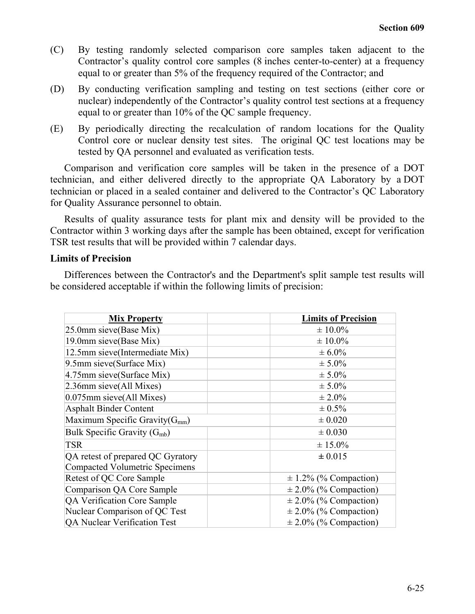- (C) By testing randomly selected comparison core samples taken adjacent to the Contractor's quality control core samples (8 inches center-to-center) at a frequency equal to or greater than 5% of the frequency required of the Contractor; and
- (D) By conducting verification sampling and testing on test sections (either core or nuclear) independently of the Contractor's quality control test sections at a frequency equal to or greater than 10% of the QC sample frequency.
- (E) By periodically directing the recalculation of random locations for the Quality Control core or nuclear density test sites. The original QC test locations may be tested by QA personnel and evaluated as verification tests.

Comparison and verification core samples will be taken in the presence of a DOT technician, and either delivered directly to the appropriate QA Laboratory by a DOT technician or placed in a sealed container and delivered to the Contractor's QC Laboratory for Quality Assurance personnel to obtain.

Results of quality assurance tests for plant mix and density will be provided to the Contractor within 3 working days after the sample has been obtained, except for verification TSR test results that will be provided within 7 calendar days.

## **Limits of Precision**

Differences between the Contractor's and the Department's split sample test results will be considered acceptable if within the following limits of precision:

| <b>Mix Property</b>                   | <b>Limits of Precision</b> |
|---------------------------------------|----------------------------|
| 25.0mm sieve (Base Mix)               | $\pm 10.0\%$               |
| 19.0mm sieve(Base Mix)                | $± 10.0\%$                 |
| 12.5mm sieve(Intermediate Mix)        | $\pm 6.0\%$                |
| 9.5mm sieve(Surface Mix)              | $± 5.0\%$                  |
| 4.75mm sieve(Surface Mix)             | $\pm 5.0\%$                |
| 2.36mm sieve(All Mixes)               | $± 5.0\%$                  |
| 0.075mm sieve(All Mixes)              | $\pm 2.0\%$                |
| <b>Asphalt Binder Content</b>         | $\pm 0.5\%$                |
| Maximum Specific Gravity( $G_{mm}$ )  | $\pm 0.020$                |
| Bulk Specific Gravity $(G_{mb})$      | $\pm 0.030$                |
| <b>TSR</b>                            | $\pm 15.0\%$               |
| QA retest of prepared QC Gyratory     | ± 0.015                    |
| <b>Compacted Volumetric Specimens</b> |                            |
| Retest of QC Core Sample              | $\pm$ 1.2% (% Compaction)  |
| Comparison QA Core Sample             | $\pm$ 2.0% (% Compaction)  |
| QA Verification Core Sample           | $\pm$ 2.0% (% Compaction)  |
| Nuclear Comparison of QC Test         | $\pm$ 2.0% (% Compaction)  |
| QA Nuclear Verification Test          | $\pm 2.0\%$ (% Compaction) |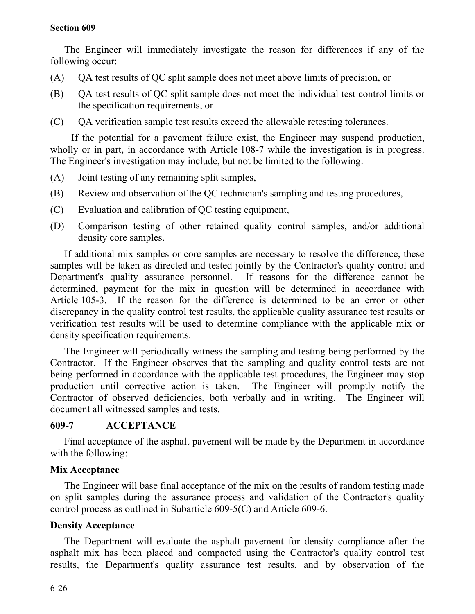## **Section 609**

The Engineer will immediately investigate the reason for differences if any of the following occur:

- (A) QA test results of QC split sample does not meet above limits of precision, or
- (B) QA test results of QC split sample does not meet the individual test control limits or the specification requirements, or
- (C) QA verification sample test results exceed the allowable retesting tolerances.

If the potential for a pavement failure exist, the Engineer may suspend production, wholly or in part, in accordance with Article 108-7 while the investigation is in progress. The Engineer's investigation may include, but not be limited to the following:

- (A) Joint testing of any remaining split samples,
- (B) Review and observation of the QC technician's sampling and testing procedures,
- (C) Evaluation and calibration of QC testing equipment,
- (D) Comparison testing of other retained quality control samples, and/or additional density core samples.

If additional mix samples or core samples are necessary to resolve the difference, these samples will be taken as directed and tested jointly by the Contractor's quality control and Department's quality assurance personnel. If reasons for the difference cannot be determined, payment for the mix in question will be determined in accordance with Article 105-3. If the reason for the difference is determined to be an error or other discrepancy in the quality control test results, the applicable quality assurance test results or verification test results will be used to determine compliance with the applicable mix or density specification requirements.

The Engineer will periodically witness the sampling and testing being performed by the Contractor. If the Engineer observes that the sampling and quality control tests are not being performed in accordance with the applicable test procedures, the Engineer may stop production until corrective action is taken. The Engineer will promptly notify the Contractor of observed deficiencies, both verbally and in writing. The Engineer will document all witnessed samples and tests.

## **609-7 ACCEPTANCE**

Final acceptance of the asphalt pavement will be made by the Department in accordance with the following:

## **Mix Acceptance**

The Engineer will base final acceptance of the mix on the results of random testing made on split samples during the assurance process and validation of the Contractor's quality control process as outlined in Subarticle 609-5(C) and Article 609-6.

## **Density Acceptance**

The Department will evaluate the asphalt pavement for density compliance after the asphalt mix has been placed and compacted using the Contractor's quality control test results, the Department's quality assurance test results, and by observation of the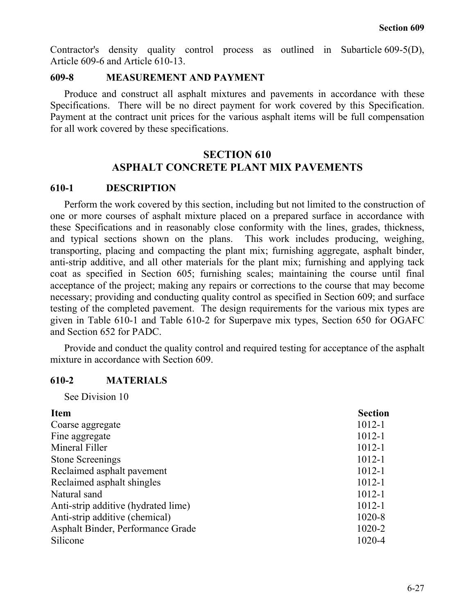Contractor's density quality control process as outlined in Subarticle 609-5(D), Article 609-6 and Article 610-13.

## **609-8 MEASUREMENT AND PAYMENT**

Produce and construct all asphalt mixtures and pavements in accordance with these Specifications. There will be no direct payment for work covered by this Specification. Payment at the contract unit prices for the various asphalt items will be full compensation for all work covered by these specifications.

# **SECTION 610 ASPHALT CONCRETE PLANT MIX PAVEMENTS**

## **610-1 DESCRIPTION**

Perform the work covered by this section, including but not limited to the construction of one or more courses of asphalt mixture placed on a prepared surface in accordance with these Specifications and in reasonably close conformity with the lines, grades, thickness, and typical sections shown on the plans. This work includes producing, weighing, transporting, placing and compacting the plant mix; furnishing aggregate, asphalt binder, anti-strip additive, and all other materials for the plant mix; furnishing and applying tack coat as specified in Section 605; furnishing scales; maintaining the course until final acceptance of the project; making any repairs or corrections to the course that may become necessary; providing and conducting quality control as specified in Section 609; and surface testing of the completed pavement. The design requirements for the various mix types are given in Table 610-1 and Table 610-2 for Superpave mix types, Section 650 for OGAFC and Section 652 for PADC.

Provide and conduct the quality control and required testing for acceptance of the asphalt mixture in accordance with Section 609.

# **610-2 MATERIALS**

See Division 10

| <b>Item</b>                         | <b>Section</b> |
|-------------------------------------|----------------|
| Coarse aggregate                    | $1012 - 1$     |
| Fine aggregate                      | $1012 - 1$     |
| Mineral Filler                      | $1012 - 1$     |
| <b>Stone Screenings</b>             | $1012 - 1$     |
| Reclaimed asphalt pavement          | $1012 - 1$     |
| Reclaimed asphalt shingles          | $1012 - 1$     |
| Natural sand                        | $1012 - 1$     |
| Anti-strip additive (hydrated lime) | $1012 - 1$     |
| Anti-strip additive (chemical)      | 1020-8         |
| Asphalt Binder, Performance Grade   | 1020-2         |
| Silicone                            | 1020-4         |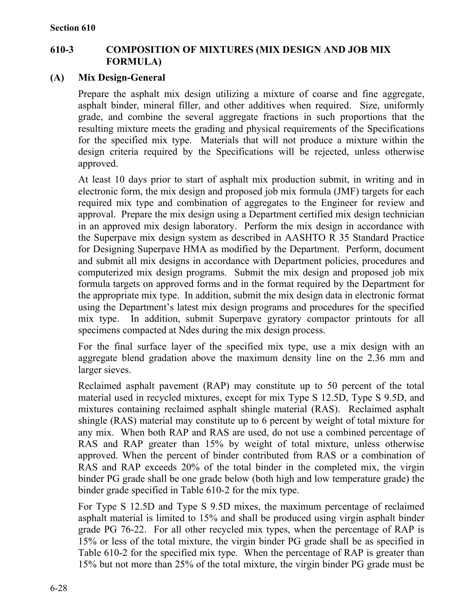# **610-3 COMPOSITION OF MIXTURES (MIX DESIGN AND JOB MIX FORMULA)**

# **(A) Mix Design-General**

Prepare the asphalt mix design utilizing a mixture of coarse and fine aggregate, asphalt binder, mineral filler, and other additives when required. Size, uniformly grade, and combine the several aggregate fractions in such proportions that the resulting mixture meets the grading and physical requirements of the Specifications for the specified mix type. Materials that will not produce a mixture within the design criteria required by the Specifications will be rejected, unless otherwise approved.

At least 10 days prior to start of asphalt mix production submit, in writing and in electronic form, the mix design and proposed job mix formula (JMF) targets for each required mix type and combination of aggregates to the Engineer for review and approval. Prepare the mix design using a Department certified mix design technician in an approved mix design laboratory. Perform the mix design in accordance with the Superpave mix design system as described in AASHTO R 35 Standard Practice for Designing Superpave HMA as modified by the Department. Perform, document and submit all mix designs in accordance with Department policies, procedures and computerized mix design programs. Submit the mix design and proposed job mix formula targets on approved forms and in the format required by the Department for the appropriate mix type. In addition, submit the mix design data in electronic format using the Department's latest mix design programs and procedures for the specified mix type. In addition, submit Superpave gyratory compactor printouts for all specimens compacted at Ndes during the mix design process.

For the final surface layer of the specified mix type, use a mix design with an aggregate blend gradation above the maximum density line on the 2.36 mm and larger sieves.

Reclaimed asphalt pavement (RAP) may constitute up to 50 percent of the total material used in recycled mixtures, except for mix Type S 12.5D, Type S 9.5D, and mixtures containing reclaimed asphalt shingle material (RAS). Reclaimed asphalt shingle (RAS) material may constitute up to 6 percent by weight of total mixture for any mix. When both RAP and RAS are used, do not use a combined percentage of RAS and RAP greater than 15% by weight of total mixture, unless otherwise approved. When the percent of binder contributed from RAS or a combination of RAS and RAP exceeds 20% of the total binder in the completed mix, the virgin binder PG grade shall be one grade below (both high and low temperature grade) the binder grade specified in Table 610-2 for the mix type.

For Type S 12.5D and Type S 9.5D mixes, the maximum percentage of reclaimed asphalt material is limited to 15% and shall be produced using virgin asphalt binder grade PG 76-22. For all other recycled mix types, when the percentage of RAP is 15% or less of the total mixture, the virgin binder PG grade shall be as specified in Table 610-2 for the specified mix type. When the percentage of RAP is greater than 15% but not more than 25% of the total mixture, the virgin binder PG grade must be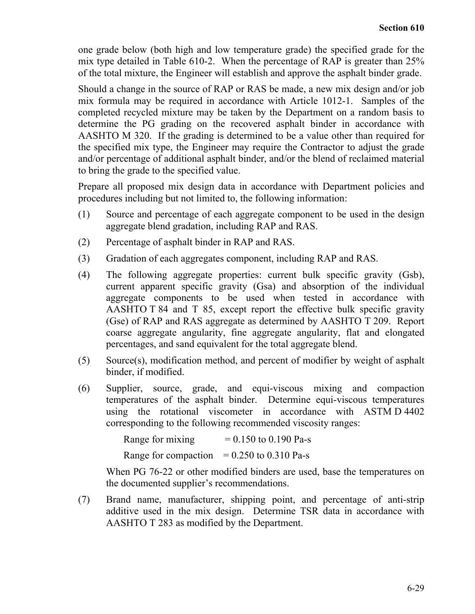one grade below (both high and low temperature grade) the specified grade for the mix type detailed in Table 610-2. When the percentage of RAP is greater than 25% of the total mixture, the Engineer will establish and approve the asphalt binder grade.

Should a change in the source of RAP or RAS be made, a new mix design and/or job mix formula may be required in accordance with Article 1012-1. Samples of the completed recycled mixture may be taken by the Department on a random basis to determine the PG grading on the recovered asphalt binder in accordance with AASHTO M 320. If the grading is determined to be a value other than required for the specified mix type, the Engineer may require the Contractor to adjust the grade and/or percentage of additional asphalt binder, and/or the blend of reclaimed material to bring the grade to the specified value.

Prepare all proposed mix design data in accordance with Department policies and procedures including but not limited to, the following information:

- (1) Source and percentage of each aggregate component to be used in the design aggregate blend gradation, including RAP and RAS.
- (2) Percentage of asphalt binder in RAP and RAS.
- (3) Gradation of each aggregates component, including RAP and RAS.
- (4) The following aggregate properties: current bulk specific gravity (Gsb), current apparent specific gravity (Gsa) and absorption of the individual aggregate components to be used when tested in accordance with AASHTO T 84 and T 85, except report the effective bulk specific gravity (Gse) of RAP and RAS aggregate as determined by AASHTO T 209. Report coarse aggregate angularity, fine aggregate angularity, flat and elongated percentages, and sand equivalent for the total aggregate blend.
- (5) Source(s), modification method, and percent of modifier by weight of asphalt binder, if modified.
- (6) Supplier, source, grade, and equi-viscous mixing and compaction temperatures of the asphalt binder. Determine equi-viscous temperatures using the rotational viscometer in accordance with ASTM D 4402 corresponding to the following recommended viscosity ranges:

Range for mixing  $= 0.150$  to 0.190 Pa-s Range for compaction  $= 0.250$  to 0.310 Pa-s

When PG 76-22 or other modified binders are used, base the temperatures on the documented supplier's recommendations.

(7) Brand name, manufacturer, shipping point, and percentage of anti-strip additive used in the mix design. Determine TSR data in accordance with AASHTO T 283 as modified by the Department.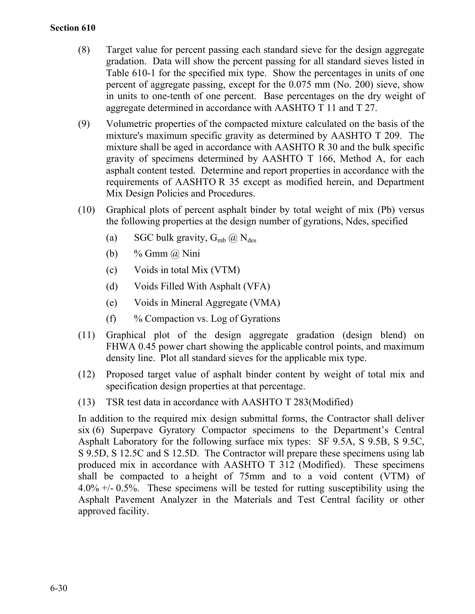- (8) Target value for percent passing each standard sieve for the design aggregate gradation. Data will show the percent passing for all standard sieves listed in Table 610-1 for the specified mix type. Show the percentages in units of one percent of aggregate passing, except for the 0.075 mm (No. 200) sieve, show in units to one-tenth of one percent. Base percentages on the dry weight of aggregate determined in accordance with AASHTO T 11 and T 27.
- (9) Volumetric properties of the compacted mixture calculated on the basis of the mixture's maximum specific gravity as determined by AASHTO T 209. The mixture shall be aged in accordance with AASHTO R 30 and the bulk specific gravity of specimens determined by AASHTO T 166, Method A, for each asphalt content tested. Determine and report properties in accordance with the requirements of AASHTO R 35 except as modified herein, and Department Mix Design Policies and Procedures.
- (10) Graphical plots of percent asphalt binder by total weight of mix (Pb) versus the following properties at the design number of gyrations, Ndes, specified
	- (a) SGC bulk gravity,  $G_{mb}$   $\omega$  N<sub>des</sub>
	- (b) % Gmm  $\omega$  Nini
	- (c) Voids in total Mix (VTM)
	- (d) Voids Filled With Asphalt (VFA)
	- (e) Voids in Mineral Aggregate (VMA)
	- (f)  $\%$  Compaction vs. Log of Gyrations
- (11) Graphical plot of the design aggregate gradation (design blend) on FHWA 0.45 power chart showing the applicable control points, and maximum density line. Plot all standard sieves for the applicable mix type.
- (12) Proposed target value of asphalt binder content by weight of total mix and specification design properties at that percentage.
- (13) TSR test data in accordance with AASHTO T 283(Modified)

In addition to the required mix design submittal forms, the Contractor shall deliver six (6) Superpave Gyratory Compactor specimens to the Department's Central Asphalt Laboratory for the following surface mix types: SF 9.5A, S 9.5B, S 9.5C, S 9.5D, S 12.5C and S 12.5D. The Contractor will prepare these specimens using lab produced mix in accordance with AASHTO T 312 (Modified). These specimens shall be compacted to a height of 75mm and to a void content (VTM) of 4.0% +/- 0.5%. These specimens will be tested for rutting susceptibility using the Asphalt Pavement Analyzer in the Materials and Test Central facility or other approved facility.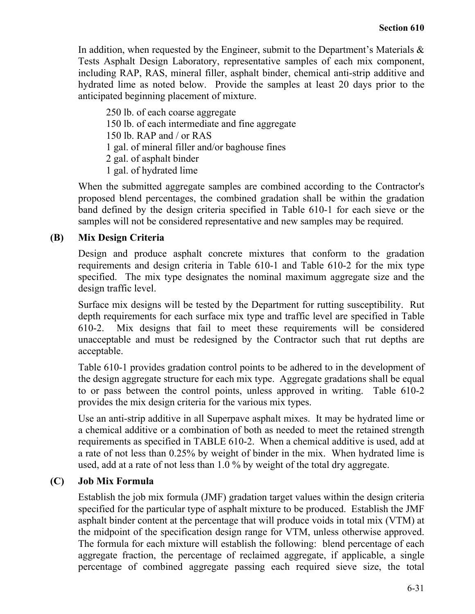In addition, when requested by the Engineer, submit to the Department's Materials  $\&$ Tests Asphalt Design Laboratory, representative samples of each mix component, including RAP, RAS, mineral filler, asphalt binder, chemical anti-strip additive and hydrated lime as noted below. Provide the samples at least 20 days prior to the anticipated beginning placement of mixture.

250 lb. of each coarse aggregate 150 lb. of each intermediate and fine aggregate 150 lb. RAP and / or RAS 1 gal. of mineral filler and/or baghouse fines 2 gal. of asphalt binder 1 gal. of hydrated lime

When the submitted aggregate samples are combined according to the Contractor's proposed blend percentages, the combined gradation shall be within the gradation band defined by the design criteria specified in Table 610-1 for each sieve or the samples will not be considered representative and new samples may be required.

# **(B) Mix Design Criteria**

Design and produce asphalt concrete mixtures that conform to the gradation requirements and design criteria in Table 610-1 and Table 610-2 for the mix type specified. The mix type designates the nominal maximum aggregate size and the design traffic level.

Surface mix designs will be tested by the Department for rutting susceptibility. Rut depth requirements for each surface mix type and traffic level are specified in Table 610-2. Mix designs that fail to meet these requirements will be considered unacceptable and must be redesigned by the Contractor such that rut depths are acceptable.

Table 610-1 provides gradation control points to be adhered to in the development of the design aggregate structure for each mix type. Aggregate gradations shall be equal to or pass between the control points, unless approved in writing. Table 610-2 provides the mix design criteria for the various mix types.

Use an anti-strip additive in all Superpave asphalt mixes. It may be hydrated lime or a chemical additive or a combination of both as needed to meet the retained strength requirements as specified in TABLE 610-2. When a chemical additive is used, add at a rate of not less than 0.25% by weight of binder in the mix. When hydrated lime is used, add at a rate of not less than 1.0 % by weight of the total dry aggregate.

# **(C) Job Mix Formula**

Establish the job mix formula (JMF) gradation target values within the design criteria specified for the particular type of asphalt mixture to be produced. Establish the JMF asphalt binder content at the percentage that will produce voids in total mix (VTM) at the midpoint of the specification design range for VTM, unless otherwise approved. The formula for each mixture will establish the following: blend percentage of each aggregate fraction, the percentage of reclaimed aggregate, if applicable, a single percentage of combined aggregate passing each required sieve size, the total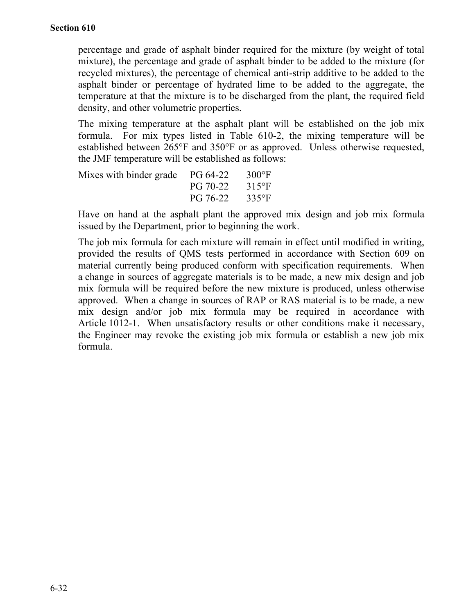percentage and grade of asphalt binder required for the mixture (by weight of total mixture), the percentage and grade of asphalt binder to be added to the mixture (for recycled mixtures), the percentage of chemical anti-strip additive to be added to the asphalt binder or percentage of hydrated lime to be added to the aggregate, the temperature at that the mixture is to be discharged from the plant, the required field density, and other volumetric properties.

The mixing temperature at the asphalt plant will be established on the job mix formula. For mix types listed in Table 610-2, the mixing temperature will be established between 265°F and 350°F or as approved. Unless otherwise requested, the JMF temperature will be established as follows:

| Mixes with binder grade PG 64-22 |          | $300^{\circ}$ F |
|----------------------------------|----------|-----------------|
|                                  | PG 70-22 | $315^{\circ}F$  |
|                                  | PG 76-22 | $335^{\circ}$ F |

Have on hand at the asphalt plant the approved mix design and job mix formula issued by the Department, prior to beginning the work.

The job mix formula for each mixture will remain in effect until modified in writing, provided the results of QMS tests performed in accordance with Section 609 on material currently being produced conform with specification requirements. When a change in sources of aggregate materials is to be made, a new mix design and job mix formula will be required before the new mixture is produced, unless otherwise approved. When a change in sources of RAP or RAS material is to be made, a new mix design and/or job mix formula may be required in accordance with Article 1012-1. When unsatisfactory results or other conditions make it necessary, the Engineer may revoke the existing job mix formula or establish a new job mix formula.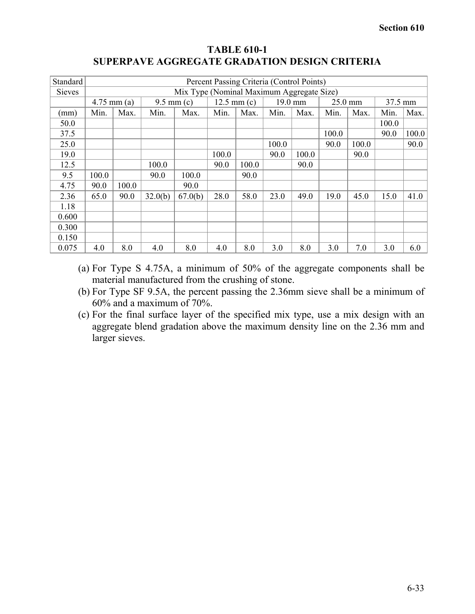| Standard      | Percent Passing Criteria (Control Points) |                                           |                      |         |       |                       |         |       |       |         |       |         |  |
|---------------|-------------------------------------------|-------------------------------------------|----------------------|---------|-------|-----------------------|---------|-------|-------|---------|-------|---------|--|
| <b>Sieves</b> |                                           | Mix Type (Nominal Maximum Aggregate Size) |                      |         |       |                       |         |       |       |         |       |         |  |
|               | $4.75$ mm (a)                             |                                           | $9.5 \text{ mm} (c)$ |         |       | $12.5 \text{ mm} (c)$ | 19.0 mm |       |       | 25.0 mm |       | 37.5 mm |  |
| (mm)          | Min.                                      | Max.                                      | Min.                 | Max.    | Min.  | Max.                  | Min.    | Max.  | Min.  | Max.    | Min.  | Max.    |  |
| 50.0          |                                           |                                           |                      |         |       |                       |         |       |       |         | 100.0 |         |  |
| 37.5          |                                           |                                           |                      |         |       |                       |         |       | 100.0 |         | 90.0  | 100.0   |  |
| 25.0          |                                           |                                           |                      |         |       |                       | 100.0   |       | 90.0  | 100.0   |       | 90.0    |  |
| 19.0          |                                           |                                           |                      |         | 100.0 |                       | 90.0    | 100.0 |       | 90.0    |       |         |  |
| 12.5          |                                           |                                           | 100.0                |         | 90.0  | 100.0                 |         | 90.0  |       |         |       |         |  |
| 9.5           | 100.0                                     |                                           | 90.0                 | 100.0   |       | 90.0                  |         |       |       |         |       |         |  |
| 4.75          | 90.0                                      | 100.0                                     |                      | 90.0    |       |                       |         |       |       |         |       |         |  |
| 2.36          | 65.0                                      | 90.0                                      | 32.0(b)              | 67.0(b) | 28.0  | 58.0                  | 23.0    | 49.0  | 19.0  | 45.0    | 15.0  | 41.0    |  |
| 1.18          |                                           |                                           |                      |         |       |                       |         |       |       |         |       |         |  |
| 0.600         |                                           |                                           |                      |         |       |                       |         |       |       |         |       |         |  |
| 0.300         |                                           |                                           |                      |         |       |                       |         |       |       |         |       |         |  |
| 0.150         |                                           |                                           |                      |         |       |                       |         |       |       |         |       |         |  |
| 0.075         | 4.0                                       | 8.0                                       | 4.0                  | 8.0     | 4.0   | 8.0                   | 3.0     | 8.0   | 3.0   | 7.0     | 3.0   | 6.0     |  |

# **TABLE 610-1 SUPERPAVE AGGREGATE GRADATION DESIGN CRITERIA**

- (a) For Type S 4.75A, a minimum of 50% of the aggregate components shall be material manufactured from the crushing of stone.
- (b) For Type SF 9.5A, the percent passing the 2.36mm sieve shall be a minimum of 60% and a maximum of 70%.
- (c) For the final surface layer of the specified mix type, use a mix design with an aggregate blend gradation above the maximum density line on the 2.36 mm and larger sieves.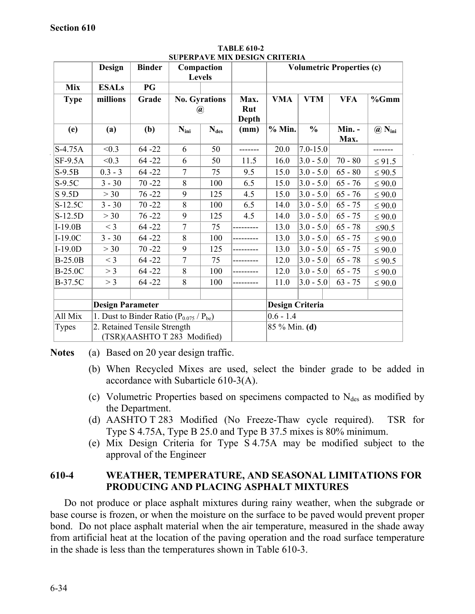|                | Design                                         | <b>Binder</b>                | Compaction<br>Levels |                                       |                             |            | <b>Volumetric Properties (c)</b> |                |                           |
|----------------|------------------------------------------------|------------------------------|----------------------|---------------------------------------|-----------------------------|------------|----------------------------------|----------------|---------------------------|
| <b>Mix</b>     | <b>ESALs</b>                                   | PG                           |                      |                                       |                             |            |                                  |                |                           |
| <b>Type</b>    | millions                                       | Grade                        |                      | <b>No. Gyrations</b><br>$^a\!\!\!\!a$ | Max.<br>Rut<br><b>Depth</b> | <b>VMA</b> | <b>VTM</b>                       | <b>VFA</b>     | %Gmm                      |
| (e)            | (a)                                            | (b)                          | $N_{\text{ini}}$     | $N_{des}$                             | (mm)                        | $%$ Min.   | $\frac{0}{0}$                    | Min. -<br>Max. | $\omega$ N <sub>ini</sub> |
| S-4.75A        | < 0.3                                          | $64 - 22$                    | 6                    | 50                                    |                             | 20.0       | $7.0 - 15.0$                     |                |                           |
| $SF-9.5A$      | < 0.3                                          | $64 - 22$                    | 6                    | 50                                    | 11.5                        | 16.0       | $3.0 - 5.0$                      | $70 - 80$      | $\leq 91.5$               |
| $S-9.5B$       | $0.3 - 3$                                      | $64 - 22$                    | $\overline{7}$       | 75                                    | 9.5                         | 15.0       | $3.0 - 5.0$                      | $65 - 80$      | $\leq 90.5$               |
| $S-9.5C$       | $3 - 30$                                       | $70 - 22$                    | 8                    | 100                                   | 6.5                         | 15.0       | $3.0 - 5.0$                      | $65 - 76$      | $\leq 90.0$               |
| S 9.5D         | >30                                            | $76 - 22$                    | 9                    | 125                                   | 4.5                         | 15.0       | $3.0 - 5.0$                      | $65 - 76$      | $\leq 90.0$               |
| S-12.5C        | $3 - 30$                                       | $70 - 22$                    | 8                    | 100                                   | 6.5                         | 14.0       | $3.0 - 5.0$                      | $65 - 75$      | $\leq 90.0$               |
| S-12.5D        | >30                                            | $76 - 22$                    | 9                    | 125                                   | 4.5                         | 14.0       | $3.0 - 5.0$                      | $65 - 75$      | $\leq 90.0$               |
| $I-19.0B$      | $<$ 3                                          | $64 - 22$                    | $\overline{7}$       | 75                                    |                             | 13.0       | $3.0 - 5.0$                      | $65 - 78$      | $\leq 90.5$               |
| $I-19.0C$      | $3 - 30$                                       | $64 - 22$                    | 8                    | 100                                   |                             | 13.0       | $3.0 - 5.0$                      | $65 - 75$      | $\leq 90.0$               |
| $I-19.0D$      | >30                                            | $70 - 22$                    | 9                    | 125                                   |                             | 13.0       | $3.0 - 5.0$                      | $65 - 75$      | $\leq 90.0$               |
| <b>B-25.0B</b> | $<$ 3                                          | $64 - 22$                    | 7                    | 75                                    |                             | 12.0       | $3.0 - 5.0$                      | $65 - 78$      | $\leq 90.5$               |
| <b>B-25.0C</b> | $>$ 3                                          | $64 - 22$                    | 8                    | 100                                   |                             | 12.0       | $3.0 - 5.0$                      | $65 - 75$      | $\leq 90.0$               |
| B-37.5C        | > 3                                            | $64 - 22$                    | 8                    | 100                                   |                             | 11.0       | $3.0 - 5.0$                      | $63 - 75$      | $\leq 90.0$               |
|                |                                                |                              |                      |                                       |                             |            |                                  |                |                           |
|                | <b>Design Parameter</b>                        |                              |                      |                                       | <b>Design Criteria</b>      |            |                                  |                |                           |
| All Mix        | 1. Dust to Binder Ratio $(P_{0.075} / P_{be})$ |                              |                      |                                       | $0.6 - 1.4$                 |            |                                  |                |                           |
| Types          |                                                | 2. Retained Tensile Strength |                      |                                       | 85 % Min. (d)               |            |                                  |                |                           |
|                |                                                | (TSR)(AASHTO T 283 Modified) |                      |                                       |                             |            |                                  |                |                           |

**TABLE 610-2 SUPERPAVE MIX DESIGN CRITERIA**

**Notes** (a) Based on 20 year design traffic.

- (b) When Recycled Mixes are used, select the binder grade to be added in accordance with Subarticle 610-3(A).
- (c) Volumetric Properties based on specimens compacted to  $N_{des}$  as modified by the Department.
- (d) AASHTO T 283 Modified (No Freeze-Thaw cycle required). TSR for Type S 4.75A, Type B 25.0 and Type B 37.5 mixes is 80% minimum.
- (e) Mix Design Criteria for Type S 4.75A may be modified subject to the approval of the Engineer

# **610-4 WEATHER, TEMPERATURE, AND SEASONAL LIMITATIONS FOR PRODUCING AND PLACING ASPHALT MIXTURES**

Do not produce or place asphalt mixtures during rainy weather, when the subgrade or base course is frozen, or when the moisture on the surface to be paved would prevent proper bond. Do not place asphalt material when the air temperature, measured in the shade away from artificial heat at the location of the paving operation and the road surface temperature in the shade is less than the temperatures shown in Table 610-3.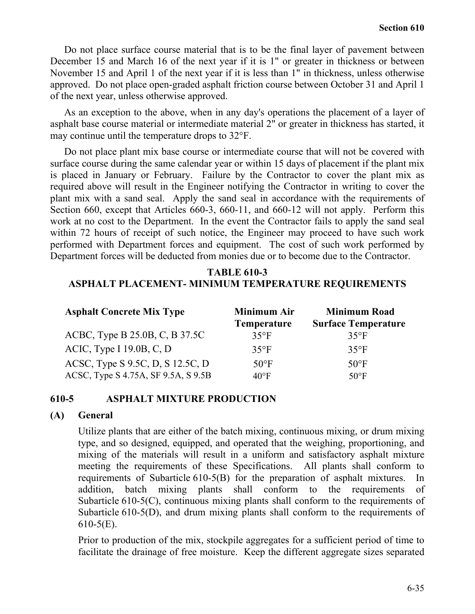Do not place surface course material that is to be the final layer of pavement between December 15 and March 16 of the next year if it is 1" or greater in thickness or between November 15 and April 1 of the next year if it is less than 1" in thickness, unless otherwise approved. Do not place open-graded asphalt friction course between October 31 and April 1 of the next year, unless otherwise approved.

As an exception to the above, when in any day's operations the placement of a layer of asphalt base course material or intermediate material 2" or greater in thickness has started, it may continue until the temperature drops to 32°F.

Do not place plant mix base course or intermediate course that will not be covered with surface course during the same calendar year or within 15 days of placement if the plant mix is placed in January or February. Failure by the Contractor to cover the plant mix as required above will result in the Engineer notifying the Contractor in writing to cover the plant mix with a sand seal. Apply the sand seal in accordance with the requirements of Section 660, except that Articles 660-3, 660-11, and 660-12 will not apply. Perform this work at no cost to the Department. In the event the Contractor fails to apply the sand seal within 72 hours of receipt of such notice, the Engineer may proceed to have such work performed with Department forces and equipment. The cost of such work performed by Department forces will be deducted from monies due or to become due to the Contractor.

# **TABLE 610-3 ASPHALT PLACEMENT- MINIMUM TEMPERATURE REQUIREMENTS**

| <b>Asphalt Concrete Mix Type</b>    | <b>Minimum Air</b><br><b>Temperature</b> | <b>Minimum Road</b><br><b>Surface Temperature</b> |
|-------------------------------------|------------------------------------------|---------------------------------------------------|
| ACBC, Type B 25.0B, C, B 37.5C      | $35^{\circ}F$                            | $35^{\circ}F$                                     |
| ACIC, Type I $19.0B$ , C, D         | $35^{\circ}F$                            | $35^{\circ}F$                                     |
| ACSC, Type S 9.5C, D, S 12.5C, D    | $50^{\circ}$ F                           | $50^{\circ}$ F                                    |
| ACSC, Type S 4.75A, SF 9.5A, S 9.5B | $40^{\circ}$ F                           | $50^{\circ}$ F                                    |

## **610-5 ASPHALT MIXTURE PRODUCTION**

## **(A) General**

Utilize plants that are either of the batch mixing, continuous mixing, or drum mixing type, and so designed, equipped, and operated that the weighing, proportioning, and mixing of the materials will result in a uniform and satisfactory asphalt mixture meeting the requirements of these Specifications. All plants shall conform to requirements of Subarticle 610-5(B) for the preparation of asphalt mixtures. In addition, batch mixing plants shall conform to the requirements of Subarticle 610-5(C), continuous mixing plants shall conform to the requirements of Subarticle 610-5(D), and drum mixing plants shall conform to the requirements of 610-5(E).

Prior to production of the mix, stockpile aggregates for a sufficient period of time to facilitate the drainage of free moisture. Keep the different aggregate sizes separated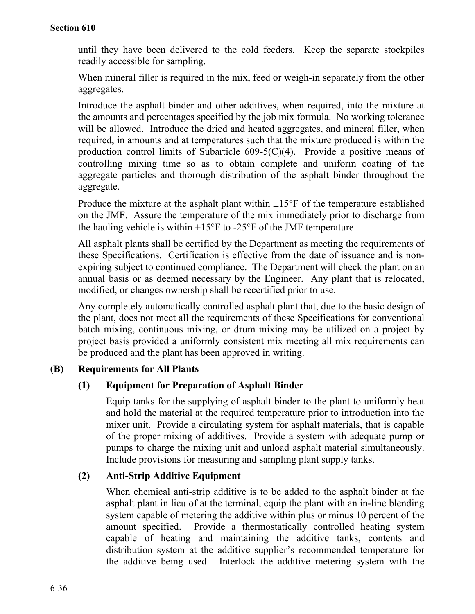## **Section 610**

until they have been delivered to the cold feeders. Keep the separate stockpiles readily accessible for sampling.

When mineral filler is required in the mix, feed or weigh-in separately from the other aggregates.

Introduce the asphalt binder and other additives, when required, into the mixture at the amounts and percentages specified by the job mix formula. No working tolerance will be allowed. Introduce the dried and heated aggregates, and mineral filler, when required, in amounts and at temperatures such that the mixture produced is within the production control limits of Subarticle  $609-5(C)(4)$ . Provide a positive means of controlling mixing time so as to obtain complete and uniform coating of the aggregate particles and thorough distribution of the asphalt binder throughout the aggregate.

Produce the mixture at the asphalt plant within  $\pm 15^{\circ}$  F of the temperature established on the JMF. Assure the temperature of the mix immediately prior to discharge from the hauling vehicle is within  $+15^{\circ}$ F to -25°F of the JMF temperature.

All asphalt plants shall be certified by the Department as meeting the requirements of these Specifications. Certification is effective from the date of issuance and is nonexpiring subject to continued compliance. The Department will check the plant on an annual basis or as deemed necessary by the Engineer. Any plant that is relocated, modified, or changes ownership shall be recertified prior to use.

Any completely automatically controlled asphalt plant that, due to the basic design of the plant, does not meet all the requirements of these Specifications for conventional batch mixing, continuous mixing, or drum mixing may be utilized on a project by project basis provided a uniformly consistent mix meeting all mix requirements can be produced and the plant has been approved in writing.

# **(B) Requirements for All Plants**

# **(1) Equipment for Preparation of Asphalt Binder**

Equip tanks for the supplying of asphalt binder to the plant to uniformly heat and hold the material at the required temperature prior to introduction into the mixer unit. Provide a circulating system for asphalt materials, that is capable of the proper mixing of additives. Provide a system with adequate pump or pumps to charge the mixing unit and unload asphalt material simultaneously. Include provisions for measuring and sampling plant supply tanks.

# **(2) Anti-Strip Additive Equipment**

When chemical anti-strip additive is to be added to the asphalt binder at the asphalt plant in lieu of at the terminal, equip the plant with an in-line blending system capable of metering the additive within plus or minus 10 percent of the amount specified. Provide a thermostatically controlled heating system capable of heating and maintaining the additive tanks, contents and distribution system at the additive supplier's recommended temperature for the additive being used. Interlock the additive metering system with the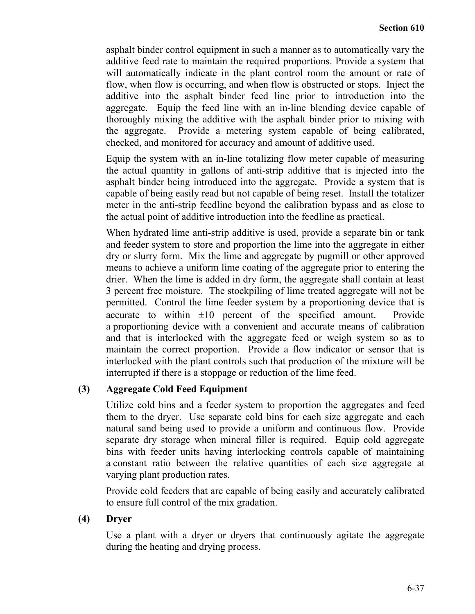asphalt binder control equipment in such a manner as to automatically vary the additive feed rate to maintain the required proportions. Provide a system that will automatically indicate in the plant control room the amount or rate of flow, when flow is occurring, and when flow is obstructed or stops. Inject the additive into the asphalt binder feed line prior to introduction into the aggregate. Equip the feed line with an in-line blending device capable of thoroughly mixing the additive with the asphalt binder prior to mixing with the aggregate. Provide a metering system capable of being calibrated, checked, and monitored for accuracy and amount of additive used.

Equip the system with an in-line totalizing flow meter capable of measuring the actual quantity in gallons of anti-strip additive that is injected into the asphalt binder being introduced into the aggregate. Provide a system that is capable of being easily read but not capable of being reset. Install the totalizer meter in the anti-strip feedline beyond the calibration bypass and as close to the actual point of additive introduction into the feedline as practical.

When hydrated lime anti-strip additive is used, provide a separate bin or tank and feeder system to store and proportion the lime into the aggregate in either dry or slurry form. Mix the lime and aggregate by pugmill or other approved means to achieve a uniform lime coating of the aggregate prior to entering the drier. When the lime is added in dry form, the aggregate shall contain at least 3 percent free moisture. The stockpiling of lime treated aggregate will not be permitted. Control the lime feeder system by a proportioning device that is accurate to within ±10 percent of the specified amount. Provide a proportioning device with a convenient and accurate means of calibration and that is interlocked with the aggregate feed or weigh system so as to maintain the correct proportion. Provide a flow indicator or sensor that is interlocked with the plant controls such that production of the mixture will be interrupted if there is a stoppage or reduction of the lime feed.

## **(3) Aggregate Cold Feed Equipment**

Utilize cold bins and a feeder system to proportion the aggregates and feed them to the dryer. Use separate cold bins for each size aggregate and each natural sand being used to provide a uniform and continuous flow. Provide separate dry storage when mineral filler is required. Equip cold aggregate bins with feeder units having interlocking controls capable of maintaining a constant ratio between the relative quantities of each size aggregate at varying plant production rates.

Provide cold feeders that are capable of being easily and accurately calibrated to ensure full control of the mix gradation.

#### **(4) Dryer**

Use a plant with a dryer or dryers that continuously agitate the aggregate during the heating and drying process.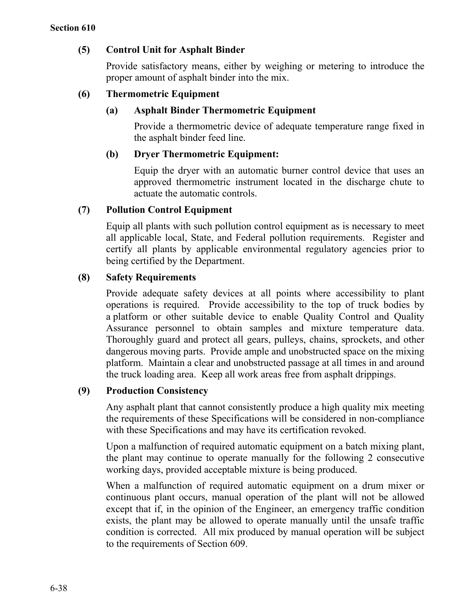## **(5) Control Unit for Asphalt Binder**

Provide satisfactory means, either by weighing or metering to introduce the proper amount of asphalt binder into the mix.

## **(6) Thermometric Equipment**

## **(a) Asphalt Binder Thermometric Equipment**

Provide a thermometric device of adequate temperature range fixed in the asphalt binder feed line.

## **(b) Dryer Thermometric Equipment:**

Equip the dryer with an automatic burner control device that uses an approved thermometric instrument located in the discharge chute to actuate the automatic controls.

## **(7) Pollution Control Equipment**

Equip all plants with such pollution control equipment as is necessary to meet all applicable local, State, and Federal pollution requirements. Register and certify all plants by applicable environmental regulatory agencies prior to being certified by the Department.

## **(8) Safety Requirements**

Provide adequate safety devices at all points where accessibility to plant operations is required. Provide accessibility to the top of truck bodies by a platform or other suitable device to enable Quality Control and Quality Assurance personnel to obtain samples and mixture temperature data. Thoroughly guard and protect all gears, pulleys, chains, sprockets, and other dangerous moving parts. Provide ample and unobstructed space on the mixing platform. Maintain a clear and unobstructed passage at all times in and around the truck loading area. Keep all work areas free from asphalt drippings.

## **(9) Production Consistency**

Any asphalt plant that cannot consistently produce a high quality mix meeting the requirements of these Specifications will be considered in non-compliance with these Specifications and may have its certification revoked.

Upon a malfunction of required automatic equipment on a batch mixing plant, the plant may continue to operate manually for the following 2 consecutive working days, provided acceptable mixture is being produced.

When a malfunction of required automatic equipment on a drum mixer or continuous plant occurs, manual operation of the plant will not be allowed except that if, in the opinion of the Engineer, an emergency traffic condition exists, the plant may be allowed to operate manually until the unsafe traffic condition is corrected. All mix produced by manual operation will be subject to the requirements of Section 609.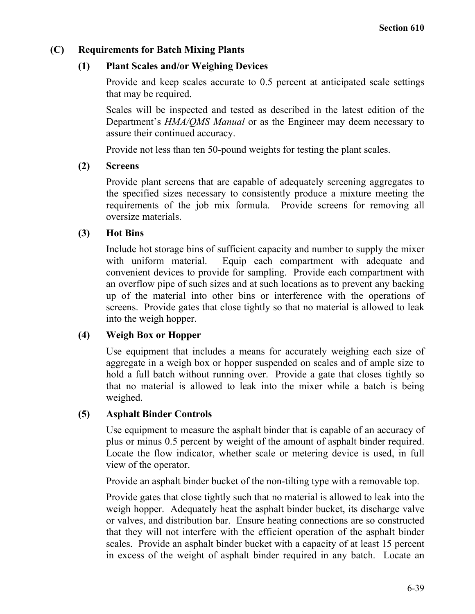## **(C) Requirements for Batch Mixing Plants**

## **(1) Plant Scales and/or Weighing Devices**

Provide and keep scales accurate to 0.5 percent at anticipated scale settings that may be required.

Scales will be inspected and tested as described in the latest edition of the Department's *HMA/QMS Manual* or as the Engineer may deem necessary to assure their continued accuracy.

Provide not less than ten 50-pound weights for testing the plant scales.

## **(2) Screens**

Provide plant screens that are capable of adequately screening aggregates to the specified sizes necessary to consistently produce a mixture meeting the requirements of the job mix formula. Provide screens for removing all oversize materials.

## **(3) Hot Bins**

Include hot storage bins of sufficient capacity and number to supply the mixer with uniform material. Equip each compartment with adequate and convenient devices to provide for sampling. Provide each compartment with an overflow pipe of such sizes and at such locations as to prevent any backing up of the material into other bins or interference with the operations of screens. Provide gates that close tightly so that no material is allowed to leak into the weigh hopper.

## **(4) Weigh Box or Hopper**

Use equipment that includes a means for accurately weighing each size of aggregate in a weigh box or hopper suspended on scales and of ample size to hold a full batch without running over. Provide a gate that closes tightly so that no material is allowed to leak into the mixer while a batch is being weighed.

#### **(5) Asphalt Binder Controls**

Use equipment to measure the asphalt binder that is capable of an accuracy of plus or minus 0.5 percent by weight of the amount of asphalt binder required. Locate the flow indicator, whether scale or metering device is used, in full view of the operator.

Provide an asphalt binder bucket of the non-tilting type with a removable top.

Provide gates that close tightly such that no material is allowed to leak into the weigh hopper. Adequately heat the asphalt binder bucket, its discharge valve or valves, and distribution bar. Ensure heating connections are so constructed that they will not interfere with the efficient operation of the asphalt binder scales. Provide an asphalt binder bucket with a capacity of at least 15 percent in excess of the weight of asphalt binder required in any batch. Locate an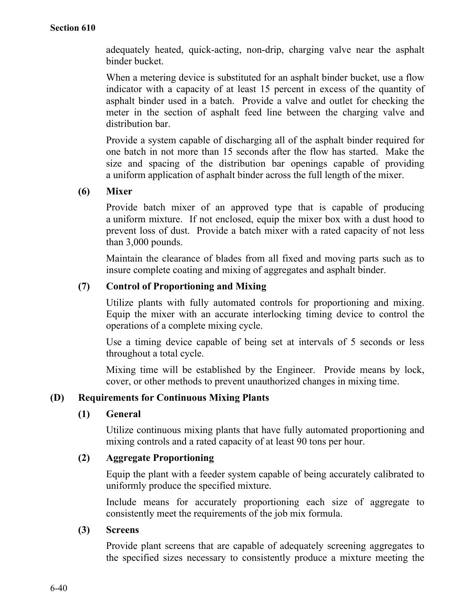adequately heated, quick-acting, non-drip, charging valve near the asphalt binder bucket.

When a metering device is substituted for an asphalt binder bucket, use a flow indicator with a capacity of at least 15 percent in excess of the quantity of asphalt binder used in a batch. Provide a valve and outlet for checking the meter in the section of asphalt feed line between the charging valve and distribution bar.

Provide a system capable of discharging all of the asphalt binder required for one batch in not more than 15 seconds after the flow has started. Make the size and spacing of the distribution bar openings capable of providing a uniform application of asphalt binder across the full length of the mixer.

## **(6) Mixer**

Provide batch mixer of an approved type that is capable of producing a uniform mixture. If not enclosed, equip the mixer box with a dust hood to prevent loss of dust. Provide a batch mixer with a rated capacity of not less than 3,000 pounds.

Maintain the clearance of blades from all fixed and moving parts such as to insure complete coating and mixing of aggregates and asphalt binder.

## **(7) Control of Proportioning and Mixing**

Utilize plants with fully automated controls for proportioning and mixing. Equip the mixer with an accurate interlocking timing device to control the operations of a complete mixing cycle.

Use a timing device capable of being set at intervals of 5 seconds or less throughout a total cycle.

Mixing time will be established by the Engineer. Provide means by lock, cover, or other methods to prevent unauthorized changes in mixing time.

#### **(D) Requirements for Continuous Mixing Plants**

#### **(1) General**

Utilize continuous mixing plants that have fully automated proportioning and mixing controls and a rated capacity of at least 90 tons per hour.

#### **(2) Aggregate Proportioning**

Equip the plant with a feeder system capable of being accurately calibrated to uniformly produce the specified mixture.

Include means for accurately proportioning each size of aggregate to consistently meet the requirements of the job mix formula.

#### **(3) Screens**

Provide plant screens that are capable of adequately screening aggregates to the specified sizes necessary to consistently produce a mixture meeting the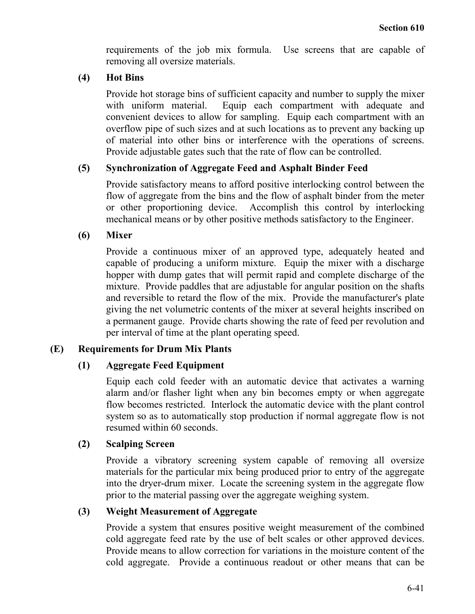requirements of the job mix formula. Use screens that are capable of removing all oversize materials.

## **(4) Hot Bins**

Provide hot storage bins of sufficient capacity and number to supply the mixer with uniform material. Equip each compartment with adequate and convenient devices to allow for sampling. Equip each compartment with an overflow pipe of such sizes and at such locations as to prevent any backing up of material into other bins or interference with the operations of screens. Provide adjustable gates such that the rate of flow can be controlled.

## **(5) Synchronization of Aggregate Feed and Asphalt Binder Feed**

Provide satisfactory means to afford positive interlocking control between the flow of aggregate from the bins and the flow of asphalt binder from the meter or other proportioning device. Accomplish this control by interlocking mechanical means or by other positive methods satisfactory to the Engineer.

## **(6) Mixer**

Provide a continuous mixer of an approved type, adequately heated and capable of producing a uniform mixture. Equip the mixer with a discharge hopper with dump gates that will permit rapid and complete discharge of the mixture. Provide paddles that are adjustable for angular position on the shafts and reversible to retard the flow of the mix. Provide the manufacturer's plate giving the net volumetric contents of the mixer at several heights inscribed on a permanent gauge. Provide charts showing the rate of feed per revolution and per interval of time at the plant operating speed.

## **(E) Requirements for Drum Mix Plants**

## **(1) Aggregate Feed Equipment**

Equip each cold feeder with an automatic device that activates a warning alarm and/or flasher light when any bin becomes empty or when aggregate flow becomes restricted. Interlock the automatic device with the plant control system so as to automatically stop production if normal aggregate flow is not resumed within 60 seconds.

#### **(2) Scalping Screen**

Provide a vibratory screening system capable of removing all oversize materials for the particular mix being produced prior to entry of the aggregate into the dryer-drum mixer. Locate the screening system in the aggregate flow prior to the material passing over the aggregate weighing system.

#### **(3) Weight Measurement of Aggregate**

Provide a system that ensures positive weight measurement of the combined cold aggregate feed rate by the use of belt scales or other approved devices. Provide means to allow correction for variations in the moisture content of the cold aggregate. Provide a continuous readout or other means that can be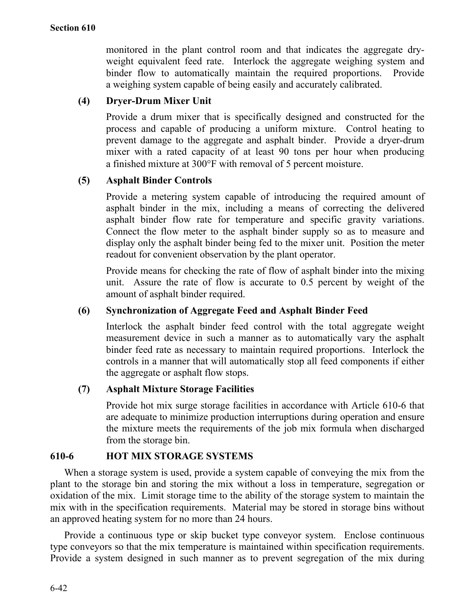monitored in the plant control room and that indicates the aggregate dryweight equivalent feed rate. Interlock the aggregate weighing system and binder flow to automatically maintain the required proportions. Provide a weighing system capable of being easily and accurately calibrated.

# **(4) Dryer-Drum Mixer Unit**

Provide a drum mixer that is specifically designed and constructed for the process and capable of producing a uniform mixture. Control heating to prevent damage to the aggregate and asphalt binder. Provide a dryer-drum mixer with a rated capacity of at least 90 tons per hour when producing a finished mixture at 300°F with removal of 5 percent moisture.

## **(5) Asphalt Binder Controls**

Provide a metering system capable of introducing the required amount of asphalt binder in the mix, including a means of correcting the delivered asphalt binder flow rate for temperature and specific gravity variations. Connect the flow meter to the asphalt binder supply so as to measure and display only the asphalt binder being fed to the mixer unit. Position the meter readout for convenient observation by the plant operator.

Provide means for checking the rate of flow of asphalt binder into the mixing unit. Assure the rate of flow is accurate to 0.5 percent by weight of the amount of asphalt binder required.

## **(6) Synchronization of Aggregate Feed and Asphalt Binder Feed**

Interlock the asphalt binder feed control with the total aggregate weight measurement device in such a manner as to automatically vary the asphalt binder feed rate as necessary to maintain required proportions. Interlock the controls in a manner that will automatically stop all feed components if either the aggregate or asphalt flow stops.

## **(7) Asphalt Mixture Storage Facilities**

Provide hot mix surge storage facilities in accordance with Article 610-6 that are adequate to minimize production interruptions during operation and ensure the mixture meets the requirements of the job mix formula when discharged from the storage bin.

## **610-6 HOT MIX STORAGE SYSTEMS**

When a storage system is used, provide a system capable of conveying the mix from the plant to the storage bin and storing the mix without a loss in temperature, segregation or oxidation of the mix. Limit storage time to the ability of the storage system to maintain the mix with in the specification requirements. Material may be stored in storage bins without an approved heating system for no more than 24 hours.

Provide a continuous type or skip bucket type conveyor system. Enclose continuous type conveyors so that the mix temperature is maintained within specification requirements. Provide a system designed in such manner as to prevent segregation of the mix during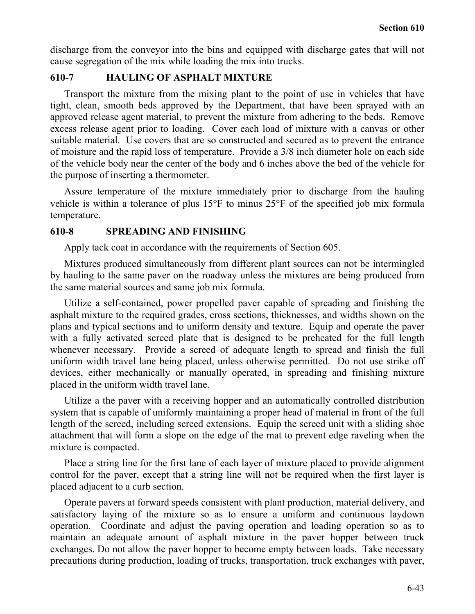discharge from the conveyor into the bins and equipped with discharge gates that will not cause segregation of the mix while loading the mix into trucks.

## **610-7 HAULING OF ASPHALT MIXTURE**

Transport the mixture from the mixing plant to the point of use in vehicles that have tight, clean, smooth beds approved by the Department, that have been sprayed with an approved release agent material, to prevent the mixture from adhering to the beds. Remove excess release agent prior to loading. Cover each load of mixture with a canvas or other suitable material. Use covers that are so constructed and secured as to prevent the entrance of moisture and the rapid loss of temperature. Provide a 3/8 inch diameter hole on each side of the vehicle body near the center of the body and 6 inches above the bed of the vehicle for the purpose of inserting a thermometer.

Assure temperature of the mixture immediately prior to discharge from the hauling vehicle is within a tolerance of plus 15°F to minus 25°F of the specified job mix formula temperature.

## **610-8 SPREADING AND FINISHING**

Apply tack coat in accordance with the requirements of Section 605.

Mixtures produced simultaneously from different plant sources can not be intermingled by hauling to the same paver on the roadway unless the mixtures are being produced from the same material sources and same job mix formula.

Utilize a self-contained, power propelled paver capable of spreading and finishing the asphalt mixture to the required grades, cross sections, thicknesses, and widths shown on the plans and typical sections and to uniform density and texture. Equip and operate the paver with a fully activated screed plate that is designed to be preheated for the full length whenever necessary. Provide a screed of adequate length to spread and finish the full uniform width travel lane being placed, unless otherwise permitted. Do not use strike off devices, either mechanically or manually operated, in spreading and finishing mixture placed in the uniform width travel lane.

Utilize a the paver with a receiving hopper and an automatically controlled distribution system that is capable of uniformly maintaining a proper head of material in front of the full length of the screed, including screed extensions. Equip the screed unit with a sliding shoe attachment that will form a slope on the edge of the mat to prevent edge raveling when the mixture is compacted.

Place a string line for the first lane of each layer of mixture placed to provide alignment control for the paver, except that a string line will not be required when the first layer is placed adjacent to a curb section.

Operate pavers at forward speeds consistent with plant production, material delivery, and satisfactory laying of the mixture so as to ensure a uniform and continuous laydown operation. Coordinate and adjust the paving operation and loading operation so as to maintain an adequate amount of asphalt mixture in the paver hopper between truck exchanges. Do not allow the paver hopper to become empty between loads. Take necessary precautions during production, loading of trucks, transportation, truck exchanges with paver,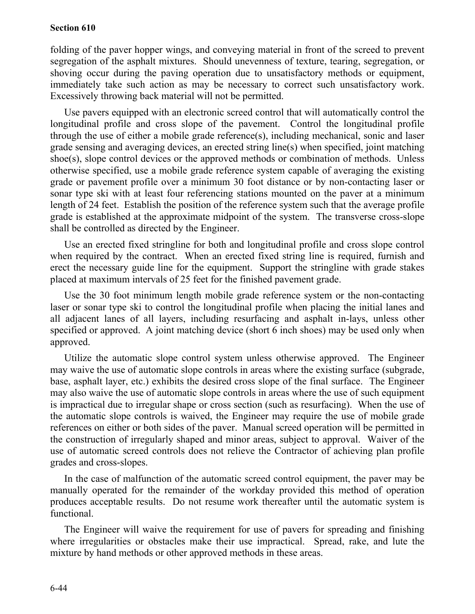folding of the paver hopper wings, and conveying material in front of the screed to prevent segregation of the asphalt mixtures. Should unevenness of texture, tearing, segregation, or shoving occur during the paving operation due to unsatisfactory methods or equipment, immediately take such action as may be necessary to correct such unsatisfactory work. Excessively throwing back material will not be permitted.

Use pavers equipped with an electronic screed control that will automatically control the longitudinal profile and cross slope of the pavement. Control the longitudinal profile through the use of either a mobile grade reference(s), including mechanical, sonic and laser grade sensing and averaging devices, an erected string line(s) when specified, joint matching shoe(s), slope control devices or the approved methods or combination of methods. Unless otherwise specified, use a mobile grade reference system capable of averaging the existing grade or pavement profile over a minimum 30 foot distance or by non-contacting laser or sonar type ski with at least four referencing stations mounted on the paver at a minimum length of 24 feet. Establish the position of the reference system such that the average profile grade is established at the approximate midpoint of the system. The transverse cross-slope shall be controlled as directed by the Engineer.

Use an erected fixed stringline for both and longitudinal profile and cross slope control when required by the contract. When an erected fixed string line is required, furnish and erect the necessary guide line for the equipment. Support the stringline with grade stakes placed at maximum intervals of 25 feet for the finished pavement grade.

Use the 30 foot minimum length mobile grade reference system or the non-contacting laser or sonar type ski to control the longitudinal profile when placing the initial lanes and all adjacent lanes of all layers, including resurfacing and asphalt in-lays, unless other specified or approved. A joint matching device (short 6 inch shoes) may be used only when approved.

Utilize the automatic slope control system unless otherwise approved. The Engineer may waive the use of automatic slope controls in areas where the existing surface (subgrade, base, asphalt layer, etc.) exhibits the desired cross slope of the final surface. The Engineer may also waive the use of automatic slope controls in areas where the use of such equipment is impractical due to irregular shape or cross section (such as resurfacing). When the use of the automatic slope controls is waived, the Engineer may require the use of mobile grade references on either or both sides of the paver. Manual screed operation will be permitted in the construction of irregularly shaped and minor areas, subject to approval. Waiver of the use of automatic screed controls does not relieve the Contractor of achieving plan profile grades and cross-slopes.

In the case of malfunction of the automatic screed control equipment, the paver may be manually operated for the remainder of the workday provided this method of operation produces acceptable results. Do not resume work thereafter until the automatic system is functional.

The Engineer will waive the requirement for use of pavers for spreading and finishing where irregularities or obstacles make their use impractical. Spread, rake, and lute the mixture by hand methods or other approved methods in these areas.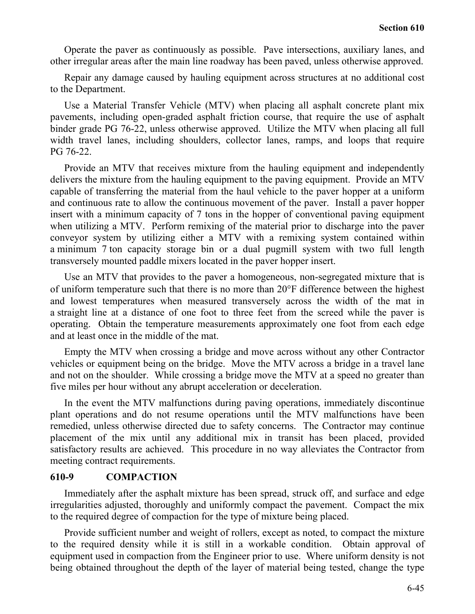Operate the paver as continuously as possible. Pave intersections, auxiliary lanes, and other irregular areas after the main line roadway has been paved, unless otherwise approved.

Repair any damage caused by hauling equipment across structures at no additional cost to the Department.

Use a Material Transfer Vehicle (MTV) when placing all asphalt concrete plant mix pavements, including open-graded asphalt friction course, that require the use of asphalt binder grade PG 76-22, unless otherwise approved. Utilize the MTV when placing all full width travel lanes, including shoulders, collector lanes, ramps, and loops that require PG 76-22.

Provide an MTV that receives mixture from the hauling equipment and independently delivers the mixture from the hauling equipment to the paving equipment. Provide an MTV capable of transferring the material from the haul vehicle to the paver hopper at a uniform and continuous rate to allow the continuous movement of the paver. Install a paver hopper insert with a minimum capacity of 7 tons in the hopper of conventional paving equipment when utilizing a MTV. Perform remixing of the material prior to discharge into the paver conveyor system by utilizing either a MTV with a remixing system contained within a minimum 7 ton capacity storage bin or a dual pugmill system with two full length transversely mounted paddle mixers located in the paver hopper insert.

Use an MTV that provides to the paver a homogeneous, non-segregated mixture that is of uniform temperature such that there is no more than 20°F difference between the highest and lowest temperatures when measured transversely across the width of the mat in a straight line at a distance of one foot to three feet from the screed while the paver is operating. Obtain the temperature measurements approximately one foot from each edge and at least once in the middle of the mat.

Empty the MTV when crossing a bridge and move across without any other Contractor vehicles or equipment being on the bridge. Move the MTV across a bridge in a travel lane and not on the shoulder. While crossing a bridge move the MTV at a speed no greater than five miles per hour without any abrupt acceleration or deceleration.

In the event the MTV malfunctions during paving operations, immediately discontinue plant operations and do not resume operations until the MTV malfunctions have been remedied, unless otherwise directed due to safety concerns. The Contractor may continue placement of the mix until any additional mix in transit has been placed, provided satisfactory results are achieved. This procedure in no way alleviates the Contractor from meeting contract requirements.

#### **610-9 COMPACTION**

Immediately after the asphalt mixture has been spread, struck off, and surface and edge irregularities adjusted, thoroughly and uniformly compact the pavement. Compact the mix to the required degree of compaction for the type of mixture being placed.

Provide sufficient number and weight of rollers, except as noted, to compact the mixture to the required density while it is still in a workable condition. Obtain approval of equipment used in compaction from the Engineer prior to use. Where uniform density is not being obtained throughout the depth of the layer of material being tested, change the type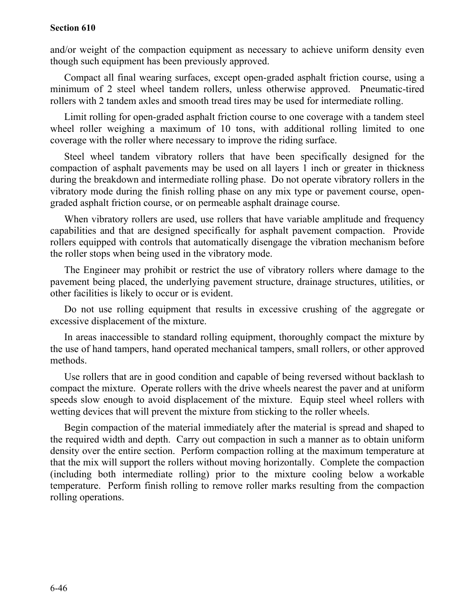and/or weight of the compaction equipment as necessary to achieve uniform density even though such equipment has been previously approved.

Compact all final wearing surfaces, except open-graded asphalt friction course, using a minimum of 2 steel wheel tandem rollers, unless otherwise approved. Pneumatic-tired rollers with 2 tandem axles and smooth tread tires may be used for intermediate rolling.

Limit rolling for open-graded asphalt friction course to one coverage with a tandem steel wheel roller weighing a maximum of 10 tons, with additional rolling limited to one coverage with the roller where necessary to improve the riding surface.

Steel wheel tandem vibratory rollers that have been specifically designed for the compaction of asphalt pavements may be used on all layers 1 inch or greater in thickness during the breakdown and intermediate rolling phase. Do not operate vibratory rollers in the vibratory mode during the finish rolling phase on any mix type or pavement course, opengraded asphalt friction course, or on permeable asphalt drainage course.

When vibratory rollers are used, use rollers that have variable amplitude and frequency capabilities and that are designed specifically for asphalt pavement compaction. Provide rollers equipped with controls that automatically disengage the vibration mechanism before the roller stops when being used in the vibratory mode.

The Engineer may prohibit or restrict the use of vibratory rollers where damage to the pavement being placed, the underlying pavement structure, drainage structures, utilities, or other facilities is likely to occur or is evident.

Do not use rolling equipment that results in excessive crushing of the aggregate or excessive displacement of the mixture.

In areas inaccessible to standard rolling equipment, thoroughly compact the mixture by the use of hand tampers, hand operated mechanical tampers, small rollers, or other approved methods.

Use rollers that are in good condition and capable of being reversed without backlash to compact the mixture. Operate rollers with the drive wheels nearest the paver and at uniform speeds slow enough to avoid displacement of the mixture. Equip steel wheel rollers with wetting devices that will prevent the mixture from sticking to the roller wheels.

Begin compaction of the material immediately after the material is spread and shaped to the required width and depth. Carry out compaction in such a manner as to obtain uniform density over the entire section. Perform compaction rolling at the maximum temperature at that the mix will support the rollers without moving horizontally. Complete the compaction (including both intermediate rolling) prior to the mixture cooling below a workable temperature. Perform finish rolling to remove roller marks resulting from the compaction rolling operations.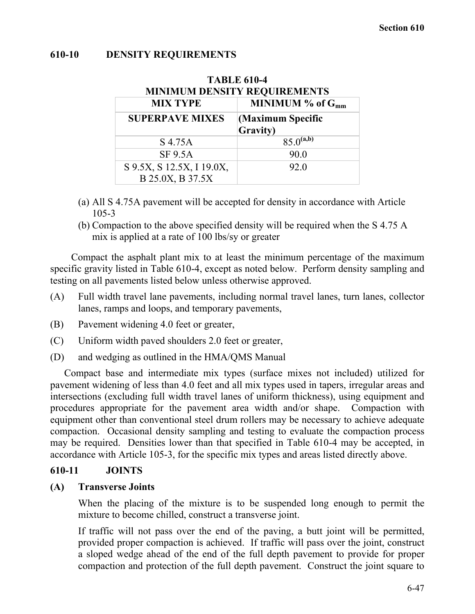#### **610-10 DENSITY REQUIREMENTS**

#### **TABLE 610-4**

| <b>MINIMUM DENSITY REQUIREMENTS</b>           |                                       |  |
|-----------------------------------------------|---------------------------------------|--|
| <b>MIX TYPE</b>                               | MINIMUM $%$ of $G_{mm}$               |  |
| <b>SUPERPAVE MIXES</b>                        | (Maximum Specific<br><b>Gravity</b> ) |  |
| S 4.75A                                       | $85.0^{(a,b)}$                        |  |
| <b>SF 9.5A</b>                                | 90.0                                  |  |
| S 9.5X, S 12.5X, I 19.0X,<br>B 25.0X, B 37.5X | 92.0                                  |  |

- (a) All S 4.75A pavement will be accepted for density in accordance with Article 105-3
- (b) Compaction to the above specified density will be required when the S 4.75 A mix is applied at a rate of 100 lbs/sy or greater

Compact the asphalt plant mix to at least the minimum percentage of the maximum specific gravity listed in Table 610-4, except as noted below. Perform density sampling and testing on all pavements listed below unless otherwise approved.

- (A) Full width travel lane pavements, including normal travel lanes, turn lanes, collector lanes, ramps and loops, and temporary pavements,
- (B) Pavement widening 4.0 feet or greater,
- (C) Uniform width paved shoulders 2.0 feet or greater,
- (D) and wedging as outlined in the HMA/QMS Manual

Compact base and intermediate mix types (surface mixes not included) utilized for pavement widening of less than 4.0 feet and all mix types used in tapers, irregular areas and intersections (excluding full width travel lanes of uniform thickness), using equipment and procedures appropriate for the pavement area width and/or shape. Compaction with equipment other than conventional steel drum rollers may be necessary to achieve adequate compaction. Occasional density sampling and testing to evaluate the compaction process may be required. Densities lower than that specified in Table 610-4 may be accepted, in accordance with Article 105-3, for the specific mix types and areas listed directly above.

#### **610-11 JOINTS**

#### **(A) Transverse Joints**

When the placing of the mixture is to be suspended long enough to permit the mixture to become chilled, construct a transverse joint.

If traffic will not pass over the end of the paving, a butt joint will be permitted, provided proper compaction is achieved. If traffic will pass over the joint, construct a sloped wedge ahead of the end of the full depth pavement to provide for proper compaction and protection of the full depth pavement. Construct the joint square to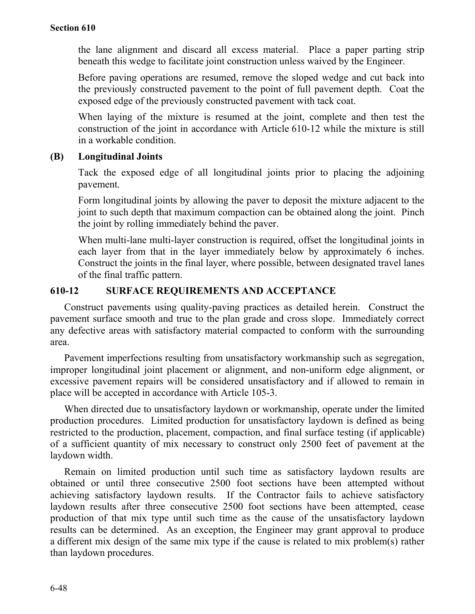the lane alignment and discard all excess material. Place a paper parting strip beneath this wedge to facilitate joint construction unless waived by the Engineer.

Before paving operations are resumed, remove the sloped wedge and cut back into the previously constructed pavement to the point of full pavement depth. Coat the exposed edge of the previously constructed pavement with tack coat.

When laying of the mixture is resumed at the joint, complete and then test the construction of the joint in accordance with Article 610-12 while the mixture is still in a workable condition.

## **(B) Longitudinal Joints**

Tack the exposed edge of all longitudinal joints prior to placing the adjoining pavement.

Form longitudinal joints by allowing the paver to deposit the mixture adjacent to the joint to such depth that maximum compaction can be obtained along the joint. Pinch the joint by rolling immediately behind the paver.

When multi-lane multi-layer construction is required, offset the longitudinal joints in each layer from that in the layer immediately below by approximately 6 inches. Construct the joints in the final layer, where possible, between designated travel lanes of the final traffic pattern.

# **610-12 SURFACE REQUIREMENTS AND ACCEPTANCE**

Construct pavements using quality-paving practices as detailed herein. Construct the pavement surface smooth and true to the plan grade and cross slope. Immediately correct any defective areas with satisfactory material compacted to conform with the surrounding area.

Pavement imperfections resulting from unsatisfactory workmanship such as segregation, improper longitudinal joint placement or alignment, and non-uniform edge alignment, or excessive pavement repairs will be considered unsatisfactory and if allowed to remain in place will be accepted in accordance with Article 105-3.

When directed due to unsatisfactory laydown or workmanship, operate under the limited production procedures. Limited production for unsatisfactory laydown is defined as being restricted to the production, placement, compaction, and final surface testing (if applicable) of a sufficient quantity of mix necessary to construct only 2500 feet of pavement at the laydown width.

Remain on limited production until such time as satisfactory laydown results are obtained or until three consecutive 2500 foot sections have been attempted without achieving satisfactory laydown results. If the Contractor fails to achieve satisfactory laydown results after three consecutive 2500 foot sections have been attempted, cease production of that mix type until such time as the cause of the unsatisfactory laydown results can be determined. As an exception, the Engineer may grant approval to produce a different mix design of the same mix type if the cause is related to mix problem(s) rather than laydown procedures.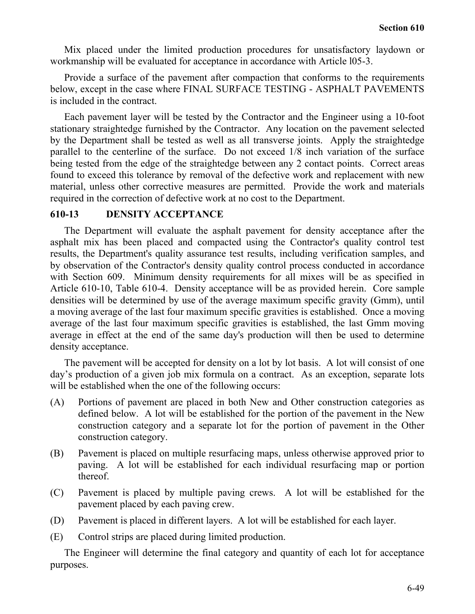Mix placed under the limited production procedures for unsatisfactory laydown or workmanship will be evaluated for acceptance in accordance with Article l05-3.

Provide a surface of the pavement after compaction that conforms to the requirements below, except in the case where FINAL SURFACE TESTING - ASPHALT PAVEMENTS is included in the contract.

Each pavement layer will be tested by the Contractor and the Engineer using a 10-foot stationary straightedge furnished by the Contractor. Any location on the pavement selected by the Department shall be tested as well as all transverse joints. Apply the straightedge parallel to the centerline of the surface. Do not exceed 1/8 inch variation of the surface being tested from the edge of the straightedge between any 2 contact points. Correct areas found to exceed this tolerance by removal of the defective work and replacement with new material, unless other corrective measures are permitted. Provide the work and materials required in the correction of defective work at no cost to the Department.

## **610-13 DENSITY ACCEPTANCE**

The Department will evaluate the asphalt pavement for density acceptance after the asphalt mix has been placed and compacted using the Contractor's quality control test results, the Department's quality assurance test results, including verification samples, and by observation of the Contractor's density quality control process conducted in accordance with Section 609. Minimum density requirements for all mixes will be as specified in Article 610-10, Table 610-4. Density acceptance will be as provided herein. Core sample densities will be determined by use of the average maximum specific gravity (Gmm), until a moving average of the last four maximum specific gravities is established. Once a moving average of the last four maximum specific gravities is established, the last Gmm moving average in effect at the end of the same day's production will then be used to determine density acceptance.

The pavement will be accepted for density on a lot by lot basis. A lot will consist of one day's production of a given job mix formula on a contract. As an exception, separate lots will be established when the one of the following occurs:

- (A) Portions of pavement are placed in both New and Other construction categories as defined below. A lot will be established for the portion of the pavement in the New construction category and a separate lot for the portion of pavement in the Other construction category.
- (B) Pavement is placed on multiple resurfacing maps, unless otherwise approved prior to paving. A lot will be established for each individual resurfacing map or portion thereof.
- (C) Pavement is placed by multiple paving crews. A lot will be established for the pavement placed by each paving crew.
- (D) Pavement is placed in different layers. A lot will be established for each layer.
- (E) Control strips are placed during limited production.

The Engineer will determine the final category and quantity of each lot for acceptance purposes.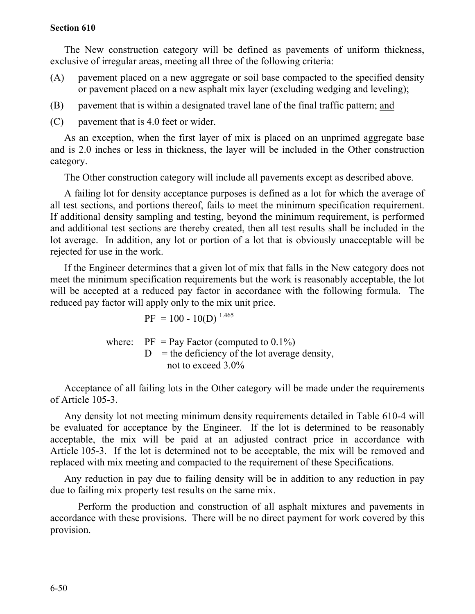The New construction category will be defined as pavements of uniform thickness, exclusive of irregular areas, meeting all three of the following criteria:

- (A) pavement placed on a new aggregate or soil base compacted to the specified density or pavement placed on a new asphalt mix layer (excluding wedging and leveling);
- (B) pavement that is within a designated travel lane of the final traffic pattern; and
- (C) pavement that is 4.0 feet or wider.

As an exception, when the first layer of mix is placed on an unprimed aggregate base and is 2.0 inches or less in thickness, the layer will be included in the Other construction category.

The Other construction category will include all pavements except as described above.

A failing lot for density acceptance purposes is defined as a lot for which the average of all test sections, and portions thereof, fails to meet the minimum specification requirement. If additional density sampling and testing, beyond the minimum requirement, is performed and additional test sections are thereby created, then all test results shall be included in the lot average. In addition, any lot or portion of a lot that is obviously unacceptable will be rejected for use in the work.

If the Engineer determines that a given lot of mix that falls in the New category does not meet the minimum specification requirements but the work is reasonably acceptable, the lot will be accepted at a reduced pay factor in accordance with the following formula. The reduced pay factor will apply only to the mix unit price.

$$
PF = 100 - 10(D)^{1.465}
$$

where:  $PF = Pay Factor$  (computed to  $0.1\%$ )  $D =$  the deficiency of the lot average density, not to exceed 3.0%

Acceptance of all failing lots in the Other category will be made under the requirements of Article 105-3.

Any density lot not meeting minimum density requirements detailed in Table 610-4 will be evaluated for acceptance by the Engineer. If the lot is determined to be reasonably acceptable, the mix will be paid at an adjusted contract price in accordance with Article 105-3. If the lot is determined not to be acceptable, the mix will be removed and replaced with mix meeting and compacted to the requirement of these Specifications.

Any reduction in pay due to failing density will be in addition to any reduction in pay due to failing mix property test results on the same mix.

Perform the production and construction of all asphalt mixtures and pavements in accordance with these provisions. There will be no direct payment for work covered by this provision.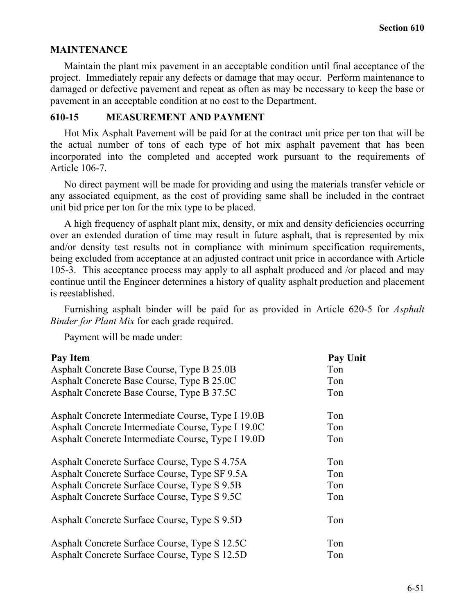## **MAINTENANCE**

Maintain the plant mix pavement in an acceptable condition until final acceptance of the project. Immediately repair any defects or damage that may occur. Perform maintenance to damaged or defective pavement and repeat as often as may be necessary to keep the base or pavement in an acceptable condition at no cost to the Department.

## **610-15 MEASUREMENT AND PAYMENT**

Hot Mix Asphalt Pavement will be paid for at the contract unit price per ton that will be the actual number of tons of each type of hot mix asphalt pavement that has been incorporated into the completed and accepted work pursuant to the requirements of Article 106-7.

No direct payment will be made for providing and using the materials transfer vehicle or any associated equipment, as the cost of providing same shall be included in the contract unit bid price per ton for the mix type to be placed.

A high frequency of asphalt plant mix, density, or mix and density deficiencies occurring over an extended duration of time may result in future asphalt, that is represented by mix and/or density test results not in compliance with minimum specification requirements, being excluded from acceptance at an adjusted contract unit price in accordance with Article 105-3. This acceptance process may apply to all asphalt produced and /or placed and may continue until the Engineer determines a history of quality asphalt production and placement is reestablished.

Furnishing asphalt binder will be paid for as provided in Article 620-5 for *Asphalt Binder for Plant Mix* for each grade required.

Payment will be made under:

| <b>Pay Item</b>                                    | <b>Pay Unit</b> |
|----------------------------------------------------|-----------------|
| Asphalt Concrete Base Course, Type B 25.0B         | Ton             |
| Asphalt Concrete Base Course, Type B 25.0C         | Ton             |
| Asphalt Concrete Base Course, Type B 37.5C         | Ton             |
| Asphalt Concrete Intermediate Course, Type I 19.0B | Ton             |
| Asphalt Concrete Intermediate Course, Type I 19.0C | Ton             |
| Asphalt Concrete Intermediate Course, Type I 19.0D | Ton             |
| Asphalt Concrete Surface Course, Type S 4.75A      | Ton             |
| Asphalt Concrete Surface Course, Type SF 9.5A      | Ton             |
| Asphalt Concrete Surface Course, Type S 9.5B       | Ton             |
| Asphalt Concrete Surface Course, Type S 9.5C       | Ton             |
| Asphalt Concrete Surface Course, Type S 9.5D       | Ton             |
| Asphalt Concrete Surface Course, Type S 12.5C      | Ton             |
| Asphalt Concrete Surface Course, Type S 12.5D      | Ton             |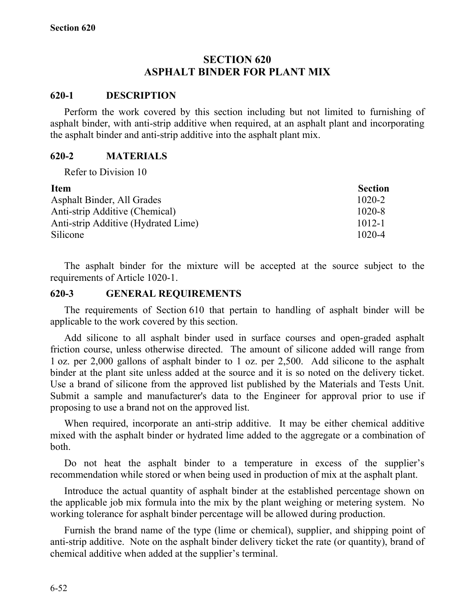# **SECTION 620 ASPHALT BINDER FOR PLANT MIX**

#### **620-1 DESCRIPTION**

Perform the work covered by this section including but not limited to furnishing of asphalt binder, with anti-strip additive when required, at an asphalt plant and incorporating the asphalt binder and anti-strip additive into the asphalt plant mix.

#### **620-2 MATERIALS**

Refer to Division 10

| <b>Item</b>                         | <b>Section</b> |
|-------------------------------------|----------------|
| Asphalt Binder, All Grades          | $1020 - 2$     |
| Anti-strip Additive (Chemical)      | $1020 - 8$     |
| Anti-strip Additive (Hydrated Lime) | $1012 - 1$     |
| Silicone                            | 1020-4         |

The asphalt binder for the mixture will be accepted at the source subject to the requirements of Article 1020-1.

#### **620-3 GENERAL REQUIREMENTS**

The requirements of Section 610 that pertain to handling of asphalt binder will be applicable to the work covered by this section.

Add silicone to all asphalt binder used in surface courses and open-graded asphalt friction course, unless otherwise directed. The amount of silicone added will range from 1 oz. per 2,000 gallons of asphalt binder to 1 oz. per 2,500. Add silicone to the asphalt binder at the plant site unless added at the source and it is so noted on the delivery ticket. Use a brand of silicone from the approved list published by the Materials and Tests Unit. Submit a sample and manufacturer's data to the Engineer for approval prior to use if proposing to use a brand not on the approved list.

When required, incorporate an anti-strip additive. It may be either chemical additive mixed with the asphalt binder or hydrated lime added to the aggregate or a combination of both.

Do not heat the asphalt binder to a temperature in excess of the supplier's recommendation while stored or when being used in production of mix at the asphalt plant.

Introduce the actual quantity of asphalt binder at the established percentage shown on the applicable job mix formula into the mix by the plant weighing or metering system. No working tolerance for asphalt binder percentage will be allowed during production.

Furnish the brand name of the type (lime or chemical), supplier, and shipping point of anti-strip additive. Note on the asphalt binder delivery ticket the rate (or quantity), brand of chemical additive when added at the supplier's terminal.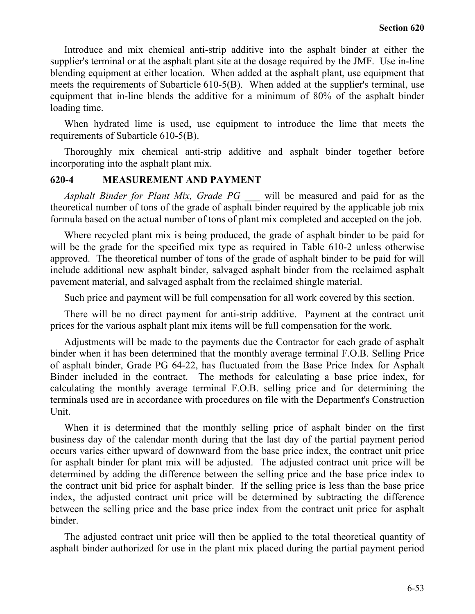Introduce and mix chemical anti-strip additive into the asphalt binder at either the supplier's terminal or at the asphalt plant site at the dosage required by the JMF. Use in-line blending equipment at either location. When added at the asphalt plant, use equipment that meets the requirements of Subarticle 610-5(B). When added at the supplier's terminal, use equipment that in-line blends the additive for a minimum of 80% of the asphalt binder loading time.

When hydrated lime is used, use equipment to introduce the lime that meets the requirements of Subarticle 610-5(B).

Thoroughly mix chemical anti-strip additive and asphalt binder together before incorporating into the asphalt plant mix.

#### **620-4 MEASUREMENT AND PAYMENT**

*Asphalt Binder for Plant Mix, Grade PG \_\_\_* will be measured and paid for as the theoretical number of tons of the grade of asphalt binder required by the applicable job mix formula based on the actual number of tons of plant mix completed and accepted on the job.

Where recycled plant mix is being produced, the grade of asphalt binder to be paid for will be the grade for the specified mix type as required in Table 610-2 unless otherwise approved. The theoretical number of tons of the grade of asphalt binder to be paid for will include additional new asphalt binder, salvaged asphalt binder from the reclaimed asphalt pavement material, and salvaged asphalt from the reclaimed shingle material.

Such price and payment will be full compensation for all work covered by this section.

There will be no direct payment for anti-strip additive. Payment at the contract unit prices for the various asphalt plant mix items will be full compensation for the work.

Adjustments will be made to the payments due the Contractor for each grade of asphalt binder when it has been determined that the monthly average terminal F.O.B. Selling Price of asphalt binder, Grade PG 64-22, has fluctuated from the Base Price Index for Asphalt Binder included in the contract. The methods for calculating a base price index, for calculating the monthly average terminal F.O.B. selling price and for determining the terminals used are in accordance with procedures on file with the Department's Construction Unit.

When it is determined that the monthly selling price of asphalt binder on the first business day of the calendar month during that the last day of the partial payment period occurs varies either upward of downward from the base price index, the contract unit price for asphalt binder for plant mix will be adjusted. The adjusted contract unit price will be determined by adding the difference between the selling price and the base price index to the contract unit bid price for asphalt binder. If the selling price is less than the base price index, the adjusted contract unit price will be determined by subtracting the difference between the selling price and the base price index from the contract unit price for asphalt binder.

The adjusted contract unit price will then be applied to the total theoretical quantity of asphalt binder authorized for use in the plant mix placed during the partial payment period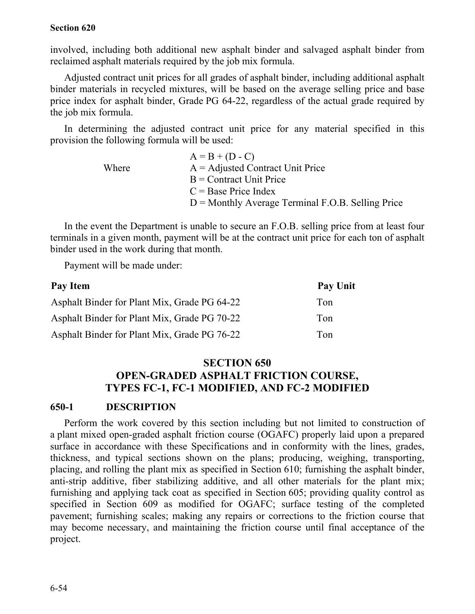involved, including both additional new asphalt binder and salvaged asphalt binder from reclaimed asphalt materials required by the job mix formula.

Adjusted contract unit prices for all grades of asphalt binder, including additional asphalt binder materials in recycled mixtures, will be based on the average selling price and base price index for asphalt binder, Grade PG 64-22, regardless of the actual grade required by the job mix formula.

In determining the adjusted contract unit price for any material specified in this provision the following formula will be used:

|       | $A = B + (D - C)$                                   |
|-------|-----------------------------------------------------|
| Where | $A =$ Adjusted Contract Unit Price                  |
|       | $B =$ Contract Unit Price                           |
|       | $C = Base Price Index$                              |
|       | $D =$ Monthly Average Terminal F.O.B. Selling Price |

In the event the Department is unable to secure an F.O.B. selling price from at least four terminals in a given month, payment will be at the contract unit price for each ton of asphalt binder used in the work during that month.

Payment will be made under:

| Pay Item                                     | <b>Pay Unit</b> |
|----------------------------------------------|-----------------|
| Asphalt Binder for Plant Mix, Grade PG 64-22 | Ton             |
| Asphalt Binder for Plant Mix, Grade PG 70-22 | Ton             |
| Asphalt Binder for Plant Mix, Grade PG 76-22 | Ton             |

# **SECTION 650 OPEN-GRADED ASPHALT FRICTION COURSE, TYPES FC-1, FC-1 MODIFIED, AND FC-2 MODIFIED**

## **650-1 DESCRIPTION**

Perform the work covered by this section including but not limited to construction of a plant mixed open-graded asphalt friction course (OGAFC) properly laid upon a prepared surface in accordance with these Specifications and in conformity with the lines, grades, thickness, and typical sections shown on the plans; producing, weighing, transporting, placing, and rolling the plant mix as specified in Section 610; furnishing the asphalt binder, anti-strip additive, fiber stabilizing additive, and all other materials for the plant mix; furnishing and applying tack coat as specified in Section 605; providing quality control as specified in Section 609 as modified for OGAFC; surface testing of the completed pavement; furnishing scales; making any repairs or corrections to the friction course that may become necessary, and maintaining the friction course until final acceptance of the project.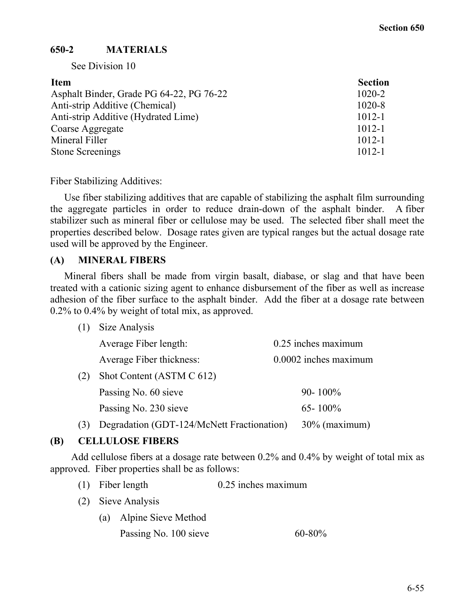# **650-2 MATERIALS**

See Division 10

| <b>Item</b>                              | <b>Section</b> |
|------------------------------------------|----------------|
| Asphalt Binder, Grade PG 64-22, PG 76-22 | $1020 - 2$     |
| Anti-strip Additive (Chemical)           | $1020 - 8$     |
| Anti-strip Additive (Hydrated Lime)      | $1012 - 1$     |
| Coarse Aggregate                         | $1012 - 1$     |
| Mineral Filler                           | $1012 - 1$     |
| <b>Stone Screenings</b>                  | $1012 - 1$     |

Fiber Stabilizing Additives:

Use fiber stabilizing additives that are capable of stabilizing the asphalt film surrounding the aggregate particles in order to reduce drain-down of the asphalt binder. A fiber stabilizer such as mineral fiber or cellulose may be used. The selected fiber shall meet the properties described below. Dosage rates given are typical ranges but the actual dosage rate used will be approved by the Engineer.

## **(A) MINERAL FIBERS**

Mineral fibers shall be made from virgin basalt, diabase, or slag and that have been treated with a cationic sizing agent to enhance disbursement of the fiber as well as increase adhesion of the fiber surface to the asphalt binder. Add the fiber at a dosage rate between 0.2% to 0.4% by weight of total mix, as approved.

(1) Size Analysis

|     | Average Fiber length:     | 0.25 inches maximum   |
|-----|---------------------------|-----------------------|
|     | Average Fiber thickness:  | 0.0002 inches maximum |
| (2) | Shot Content (ASTM C 612) |                       |
|     | Passing No. 60 sieve      | $90 - 100\%$          |
|     | Passing No. 230 sieve     | $65 - 100\%$          |
|     |                           |                       |

(3) Degradation (GDT-124/McNett Fractionation) 30% (maximum)

## **(B) CELLULOSE FIBERS**

Add cellulose fibers at a dosage rate between 0.2% and 0.4% by weight of total mix as approved. Fiber properties shall be as follows:

- (1) Fiber length 0.25 inches maximum
- (2) Sieve Analysis
	- (a) Alpine Sieve Method
		- Passing No.  $100$  sieve 60-80%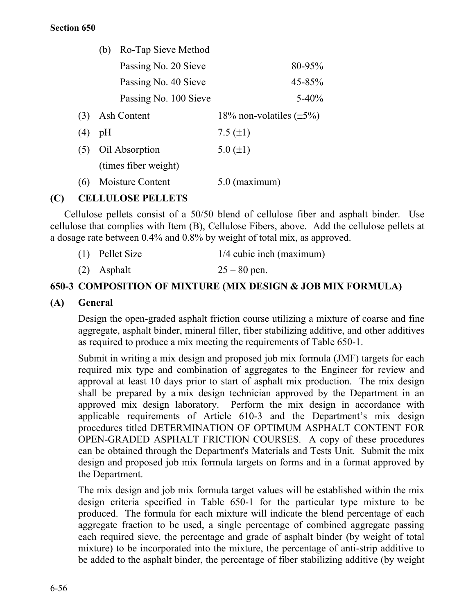|     | Ro-Tap Sieve Method<br>(b) |                               |
|-----|----------------------------|-------------------------------|
|     | Passing No. 20 Sieve       | 80-95%                        |
|     | Passing No. 40 Sieve       | 45-85%                        |
|     | Passing No. 100 Sieve      | $5 - 40%$                     |
| (3) | Ash Content                | 18% non-volatiles $(\pm 5\%)$ |
| (4) | pH                         | 7.5 $(\pm 1)$                 |
| (5) | Oil Absorption             | 5.0 $(\pm 1)$                 |
|     | (times fiber weight)       |                               |
| (6) | Moisture Content           | $5.0$ (maximum)               |

# **(C) CELLULOSE PELLETS**

Cellulose pellets consist of a 50/50 blend of cellulose fiber and asphalt binder. Use cellulose that complies with Item (B), Cellulose Fibers, above. Add the cellulose pellets at a dosage rate between 0.4% and 0.8% by weight of total mix, as approved.

| $(1)$ Pellet Size | $1/4$ cubic inch (maximum) |
|-------------------|----------------------------|
| (2) Asphalt       | $25 - 80$ pen.             |

## **650-3 COMPOSITION OF MIXTURE (MIX DESIGN & JOB MIX FORMULA)**

#### **(A) General**

Design the open-graded asphalt friction course utilizing a mixture of coarse and fine aggregate, asphalt binder, mineral filler, fiber stabilizing additive, and other additives as required to produce a mix meeting the requirements of Table 650-1.

Submit in writing a mix design and proposed job mix formula (JMF) targets for each required mix type and combination of aggregates to the Engineer for review and approval at least 10 days prior to start of asphalt mix production. The mix design shall be prepared by a mix design technician approved by the Department in an approved mix design laboratory. Perform the mix design in accordance with applicable requirements of Article 610-3 and the Department's mix design procedures titled DETERMINATION OF OPTIMUM ASPHALT CONTENT FOR OPEN-GRADED ASPHALT FRICTION COURSES. A copy of these procedures can be obtained through the Department's Materials and Tests Unit. Submit the mix design and proposed job mix formula targets on forms and in a format approved by the Department.

The mix design and job mix formula target values will be established within the mix design criteria specified in Table 650-1 for the particular type mixture to be produced. The formula for each mixture will indicate the blend percentage of each aggregate fraction to be used, a single percentage of combined aggregate passing each required sieve, the percentage and grade of asphalt binder (by weight of total mixture) to be incorporated into the mixture, the percentage of anti-strip additive to be added to the asphalt binder, the percentage of fiber stabilizing additive (by weight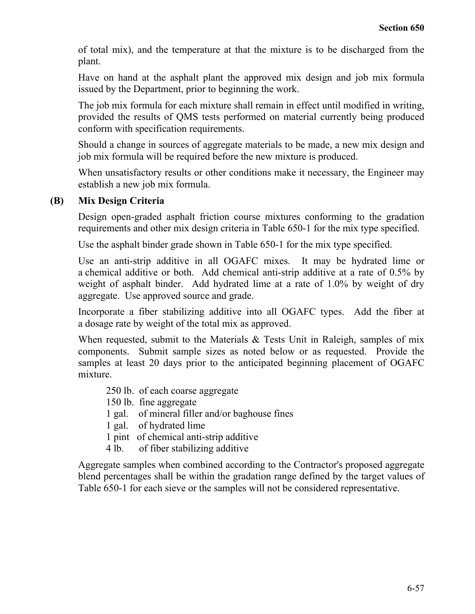of total mix), and the temperature at that the mixture is to be discharged from the plant.

Have on hand at the asphalt plant the approved mix design and job mix formula issued by the Department, prior to beginning the work.

The job mix formula for each mixture shall remain in effect until modified in writing, provided the results of QMS tests performed on material currently being produced conform with specification requirements.

Should a change in sources of aggregate materials to be made, a new mix design and job mix formula will be required before the new mixture is produced.

When unsatisfactory results or other conditions make it necessary, the Engineer may establish a new job mix formula.

## **(B) Mix Design Criteria**

Design open-graded asphalt friction course mixtures conforming to the gradation requirements and other mix design criteria in Table 650-1 for the mix type specified.

Use the asphalt binder grade shown in Table 650-1 for the mix type specified.

Use an anti-strip additive in all OGAFC mixes. It may be hydrated lime or a chemical additive or both. Add chemical anti-strip additive at a rate of 0.5% by weight of asphalt binder. Add hydrated lime at a rate of 1.0% by weight of dry aggregate. Use approved source and grade.

Incorporate a fiber stabilizing additive into all OGAFC types. Add the fiber at a dosage rate by weight of the total mix as approved.

When requested, submit to the Materials & Tests Unit in Raleigh, samples of mix components. Submit sample sizes as noted below or as requested. Provide the samples at least 20 days prior to the anticipated beginning placement of OGAFC mixture.

- 250 lb. of each coarse aggregate
- 150 lb. fine aggregate
- 1 gal. of mineral filler and/or baghouse fines
- 1 gal. of hydrated lime
- 1 pint of chemical anti-strip additive
- 4 lb. of fiber stabilizing additive

Aggregate samples when combined according to the Contractor's proposed aggregate blend percentages shall be within the gradation range defined by the target values of Table 650-1 for each sieve or the samples will not be considered representative.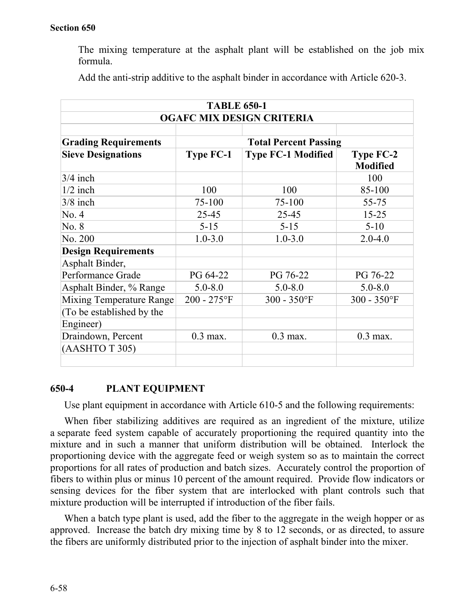The mixing temperature at the asphalt plant will be established on the job mix formula.

| <b>TABLE 650-1</b>               |                  |                              |                                     |
|----------------------------------|------------------|------------------------------|-------------------------------------|
| <b>OGAFC MIX DESIGN CRITERIA</b> |                  |                              |                                     |
|                                  |                  |                              |                                     |
| <b>Grading Requirements</b>      |                  | <b>Total Percent Passing</b> |                                     |
| <b>Sieve Designations</b>        | <b>Type FC-1</b> | <b>Type FC-1 Modified</b>    | <b>Type FC-2</b><br><b>Modified</b> |
| $3/4$ inch                       |                  |                              | 100                                 |
| $1/2$ inch                       | 100              | 100                          | 85-100                              |
| $3/8$ inch                       | 75-100           | 75-100                       | 55-75                               |
| No. 4                            | 25-45            | 25-45                        | $15 - 25$                           |
| No. 8                            | $5 - 15$         | $5 - 15$                     | $5 - 10$                            |
| No. 200                          | $1.0 - 3.0$      | $1.0 - 3.0$                  | $2.0 - 4.0$                         |
| <b>Design Requirements</b>       |                  |                              |                                     |
| Asphalt Binder,                  |                  |                              |                                     |
| Performance Grade                | PG 64-22         | PG 76-22                     | PG 76-22                            |
| Asphalt Binder, % Range          | $5.0 - 8.0$      | $5.0 - 8.0$                  | $5.0 - 8.0$                         |
| Mixing Temperature Range         | $200 - 275$ °F   | $300 - 350$ °F               | $300 - 350$ °F                      |
| (To be established by the        |                  |                              |                                     |
| Engineer)                        |                  |                              |                                     |
| Draindown, Percent               | $0.3$ max.       | $0.3$ max.                   | $0.3$ max.                          |
| (AASHTO T 305)                   |                  |                              |                                     |
|                                  |                  |                              |                                     |

Add the anti-strip additive to the asphalt binder in accordance with Article 620-3.

## **650-4 PLANT EQUIPMENT**

Use plant equipment in accordance with Article 610-5 and the following requirements:

When fiber stabilizing additives are required as an ingredient of the mixture, utilize a separate feed system capable of accurately proportioning the required quantity into the mixture and in such a manner that uniform distribution will be obtained. Interlock the proportioning device with the aggregate feed or weigh system so as to maintain the correct proportions for all rates of production and batch sizes. Accurately control the proportion of fibers to within plus or minus 10 percent of the amount required. Provide flow indicators or sensing devices for the fiber system that are interlocked with plant controls such that mixture production will be interrupted if introduction of the fiber fails.

When a batch type plant is used, add the fiber to the aggregate in the weigh hopper or as approved. Increase the batch dry mixing time by 8 to 12 seconds, or as directed, to assure the fibers are uniformly distributed prior to the injection of asphalt binder into the mixer.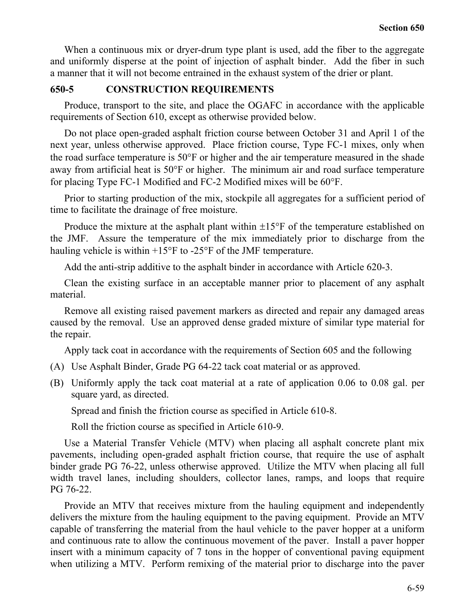When a continuous mix or dryer-drum type plant is used, add the fiber to the aggregate and uniformly disperse at the point of injection of asphalt binder. Add the fiber in such a manner that it will not become entrained in the exhaust system of the drier or plant.

## **650-5 CONSTRUCTION REQUIREMENTS**

Produce, transport to the site, and place the OGAFC in accordance with the applicable requirements of Section 610, except as otherwise provided below.

Do not place open-graded asphalt friction course between October 31 and April 1 of the next year, unless otherwise approved. Place friction course, Type FC-1 mixes, only when the road surface temperature is 50°F or higher and the air temperature measured in the shade away from artificial heat is 50°F or higher. The minimum air and road surface temperature for placing Type FC-1 Modified and FC-2 Modified mixes will be 60°F.

Prior to starting production of the mix, stockpile all aggregates for a sufficient period of time to facilitate the drainage of free moisture.

Produce the mixture at the asphalt plant within  $\pm 15^{\circ}$  F of the temperature established on the JMF. Assure the temperature of the mix immediately prior to discharge from the hauling vehicle is within +15°F to -25°F of the JMF temperature.

Add the anti-strip additive to the asphalt binder in accordance with Article 620-3.

Clean the existing surface in an acceptable manner prior to placement of any asphalt material.

Remove all existing raised pavement markers as directed and repair any damaged areas caused by the removal. Use an approved dense graded mixture of similar type material for the repair.

Apply tack coat in accordance with the requirements of Section 605 and the following

- (A) Use Asphalt Binder, Grade PG 64-22 tack coat material or as approved.
- (B) Uniformly apply the tack coat material at a rate of application 0.06 to 0.08 gal. per square yard, as directed.

Spread and finish the friction course as specified in Article 610-8.

Roll the friction course as specified in Article 610-9.

Use a Material Transfer Vehicle (MTV) when placing all asphalt concrete plant mix pavements, including open-graded asphalt friction course, that require the use of asphalt binder grade PG 76-22, unless otherwise approved. Utilize the MTV when placing all full width travel lanes, including shoulders, collector lanes, ramps, and loops that require PG 76-22.

Provide an MTV that receives mixture from the hauling equipment and independently delivers the mixture from the hauling equipment to the paving equipment. Provide an MTV capable of transferring the material from the haul vehicle to the paver hopper at a uniform and continuous rate to allow the continuous movement of the paver. Install a paver hopper insert with a minimum capacity of 7 tons in the hopper of conventional paving equipment when utilizing a MTV. Perform remixing of the material prior to discharge into the paver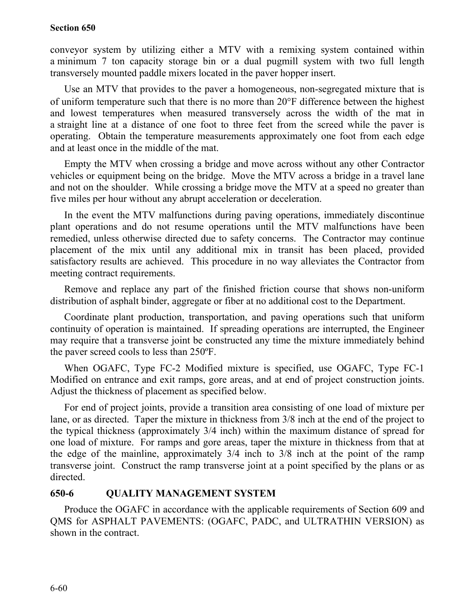conveyor system by utilizing either a MTV with a remixing system contained within a minimum 7 ton capacity storage bin or a dual pugmill system with two full length transversely mounted paddle mixers located in the paver hopper insert.

Use an MTV that provides to the paver a homogeneous, non-segregated mixture that is of uniform temperature such that there is no more than 20°F difference between the highest and lowest temperatures when measured transversely across the width of the mat in a straight line at a distance of one foot to three feet from the screed while the paver is operating. Obtain the temperature measurements approximately one foot from each edge and at least once in the middle of the mat.

Empty the MTV when crossing a bridge and move across without any other Contractor vehicles or equipment being on the bridge. Move the MTV across a bridge in a travel lane and not on the shoulder. While crossing a bridge move the MTV at a speed no greater than five miles per hour without any abrupt acceleration or deceleration.

In the event the MTV malfunctions during paving operations, immediately discontinue plant operations and do not resume operations until the MTV malfunctions have been remedied, unless otherwise directed due to safety concerns. The Contractor may continue placement of the mix until any additional mix in transit has been placed, provided satisfactory results are achieved. This procedure in no way alleviates the Contractor from meeting contract requirements.

Remove and replace any part of the finished friction course that shows non-uniform distribution of asphalt binder, aggregate or fiber at no additional cost to the Department.

Coordinate plant production, transportation, and paving operations such that uniform continuity of operation is maintained. If spreading operations are interrupted, the Engineer may require that a transverse joint be constructed any time the mixture immediately behind the paver screed cools to less than 250ºF.

When OGAFC, Type FC-2 Modified mixture is specified, use OGAFC, Type FC-1 Modified on entrance and exit ramps, gore areas, and at end of project construction joints. Adjust the thickness of placement as specified below.

For end of project joints, provide a transition area consisting of one load of mixture per lane, or as directed. Taper the mixture in thickness from 3/8 inch at the end of the project to the typical thickness (approximately 3/4 inch) within the maximum distance of spread for one load of mixture. For ramps and gore areas, taper the mixture in thickness from that at the edge of the mainline, approximately 3/4 inch to 3/8 inch at the point of the ramp transverse joint. Construct the ramp transverse joint at a point specified by the plans or as directed.

## **650-6 QUALITY MANAGEMENT SYSTEM**

Produce the OGAFC in accordance with the applicable requirements of Section 609 and QMS for ASPHALT PAVEMENTS: (OGAFC, PADC, and ULTRATHIN VERSION) as shown in the contract.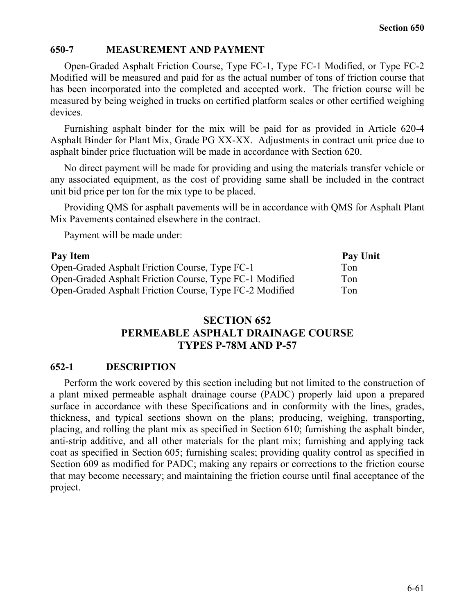#### **650-7 MEASUREMENT AND PAYMENT**

Open-Graded Asphalt Friction Course, Type FC-1, Type FC-1 Modified, or Type FC-2 Modified will be measured and paid for as the actual number of tons of friction course that has been incorporated into the completed and accepted work. The friction course will be measured by being weighed in trucks on certified platform scales or other certified weighing devices.

Furnishing asphalt binder for the mix will be paid for as provided in Article 620-4 Asphalt Binder for Plant Mix, Grade PG XX-XX. Adjustments in contract unit price due to asphalt binder price fluctuation will be made in accordance with Section 620.

No direct payment will be made for providing and using the materials transfer vehicle or any associated equipment, as the cost of providing same shall be included in the contract unit bid price per ton for the mix type to be placed.

Providing QMS for asphalt pavements will be in accordance with QMS for Asphalt Plant Mix Pavements contained elsewhere in the contract.

Payment will be made under:

| Pay Item                                                | Pay Unit |
|---------------------------------------------------------|----------|
| Open-Graded Asphalt Friction Course, Type FC-1          | Ton      |
| Open-Graded Asphalt Friction Course, Type FC-1 Modified | Ton      |
| Open-Graded Asphalt Friction Course, Type FC-2 Modified | Ton      |

# **SECTION 652 PERMEABLE ASPHALT DRAINAGE COURSE TYPES P-78M AND P-57**

#### **652-1 DESCRIPTION**

Perform the work covered by this section including but not limited to the construction of a plant mixed permeable asphalt drainage course (PADC) properly laid upon a prepared surface in accordance with these Specifications and in conformity with the lines, grades, thickness, and typical sections shown on the plans; producing, weighing, transporting, placing, and rolling the plant mix as specified in Section 610; furnishing the asphalt binder, anti-strip additive, and all other materials for the plant mix; furnishing and applying tack coat as specified in Section 605; furnishing scales; providing quality control as specified in Section 609 as modified for PADC; making any repairs or corrections to the friction course that may become necessary; and maintaining the friction course until final acceptance of the project.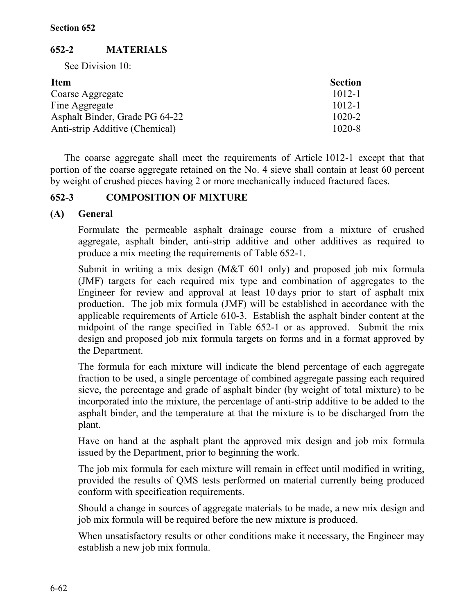# **652-2 MATERIALS**

See Division 10:

| <b>Item</b>                    | <b>Section</b> |
|--------------------------------|----------------|
| Coarse Aggregate               | $1012 - 1$     |
| Fine Aggregate                 | $1012 - 1$     |
| Asphalt Binder, Grade PG 64-22 | $1020 - 2$     |
| Anti-strip Additive (Chemical) | $1020 - 8$     |

The coarse aggregate shall meet the requirements of Article 1012-1 except that that portion of the coarse aggregate retained on the No. 4 sieve shall contain at least 60 percent by weight of crushed pieces having 2 or more mechanically induced fractured faces.

# **652-3 COMPOSITION OF MIXTURE**

# **(A) General**

Formulate the permeable asphalt drainage course from a mixture of crushed aggregate, asphalt binder, anti-strip additive and other additives as required to produce a mix meeting the requirements of Table 652-1.

Submit in writing a mix design (M&T 601 only) and proposed job mix formula (JMF) targets for each required mix type and combination of aggregates to the Engineer for review and approval at least 10 days prior to start of asphalt mix production. The job mix formula (JMF) will be established in accordance with the applicable requirements of Article 610-3. Establish the asphalt binder content at the midpoint of the range specified in Table 652-1 or as approved. Submit the mix design and proposed job mix formula targets on forms and in a format approved by the Department.

The formula for each mixture will indicate the blend percentage of each aggregate fraction to be used, a single percentage of combined aggregate passing each required sieve, the percentage and grade of asphalt binder (by weight of total mixture) to be incorporated into the mixture, the percentage of anti-strip additive to be added to the asphalt binder, and the temperature at that the mixture is to be discharged from the plant.

Have on hand at the asphalt plant the approved mix design and job mix formula issued by the Department, prior to beginning the work.

The job mix formula for each mixture will remain in effect until modified in writing, provided the results of QMS tests performed on material currently being produced conform with specification requirements.

Should a change in sources of aggregate materials to be made, a new mix design and job mix formula will be required before the new mixture is produced.

When unsatisfactory results or other conditions make it necessary, the Engineer may establish a new job mix formula.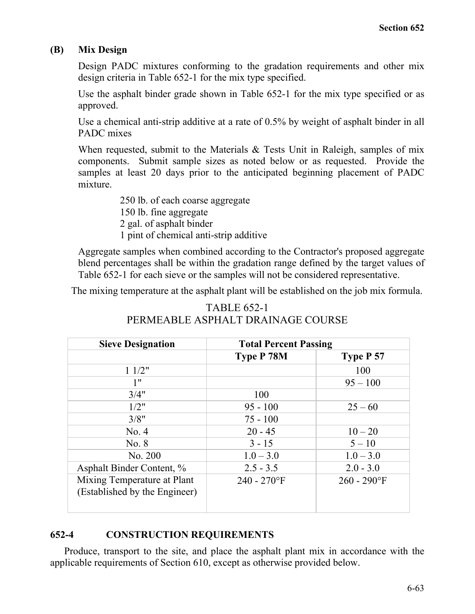## **(B) Mix Design**

Design PADC mixtures conforming to the gradation requirements and other mix design criteria in Table 652-1 for the mix type specified.

Use the asphalt binder grade shown in Table 652-1 for the mix type specified or as approved.

Use a chemical anti-strip additive at a rate of 0.5% by weight of asphalt binder in all PADC mixes

When requested, submit to the Materials  $\&$  Tests Unit in Raleigh, samples of mix components. Submit sample sizes as noted below or as requested. Provide the samples at least 20 days prior to the anticipated beginning placement of PADC mixture.

> 250 lb. of each coarse aggregate 150 lb. fine aggregate 2 gal. of asphalt binder 1 pint of chemical anti-strip additive

Aggregate samples when combined according to the Contractor's proposed aggregate blend percentages shall be within the gradation range defined by the target values of Table 652-1 for each sieve or the samples will not be considered representative.

The mixing temperature at the asphalt plant will be established on the job mix formula.

# TABLE 652-1 PERMEABLE ASPHALT DRAINAGE COURSE

| <b>Sieve Designation</b>                                     | <b>Total Percent Passing</b> |                |  |  |  |  |
|--------------------------------------------------------------|------------------------------|----------------|--|--|--|--|
|                                                              | <b>Type P 78M</b>            | Type P 57      |  |  |  |  |
| 11/2"                                                        |                              | 100            |  |  |  |  |
| 1"                                                           |                              | $95 - 100$     |  |  |  |  |
| 3/4"                                                         | 100                          |                |  |  |  |  |
| 1/2"                                                         | $95 - 100$                   | $25 - 60$      |  |  |  |  |
| 3/8"                                                         | $75 - 100$                   |                |  |  |  |  |
| No. 4                                                        | $20 - 45$                    | $10 - 20$      |  |  |  |  |
| No. 8                                                        | $3 - 15$                     | $5 - 10$       |  |  |  |  |
| No. 200                                                      | $1.0 - 3.0$                  | $1.0 - 3.0$    |  |  |  |  |
| Asphalt Binder Content, %                                    | $2.5 - 3.5$                  | $2.0 - 3.0$    |  |  |  |  |
| Mixing Temperature at Plant<br>(Established by the Engineer) | $240 - 270$ °F               | $260 - 290$ °F |  |  |  |  |

## **652-4 CONSTRUCTION REQUIREMENTS**

Produce, transport to the site, and place the asphalt plant mix in accordance with the applicable requirements of Section 610, except as otherwise provided below.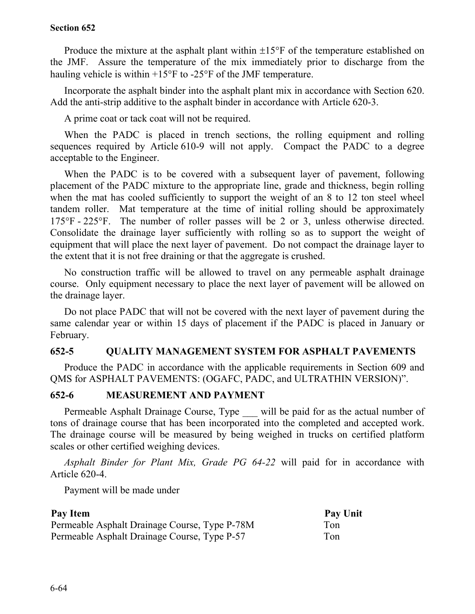Produce the mixture at the asphalt plant within  $\pm 15^{\circ}$  F of the temperature established on the JMF. Assure the temperature of the mix immediately prior to discharge from the hauling vehicle is within +15°F to -25°F of the JMF temperature.

Incorporate the asphalt binder into the asphalt plant mix in accordance with Section 620. Add the anti-strip additive to the asphalt binder in accordance with Article 620-3.

A prime coat or tack coat will not be required.

When the PADC is placed in trench sections, the rolling equipment and rolling sequences required by Article 610-9 will not apply. Compact the PADC to a degree acceptable to the Engineer.

When the PADC is to be covered with a subsequent layer of pavement, following placement of the PADC mixture to the appropriate line, grade and thickness, begin rolling when the mat has cooled sufficiently to support the weight of an 8 to 12 ton steel wheel tandem roller. Mat temperature at the time of initial rolling should be approximately 175°F - 225°F. The number of roller passes will be 2 or 3, unless otherwise directed. Consolidate the drainage layer sufficiently with rolling so as to support the weight of equipment that will place the next layer of pavement. Do not compact the drainage layer to the extent that it is not free draining or that the aggregate is crushed.

No construction traffic will be allowed to travel on any permeable asphalt drainage course. Only equipment necessary to place the next layer of pavement will be allowed on the drainage layer.

Do not place PADC that will not be covered with the next layer of pavement during the same calendar year or within 15 days of placement if the PADC is placed in January or February.

## **652-5 QUALITY MANAGEMENT SYSTEM FOR ASPHALT PAVEMENTS**

Produce the PADC in accordance with the applicable requirements in Section 609 and QMS for ASPHALT PAVEMENTS: (OGAFC, PADC, and ULTRATHIN VERSION)".

## **652-6 MEASUREMENT AND PAYMENT**

Permeable Asphalt Drainage Course, Type will be paid for as the actual number of tons of drainage course that has been incorporated into the completed and accepted work. The drainage course will be measured by being weighed in trucks on certified platform scales or other certified weighing devices.

*Asphalt Binder for Plant Mix, Grade PG 64-22* will paid for in accordance with Article 620-4.

Payment will be made under

| Pay Item                                      | Pay Unit |
|-----------------------------------------------|----------|
| Permeable Asphalt Drainage Course, Type P-78M | Ton      |
| Permeable Asphalt Drainage Course, Type P-57  | Ton      |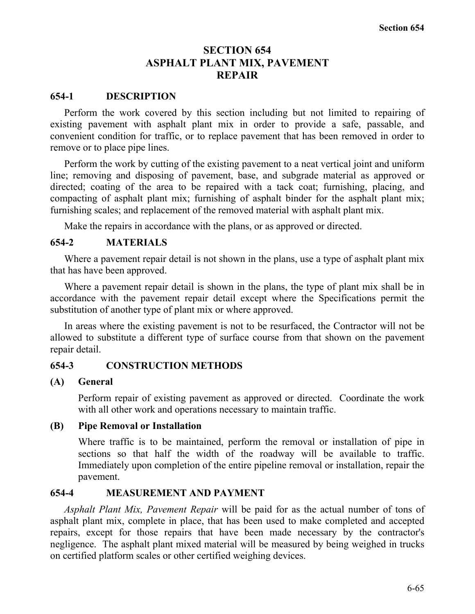# **SECTION 654 ASPHALT PLANT MIX, PAVEMENT REPAIR**

## **654-1 DESCRIPTION**

Perform the work covered by this section including but not limited to repairing of existing pavement with asphalt plant mix in order to provide a safe, passable, and convenient condition for traffic, or to replace pavement that has been removed in order to remove or to place pipe lines.

Perform the work by cutting of the existing pavement to a neat vertical joint and uniform line; removing and disposing of pavement, base, and subgrade material as approved or directed; coating of the area to be repaired with a tack coat; furnishing, placing, and compacting of asphalt plant mix; furnishing of asphalt binder for the asphalt plant mix; furnishing scales; and replacement of the removed material with asphalt plant mix.

Make the repairs in accordance with the plans, or as approved or directed.

#### **654-2 MATERIALS**

Where a pavement repair detail is not shown in the plans, use a type of asphalt plant mix that has have been approved.

Where a pavement repair detail is shown in the plans, the type of plant mix shall be in accordance with the pavement repair detail except where the Specifications permit the substitution of another type of plant mix or where approved.

In areas where the existing pavement is not to be resurfaced, the Contractor will not be allowed to substitute a different type of surface course from that shown on the pavement repair detail.

#### **654-3 CONSTRUCTION METHODS**

#### **(A) General**

Perform repair of existing pavement as approved or directed. Coordinate the work with all other work and operations necessary to maintain traffic.

#### **(B) Pipe Removal or Installation**

Where traffic is to be maintained, perform the removal or installation of pipe in sections so that half the width of the roadway will be available to traffic. Immediately upon completion of the entire pipeline removal or installation, repair the pavement.

#### **654-4 MEASUREMENT AND PAYMENT**

*Asphalt Plant Mix, Pavement Repair* will be paid for as the actual number of tons of asphalt plant mix, complete in place, that has been used to make completed and accepted repairs, except for those repairs that have been made necessary by the contractor's negligence. The asphalt plant mixed material will be measured by being weighed in trucks on certified platform scales or other certified weighing devices.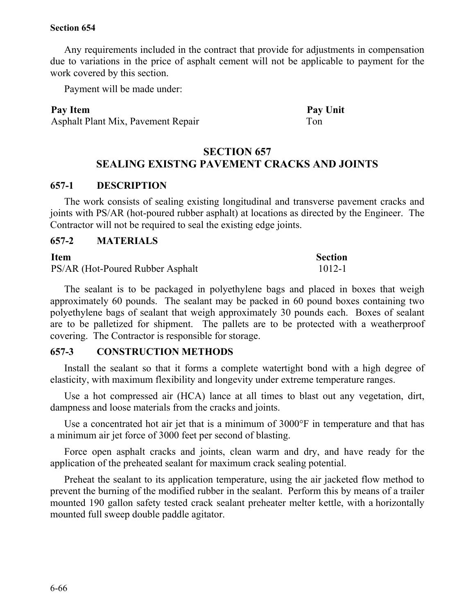Any requirements included in the contract that provide for adjustments in compensation due to variations in the price of asphalt cement will not be applicable to payment for the work covered by this section.

Payment will be made under:

#### **Pay Item Pay Unit**

Asphalt Plant Mix, Pavement Repair Ton

## **SECTION 657 SEALING EXISTNG PAVEMENT CRACKS AND JOINTS**

#### **657-1 DESCRIPTION**

The work consists of sealing existing longitudinal and transverse pavement cracks and joints with PS/AR (hot-poured rubber asphalt) at locations as directed by the Engineer. The Contractor will not be required to seal the existing edge joints.

#### **657-2 MATERIALS**

#### **Item** Section

PS/AR (Hot-Poured Rubber Asphalt 1012-1

The sealant is to be packaged in polyethylene bags and placed in boxes that weigh approximately 60 pounds. The sealant may be packed in 60 pound boxes containing two polyethylene bags of sealant that weigh approximately 30 pounds each. Boxes of sealant are to be palletized for shipment. The pallets are to be protected with a weatherproof covering. The Contractor is responsible for storage.

#### **657-3 CONSTRUCTION METHODS**

Install the sealant so that it forms a complete watertight bond with a high degree of elasticity, with maximum flexibility and longevity under extreme temperature ranges.

Use a hot compressed air (HCA) lance at all times to blast out any vegetation, dirt, dampness and loose materials from the cracks and joints.

Use a concentrated hot air jet that is a minimum of 3000°F in temperature and that has a minimum air jet force of 3000 feet per second of blasting.

Force open asphalt cracks and joints, clean warm and dry, and have ready for the application of the preheated sealant for maximum crack sealing potential.

Preheat the sealant to its application temperature, using the air jacketed flow method to prevent the burning of the modified rubber in the sealant. Perform this by means of a trailer mounted 190 gallon safety tested crack sealant preheater melter kettle, with a horizontally mounted full sweep double paddle agitator.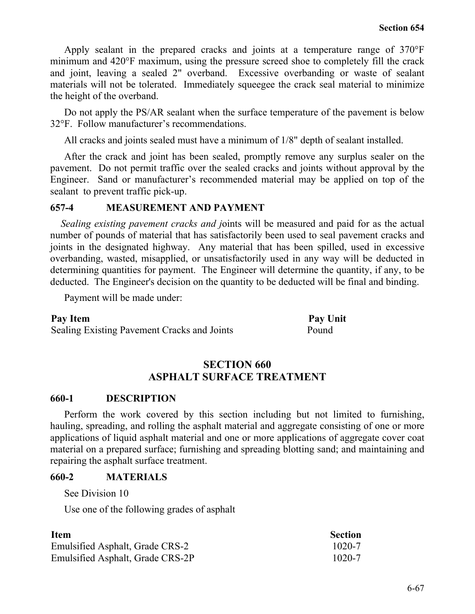Apply sealant in the prepared cracks and joints at a temperature range of 370°F minimum and 420°F maximum, using the pressure screed shoe to completely fill the crack and joint, leaving a sealed 2" overband. Excessive overbanding or waste of sealant materials will not be tolerated. Immediately squeegee the crack seal material to minimize the height of the overband.

Do not apply the PS/AR sealant when the surface temperature of the pavement is below 32°F. Follow manufacturer's recommendations.

All cracks and joints sealed must have a minimum of 1/8" depth of sealant installed.

After the crack and joint has been sealed, promptly remove any surplus sealer on the pavement. Do not permit traffic over the sealed cracks and joints without approval by the Engineer. Sand or manufacturer's recommended material may be applied on top of the sealant to prevent traffic pick-up.

#### **657-4 MEASUREMENT AND PAYMENT**

*Sealing existing pavement cracks and j*oints will be measured and paid for as the actual number of pounds of material that has satisfactorily been used to seal pavement cracks and joints in the designated highway. Any material that has been spilled, used in excessive overbanding, wasted, misapplied, or unsatisfactorily used in any way will be deducted in determining quantities for payment. The Engineer will determine the quantity, if any, to be deducted. The Engineer's decision on the quantity to be deducted will be final and binding.

Payment will be made under:

#### **Pay Item Pay Unit**

Sealing Existing Pavement Cracks and Joints Pound

# **SECTION 660 ASPHALT SURFACE TREATMENT**

#### **660-1 DESCRIPTION**

Perform the work covered by this section including but not limited to furnishing, hauling, spreading, and rolling the asphalt material and aggregate consisting of one or more applications of liquid asphalt material and one or more applications of aggregate cover coat material on a prepared surface; furnishing and spreading blotting sand; and maintaining and repairing the asphalt surface treatment.

## **660-2 MATERIALS**

See Division 10

Use one of the following grades of asphalt

| <b>Item</b>                      | <b>Section</b> |
|----------------------------------|----------------|
| Emulsified Asphalt, Grade CRS-2  | $1020 - 7$     |
| Emulsified Asphalt, Grade CRS-2P | $1020 - 7$     |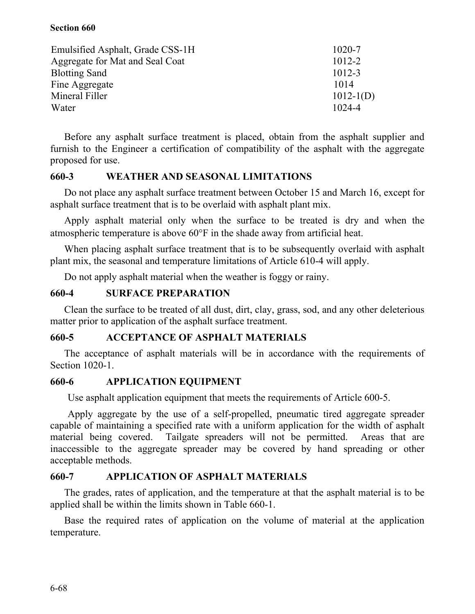| Emulsified Asphalt, Grade CSS-1H | $1020 - 7$    |
|----------------------------------|---------------|
| Aggregate for Mat and Seal Coat  | $1012 - 2$    |
| <b>Blotting Sand</b>             | $1012 - 3$    |
| Fine Aggregate                   | 1014          |
| Mineral Filler                   | $1012 - 1(D)$ |
| Water                            | 1024-4        |

Before any asphalt surface treatment is placed, obtain from the asphalt supplier and furnish to the Engineer a certification of compatibility of the asphalt with the aggregate proposed for use.

## **660-3 WEATHER AND SEASONAL LIMITATIONS**

Do not place any asphalt surface treatment between October 15 and March 16, except for asphalt surface treatment that is to be overlaid with asphalt plant mix.

Apply asphalt material only when the surface to be treated is dry and when the atmospheric temperature is above 60°F in the shade away from artificial heat.

When placing asphalt surface treatment that is to be subsequently overlaid with asphalt plant mix, the seasonal and temperature limitations of Article 610-4 will apply.

Do not apply asphalt material when the weather is foggy or rainy.

## **660-4 SURFACE PREPARATION**

Clean the surface to be treated of all dust, dirt, clay, grass, sod, and any other deleterious matter prior to application of the asphalt surface treatment.

## **660-5 ACCEPTANCE OF ASPHALT MATERIALS**

The acceptance of asphalt materials will be in accordance with the requirements of Section 1020-1.

#### **660-6 APPLICATION EQUIPMENT**

Use asphalt application equipment that meets the requirements of Article 600-5.

Apply aggregate by the use of a self-propelled, pneumatic tired aggregate spreader capable of maintaining a specified rate with a uniform application for the width of asphalt material being covered. Tailgate spreaders will not be permitted. Areas that are inaccessible to the aggregate spreader may be covered by hand spreading or other acceptable methods.

## **660-7 APPLICATION OF ASPHALT MATERIALS**

The grades, rates of application, and the temperature at that the asphalt material is to be applied shall be within the limits shown in Table 660-1.

Base the required rates of application on the volume of material at the application temperature.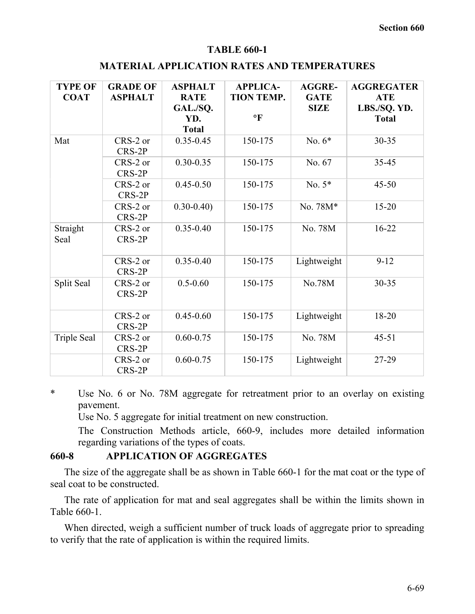#### **TABLE 660-1**

#### **MATERIAL APPLICATION RATES AND TEMPERATURES**

| <b>TYPE OF</b><br><b>COAT</b> | <b>GRADE OF</b><br><b>ASPHALT</b> | <b>ASPHALT</b><br><b>RATE</b><br>GAL./SQ.<br>YD.<br><b>Total</b> | <b>APPLICA-</b><br><b>TION TEMP.</b><br>$\mathbf{P}$ | <b>AGGRE-</b><br><b>GATE</b><br><b>SIZE</b> | <b>AGGREGATER</b><br><b>ATE</b><br>LBS./SQ. YD.<br><b>Total</b> |
|-------------------------------|-----------------------------------|------------------------------------------------------------------|------------------------------------------------------|---------------------------------------------|-----------------------------------------------------------------|
| Mat                           | CRS-2 or<br>CRS-2P                | $0.35 - 0.45$                                                    | 150-175                                              | No. $6*$                                    | $30 - 35$                                                       |
|                               | CRS-2 or<br>CRS-2P                | $0.30 - 0.35$                                                    | 150-175                                              | No. 67                                      | 35-45                                                           |
|                               | CRS-2 or<br>CRS-2P                | $0.45 - 0.50$                                                    | 150-175                                              | No. $5*$                                    | $45 - 50$                                                       |
|                               | $CRS-2$ or<br>CRS-2P              | $0.30 - 0.40$                                                    | 150-175                                              | No. 78M*                                    | $15 - 20$                                                       |
| Straight<br>Seal              | CRS-2 or<br>CRS-2P                | $0.35 - 0.40$                                                    | 150-175                                              | No. 78M                                     | $16 - 22$                                                       |
|                               | CRS-2 or<br>CRS-2P                | $0.35 - 0.40$                                                    | 150-175                                              | Lightweight                                 | $9 - 12$                                                        |
| Split Seal                    | CRS-2 or<br>CRS-2P                | $0.5 - 0.60$                                                     | 150-175                                              | No.78M                                      | $30 - 35$                                                       |
|                               | CRS-2 or<br>CRS-2P                | $0.45 - 0.60$                                                    | 150-175                                              | Lightweight                                 | 18-20                                                           |
| <b>Triple Seal</b>            | CRS-2 or<br>CRS-2P                | $0.60 - 0.75$                                                    | 150-175                                              | No. 78M                                     | $45 - 51$                                                       |
|                               | CRS-2 or<br>CRS-2P                | $0.60 - 0.75$                                                    | 150-175                                              | Lightweight                                 | 27-29                                                           |

\* Use No. 6 or No. 78M aggregate for retreatment prior to an overlay on existing pavement.

Use No. 5 aggregate for initial treatment on new construction.

The Construction Methods article, 660-9, includes more detailed information regarding variations of the types of coats.

#### **660-8 APPLICATION OF AGGREGATES**

The size of the aggregate shall be as shown in Table 660-1 for the mat coat or the type of seal coat to be constructed.

The rate of application for mat and seal aggregates shall be within the limits shown in Table 660-1.

When directed, weigh a sufficient number of truck loads of aggregate prior to spreading to verify that the rate of application is within the required limits.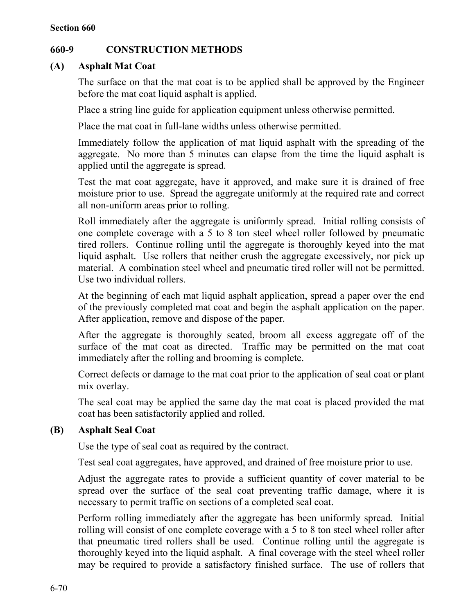# **660-9 CONSTRUCTION METHODS**

## **(A) Asphalt Mat Coat**

The surface on that the mat coat is to be applied shall be approved by the Engineer before the mat coat liquid asphalt is applied.

Place a string line guide for application equipment unless otherwise permitted.

Place the mat coat in full-lane widths unless otherwise permitted.

Immediately follow the application of mat liquid asphalt with the spreading of the aggregate. No more than 5 minutes can elapse from the time the liquid asphalt is applied until the aggregate is spread.

Test the mat coat aggregate, have it approved, and make sure it is drained of free moisture prior to use. Spread the aggregate uniformly at the required rate and correct all non-uniform areas prior to rolling.

Roll immediately after the aggregate is uniformly spread. Initial rolling consists of one complete coverage with a 5 to 8 ton steel wheel roller followed by pneumatic tired rollers. Continue rolling until the aggregate is thoroughly keyed into the mat liquid asphalt. Use rollers that neither crush the aggregate excessively, nor pick up material. A combination steel wheel and pneumatic tired roller will not be permitted. Use two individual rollers.

At the beginning of each mat liquid asphalt application, spread a paper over the end of the previously completed mat coat and begin the asphalt application on the paper. After application, remove and dispose of the paper.

After the aggregate is thoroughly seated, broom all excess aggregate off of the surface of the mat coat as directed. Traffic may be permitted on the mat coat immediately after the rolling and brooming is complete.

Correct defects or damage to the mat coat prior to the application of seal coat or plant mix overlay.

The seal coat may be applied the same day the mat coat is placed provided the mat coat has been satisfactorily applied and rolled.

# **(B) Asphalt Seal Coat**

Use the type of seal coat as required by the contract.

Test seal coat aggregates, have approved, and drained of free moisture prior to use.

Adjust the aggregate rates to provide a sufficient quantity of cover material to be spread over the surface of the seal coat preventing traffic damage, where it is necessary to permit traffic on sections of a completed seal coat.

Perform rolling immediately after the aggregate has been uniformly spread. Initial rolling will consist of one complete coverage with a 5 to 8 ton steel wheel roller after that pneumatic tired rollers shall be used. Continue rolling until the aggregate is thoroughly keyed into the liquid asphalt. A final coverage with the steel wheel roller may be required to provide a satisfactory finished surface. The use of rollers that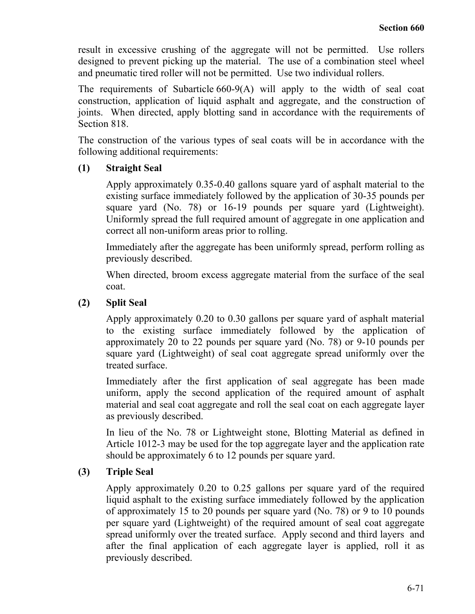result in excessive crushing of the aggregate will not be permitted. Use rollers designed to prevent picking up the material. The use of a combination steel wheel and pneumatic tired roller will not be permitted. Use two individual rollers.

The requirements of Subarticle 660-9(A) will apply to the width of seal coat construction, application of liquid asphalt and aggregate, and the construction of joints. When directed, apply blotting sand in accordance with the requirements of Section 818.

The construction of the various types of seal coats will be in accordance with the following additional requirements:

## **(1) Straight Seal**

Apply approximately 0.35-0.40 gallons square yard of asphalt material to the existing surface immediately followed by the application of 30-35 pounds per square yard (No. 78) or 16-19 pounds per square yard (Lightweight). Uniformly spread the full required amount of aggregate in one application and correct all non-uniform areas prior to rolling.

Immediately after the aggregate has been uniformly spread, perform rolling as previously described.

When directed, broom excess aggregate material from the surface of the seal coat.

## **(2) Split Seal**

Apply approximately 0.20 to 0.30 gallons per square yard of asphalt material to the existing surface immediately followed by the application of approximately 20 to 22 pounds per square yard (No. 78) or 9-10 pounds per square yard (Lightweight) of seal coat aggregate spread uniformly over the treated surface.

Immediately after the first application of seal aggregate has been made uniform, apply the second application of the required amount of asphalt material and seal coat aggregate and roll the seal coat on each aggregate layer as previously described.

In lieu of the No. 78 or Lightweight stone, Blotting Material as defined in Article 1012-3 may be used for the top aggregate layer and the application rate should be approximately 6 to 12 pounds per square yard.

## **(3) Triple Seal**

Apply approximately 0.20 to 0.25 gallons per square yard of the required liquid asphalt to the existing surface immediately followed by the application of approximately 15 to 20 pounds per square yard (No. 78) or 9 to 10 pounds per square yard (Lightweight) of the required amount of seal coat aggregate spread uniformly over the treated surface. Apply second and third layers and after the final application of each aggregate layer is applied, roll it as previously described.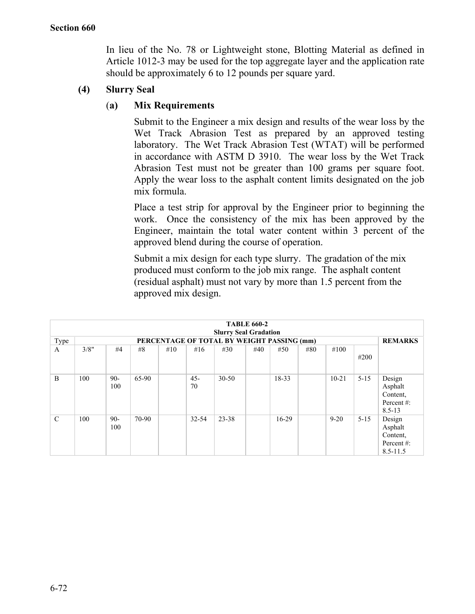In lieu of the No. 78 or Lightweight stone, Blotting Material as defined in Article 1012-3 may be used for the top aggregate layer and the application rate should be approximately 6 to 12 pounds per square yard.

# **(4) Slurry Seal**

## (**a) Mix Requirements**

Submit to the Engineer a mix design and results of the wear loss by the Wet Track Abrasion Test as prepared by an approved testing laboratory. The Wet Track Abrasion Test (WTAT) will be performed in accordance with ASTM D 3910. The wear loss by the Wet Track Abrasion Test must not be greater than 100 grams per square foot. Apply the wear loss to the asphalt content limits designated on the job mix formula.

Place a test strip for approval by the Engineer prior to beginning the work. Once the consistency of the mix has been approved by the Engineer, maintain the total water content within 3 percent of the approved blend during the course of operation.

Submit a mix design for each type slurry. The gradation of the mix produced must conform to the job mix range. The asphalt content (residual asphalt) must not vary by more than 1.5 percent from the approved mix design.

|               | <b>TABLE 660-2</b>                         |              |       |     |              |           |     |         |     |                |          |                                                            |
|---------------|--------------------------------------------|--------------|-------|-----|--------------|-----------|-----|---------|-----|----------------|----------|------------------------------------------------------------|
|               | <b>Slurry Seal Gradation</b>               |              |       |     |              |           |     |         |     |                |          |                                                            |
| Type          | PERCENTAGE OF TOTAL BY WEIGHT PASSING (mm) |              |       |     |              |           |     |         |     | <b>REMARKS</b> |          |                                                            |
| A             | 3/8"                                       | #4           | #8    | #10 | #16          | #30       | #40 | #50     | #80 | #100           | #200     |                                                            |
| B             | 100                                        | 90-<br>100   | 65-90 |     | $45 -$<br>70 | $30 - 50$ |     | 18-33   |     | $10 - 21$      | $5 - 15$ | Design<br>Asphalt<br>Content,<br>Percent#:<br>$8.5 - 13$   |
| $\mathcal{C}$ | 100                                        | $90-$<br>100 | 70-90 |     | $32 - 54$    | 23-38     |     | $16-29$ |     | $9 - 20$       | $5 - 15$ | Design<br>Asphalt<br>Content,<br>Percent#:<br>$8.5 - 11.5$ |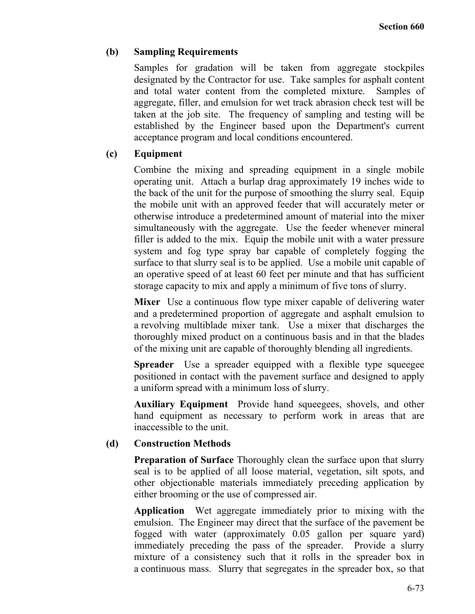## **(b) Sampling Requirements**

Samples for gradation will be taken from aggregate stockpiles designated by the Contractor for use. Take samples for asphalt content and total water content from the completed mixture. Samples of aggregate, filler, and emulsion for wet track abrasion check test will be taken at the job site. The frequency of sampling and testing will be established by the Engineer based upon the Department's current acceptance program and local conditions encountered.

# **(c) Equipment**

Combine the mixing and spreading equipment in a single mobile operating unit. Attach a burlap drag approximately 19 inches wide to the back of the unit for the purpose of smoothing the slurry seal. Equip the mobile unit with an approved feeder that will accurately meter or otherwise introduce a predetermined amount of material into the mixer simultaneously with the aggregate. Use the feeder whenever mineral filler is added to the mix. Equip the mobile unit with a water pressure system and fog type spray bar capable of completely fogging the surface to that slurry seal is to be applied. Use a mobile unit capable of an operative speed of at least 60 feet per minute and that has sufficient storage capacity to mix and apply a minimum of five tons of slurry.

**Mixer** Use a continuous flow type mixer capable of delivering water and a predetermined proportion of aggregate and asphalt emulsion to a revolving multiblade mixer tank. Use a mixer that discharges the thoroughly mixed product on a continuous basis and in that the blades of the mixing unit are capable of thoroughly blending all ingredients.

**Spreader** Use a spreader equipped with a flexible type squeegee positioned in contact with the pavement surface and designed to apply a uniform spread with a minimum loss of slurry.

**Auxiliary Equipment** Provide hand squeegees, shovels, and other hand equipment as necessary to perform work in areas that are inaccessible to the unit.

## **(d) Construction Methods**

**Preparation of Surface** Thoroughly clean the surface upon that slurry seal is to be applied of all loose material, vegetation, silt spots, and other objectionable materials immediately preceding application by either brooming or the use of compressed air.

**Application** Wet aggregate immediately prior to mixing with the emulsion. The Engineer may direct that the surface of the pavement be fogged with water (approximately 0.05 gallon per square yard) immediately preceding the pass of the spreader. Provide a slurry mixture of a consistency such that it rolls in the spreader box in a continuous mass. Slurry that segregates in the spreader box, so that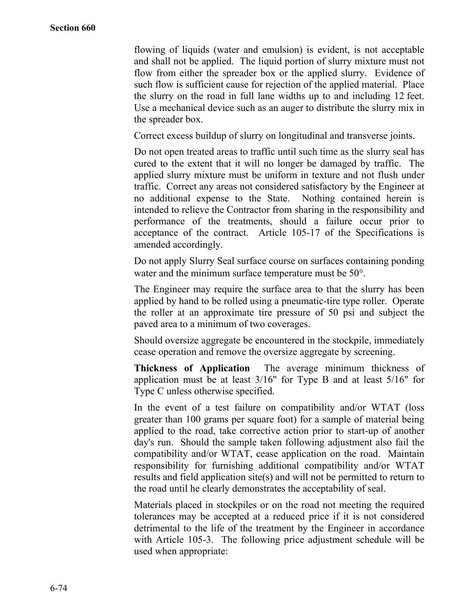flowing of liquids (water and emulsion) is evident, is not acceptable and shall not be applied. The liquid portion of slurry mixture must not flow from either the spreader box or the applied slurry. Evidence of such flow is sufficient cause for rejection of the applied material. Place the slurry on the road in full lane widths up to and including 12 feet. Use a mechanical device such as an auger to distribute the slurry mix in the spreader box.

Correct excess buildup of slurry on longitudinal and transverse joints.

Do not open treated areas to traffic until such time as the slurry seal has cured to the extent that it will no longer be damaged by traffic. The applied slurry mixture must be uniform in texture and not flush under traffic. Correct any areas not considered satisfactory by the Engineer at no additional expense to the State. Nothing contained herein is intended to relieve the Contractor from sharing in the responsibility and performance of the treatments, should a failure occur prior to acceptance of the contract. Article 105-17 of the Specifications is amended accordingly.

Do not apply Slurry Seal surface course on surfaces containing ponding water and the minimum surface temperature must be 50°.

The Engineer may require the surface area to that the slurry has been applied by hand to be rolled using a pneumatic-tire type roller. Operate the roller at an approximate tire pressure of 50 psi and subject the paved area to a minimum of two coverages.

Should oversize aggregate be encountered in the stockpile, immediately cease operation and remove the oversize aggregate by screening.

**Thickness of Application** The average minimum thickness of application must be at least 3/16" for Type B and at least 5/16" for Type C unless otherwise specified.

In the event of a test failure on compatibility and/or WTAT (loss greater than 100 grams per square foot) for a sample of material being applied to the road, take corrective action prior to start-up of another day's run. Should the sample taken following adjustment also fail the compatibility and/or WTAT, cease application on the road. Maintain responsibility for furnishing additional compatibility and/or WTAT results and field application site(s) and will not be permitted to return to the road until he clearly demonstrates the acceptability of seal.

Materials placed in stockpiles or on the road not meeting the required tolerances may be accepted at a reduced price if it is not considered detrimental to the life of the treatment by the Engineer in accordance with Article 105-3. The following price adjustment schedule will be used when appropriate: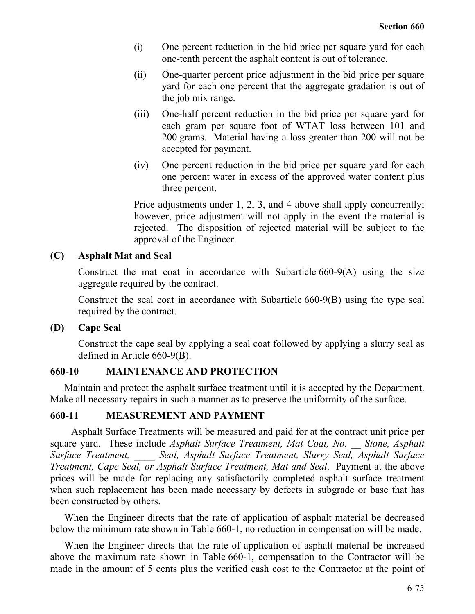- (i) One percent reduction in the bid price per square yard for each one-tenth percent the asphalt content is out of tolerance.
- (ii) One-quarter percent price adjustment in the bid price per square yard for each one percent that the aggregate gradation is out of the job mix range.
- (iii) One-half percent reduction in the bid price per square yard for each gram per square foot of WTAT loss between 101 and 200 grams. Material having a loss greater than 200 will not be accepted for payment.
- (iv) One percent reduction in the bid price per square yard for each one percent water in excess of the approved water content plus three percent.

Price adjustments under 1, 2, 3, and 4 above shall apply concurrently; however, price adjustment will not apply in the event the material is rejected. The disposition of rejected material will be subject to the approval of the Engineer.

### **(C) Asphalt Mat and Seal**

Construct the mat coat in accordance with Subarticle 660-9(A) using the size aggregate required by the contract.

Construct the seal coat in accordance with Subarticle 660-9(B) using the type seal required by the contract.

**(D) Cape Seal**

Construct the cape seal by applying a seal coat followed by applying a slurry seal as defined in Article 660-9(B).

## **660-10 MAINTENANCE AND PROTECTION**

Maintain and protect the asphalt surface treatment until it is accepted by the Department. Make all necessary repairs in such a manner as to preserve the uniformity of the surface.

#### **660-11 MEASUREMENT AND PAYMENT**

Asphalt Surface Treatments will be measured and paid for at the contract unit price per square yard. These include *Asphalt Surface Treatment, Mat Coat, No. \_\_ Stone, Asphalt Surface Treatment, \_\_\_\_ Seal, Asphalt Surface Treatment, Slurry Seal, Asphalt Surface Treatment, Cape Seal, or Asphalt Surface Treatment, Mat and Seal*. Payment at the above prices will be made for replacing any satisfactorily completed asphalt surface treatment when such replacement has been made necessary by defects in subgrade or base that has been constructed by others.

When the Engineer directs that the rate of application of asphalt material be decreased below the minimum rate shown in Table 660-1, no reduction in compensation will be made.

When the Engineer directs that the rate of application of asphalt material be increased above the maximum rate shown in Table 660-1, compensation to the Contractor will be made in the amount of 5 cents plus the verified cash cost to the Contractor at the point of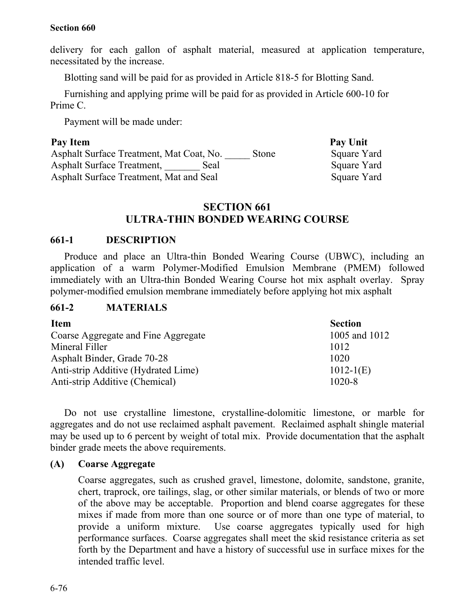delivery for each gallon of asphalt material, measured at application temperature, necessitated by the increase.

Blotting sand will be paid for as provided in Article 818-5 for Blotting Sand.

Furnishing and applying prime will be paid for as provided in Article 600-10 for Prime C.

Payment will be made under:

### Pay Item Pay Unit

Asphalt Surface Treatment, Mat Coat, No. Stone Square Yard Asphalt Surface Treatment, Seal Square Yard Asphalt Surface Treatment, Mat and Seal Square Yard

## **SECTION 661 ULTRA-THIN BONDED WEARING COURSE**

### **661-1 DESCRIPTION**

Produce and place an Ultra-thin Bonded Wearing Course (UBWC), including an application of a warm Polymer-Modified Emulsion Membrane (PMEM) followed immediately with an Ultra-thin Bonded Wearing Course hot mix asphalt overlay. Spray polymer-modified emulsion membrane immediately before applying hot mix asphalt

#### **661-2 MATERIALS**

| <b>Item</b>                         | <b>Section</b> |
|-------------------------------------|----------------|
| Coarse Aggregate and Fine Aggregate | 1005 and 1012  |
| Mineral Filler                      | 1012           |
| Asphalt Binder, Grade 70-28         | 1020           |
| Anti-strip Additive (Hydrated Lime) | $1012-1(E)$    |
| Anti-strip Additive (Chemical)      | $1020 - 8$     |

Do not use crystalline limestone, crystalline-dolomitic limestone, or marble for aggregates and do not use reclaimed asphalt pavement. Reclaimed asphalt shingle material may be used up to 6 percent by weight of total mix. Provide documentation that the asphalt binder grade meets the above requirements.

#### **(A) Coarse Aggregate**

Coarse aggregates, such as crushed gravel, limestone, dolomite, sandstone, granite, chert, traprock, ore tailings, slag, or other similar materials, or blends of two or more of the above may be acceptable. Proportion and blend coarse aggregates for these mixes if made from more than one source or of more than one type of material, to provide a uniform mixture. Use coarse aggregates typically used for high performance surfaces. Coarse aggregates shall meet the skid resistance criteria as set forth by the Department and have a history of successful use in surface mixes for the intended traffic level.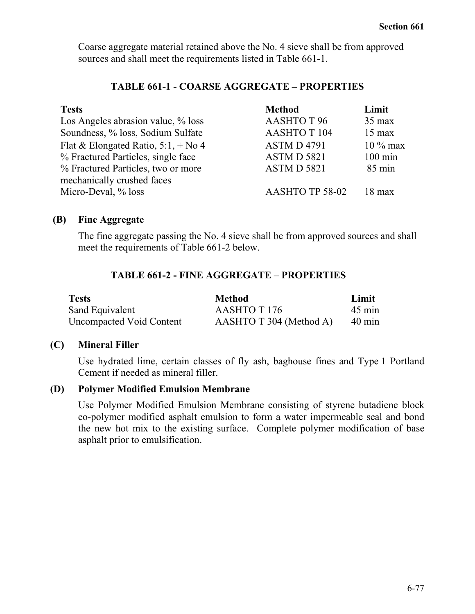Coarse aggregate material retained above the No. 4 sieve shall be from approved sources and shall meet the requirements listed in Table 661-1.

## **TABLE 661-1 - COARSE AGGREGATE – PROPERTIES**

| <b>Tests</b>                          | <b>Method</b>      | Limit             |
|---------------------------------------|--------------------|-------------------|
| Los Angeles abrasion value, % loss    | <b>AASHTO T 96</b> | $35 \text{ max}$  |
| Soundness, % loss, Sodium Sulfate     | <b>AASHTOT 104</b> | $15 \text{ max}$  |
| Flat & Elongated Ratio, $5:1, +N_0 4$ | <b>ASTMD4791</b>   | $10\%$ max        |
| % Fractured Particles, single face    | ASTM D 5821        | $100 \text{ min}$ |
| % Fractured Particles, two or more    | <b>ASTMD 5821</b>  | $85 \text{ min}$  |
| mechanically crushed faces            |                    |                   |
| Micro-Deval, % loss                   | AASHTO TP 58-02    | $18 \text{ max}$  |

## **(B) Fine Aggregate**

The fine aggregate passing the No. 4 sieve shall be from approved sources and shall meet the requirements of Table 661-2 below.

# **TABLE 661-2 - FINE AGGREGATE – PROPERTIES**

| <b>Tests</b>             | <b>Method</b>           | Limit            |
|--------------------------|-------------------------|------------------|
| Sand Equivalent          | AASHTO T 176            | $45 \text{ min}$ |
| Uncompacted Void Content | AASHTO T 304 (Method A) | $40 \text{ min}$ |

## **(C) Mineral Filler**

Use hydrated lime, certain classes of fly ash, baghouse fines and Type 1 Portland Cement if needed as mineral filler.

# **(D) Polymer Modified Emulsion Membrane**

Use Polymer Modified Emulsion Membrane consisting of styrene butadiene block co-polymer modified asphalt emulsion to form a water impermeable seal and bond the new hot mix to the existing surface. Complete polymer modification of base asphalt prior to emulsification.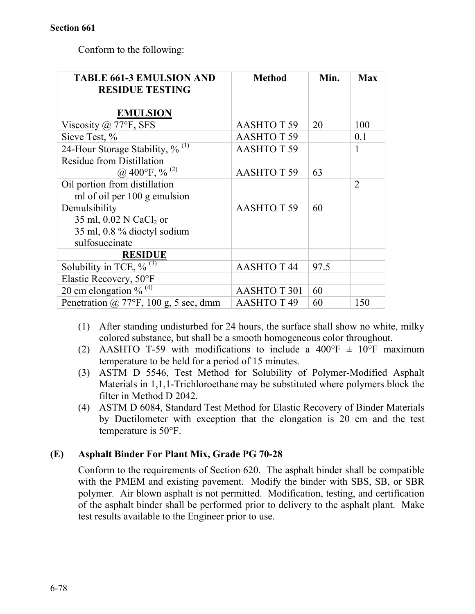Conform to the following:

| <b>TABLE 661-3 EMULSION AND</b><br><b>RESIDUE TESTING</b> | <b>Method</b>       | Min. | <b>Max</b>     |
|-----------------------------------------------------------|---------------------|------|----------------|
| <b>EMULSION</b>                                           |                     |      |                |
| Viscosity @ 77°F, SFS                                     | <b>AASHTO T 59</b>  | 20   | 100            |
| Sieve Test, %                                             | <b>AASHTOT 59</b>   |      | 0.1            |
| 24-Hour Storage Stability, $\frac{9}{10}$ <sup>(1)</sup>  | <b>AASHTOT59</b>    |      | 1              |
| <b>Residue from Distillation</b>                          |                     |      |                |
| @ 400°F, % $^{(2)}$                                       | <b>AASHTOT 59</b>   | 63   |                |
| Oil portion from distillation                             |                     |      | $\overline{2}$ |
| ml of oil per 100 g emulsion                              |                     |      |                |
| Demulsibility                                             | <b>AASHTO T 59</b>  | 60   |                |
| 35 ml, 0.02 N CaCl <sub>2</sub> or                        |                     |      |                |
| 35 ml, 0.8 % dioctyl sodium                               |                     |      |                |
| sulfosuccinate                                            |                     |      |                |
| <b>RESIDUE</b>                                            |                     |      |                |
| Solubility in TCE, $\%$ <sup>(3)</sup>                    | <b>AASHTO T 44</b>  | 97.5 |                |
| Elastic Recovery, 50°F                                    |                     |      |                |
| 20 cm elongation $\%$ <sup>(4)</sup>                      | <b>AASHTO T 301</b> | 60   |                |
| Penetration $\omega$ 77°F, 100 g, 5 sec, dmm              | <b>AASHTO T 49</b>  | 60   | 150            |

- (1) After standing undisturbed for 24 hours, the surface shall show no white, milky colored substance, but shall be a smooth homogeneous color throughout.
- (2) AASHTO T-59 with modifications to include a 400°F  $\pm$  10°F maximum temperature to be held for a period of 15 minutes.
- (3) ASTM D 5546, Test Method for Solubility of Polymer-Modified Asphalt Materials in 1,1,1-Trichloroethane may be substituted where polymers block the filter in Method D 2042.
- (4) ASTM D 6084, Standard Test Method for Elastic Recovery of Binder Materials by Ductilometer with exception that the elongation is 20 cm and the test temperature is 50°F.

# **(E) Asphalt Binder For Plant Mix, Grade PG 70-28**

Conform to the requirements of Section 620. The asphalt binder shall be compatible with the PMEM and existing pavement. Modify the binder with SBS, SB, or SBR polymer. Air blown asphalt is not permitted. Modification, testing, and certification of the asphalt binder shall be performed prior to delivery to the asphalt plant. Make test results available to the Engineer prior to use.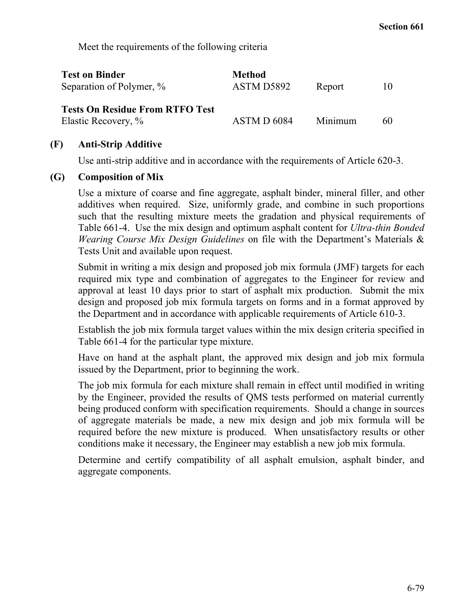Meet the requirements of the following criteria

| <b>Test on Binder</b><br>Separation of Polymer, %             | <b>Method</b><br>ASTM D5892 | Report  | $\mathbf{I}(\mathbf{0})$ |
|---------------------------------------------------------------|-----------------------------|---------|--------------------------|
| <b>Tests On Residue From RTFO Test</b><br>Elastic Recovery, % | ASTM D 6084                 | Minimum | 60                       |

### **(F) Anti-Strip Additive**

Use anti-strip additive and in accordance with the requirements of Article 620-3.

#### **(G) Composition of Mix**

Use a mixture of coarse and fine aggregate, asphalt binder, mineral filler, and other additives when required. Size, uniformly grade, and combine in such proportions such that the resulting mixture meets the gradation and physical requirements of Table 661-4. Use the mix design and optimum asphalt content for *Ultra-thin Bonded Wearing Course Mix Design Guidelines* on file with the Department's Materials & Tests Unit and available upon request.

Submit in writing a mix design and proposed job mix formula (JMF) targets for each required mix type and combination of aggregates to the Engineer for review and approval at least 10 days prior to start of asphalt mix production. Submit the mix design and proposed job mix formula targets on forms and in a format approved by the Department and in accordance with applicable requirements of Article 610-3.

Establish the job mix formula target values within the mix design criteria specified in Table 661-4 for the particular type mixture.

Have on hand at the asphalt plant, the approved mix design and job mix formula issued by the Department, prior to beginning the work.

The job mix formula for each mixture shall remain in effect until modified in writing by the Engineer, provided the results of QMS tests performed on material currently being produced conform with specification requirements. Should a change in sources of aggregate materials be made, a new mix design and job mix formula will be required before the new mixture is produced. When unsatisfactory results or other conditions make it necessary, the Engineer may establish a new job mix formula.

Determine and certify compatibility of all asphalt emulsion, asphalt binder, and aggregate components.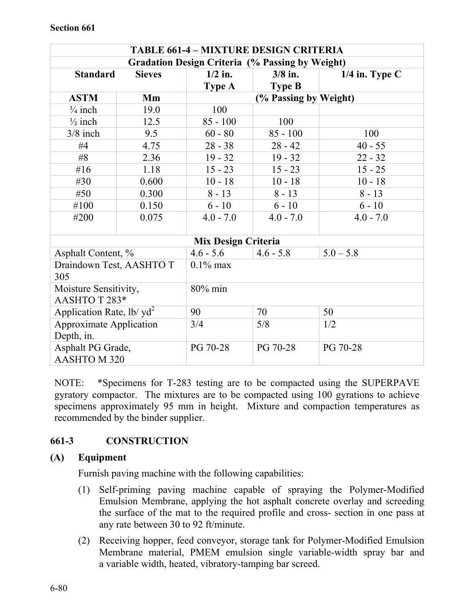| <b>TABLE 661-4 - MIXTURE DESIGN CRITERIA</b>           |               |                            |                       |                  |  |  |  |
|--------------------------------------------------------|---------------|----------------------------|-----------------------|------------------|--|--|--|
| <b>Gradation Design Criteria (% Passing by Weight)</b> |               |                            |                       |                  |  |  |  |
| <b>Standard</b>                                        | <b>Sieves</b> | $1/2$ in.                  | $3/8$ in.             | $1/4$ in. Type C |  |  |  |
|                                                        |               | <b>Type A</b>              | <b>Type B</b>         |                  |  |  |  |
| <b>ASTM</b>                                            | Mm            |                            | (% Passing by Weight) |                  |  |  |  |
| $\frac{3}{4}$ inch                                     | 19.0          | 100                        |                       |                  |  |  |  |
| $\frac{1}{2}$ inch                                     | 12.5          | $85 - 100$                 | 100                   |                  |  |  |  |
| $3/8$ inch                                             | 9.5           | $60 - 80$                  | $85 - 100$            | 100              |  |  |  |
| #4                                                     | 4.75          | $28 - 38$                  | $28 - 42$             | $40 - 55$        |  |  |  |
| #8                                                     | 2.36          | $19 - 32$                  | $19 - 32$             | $22 - 32$        |  |  |  |
| # $16$                                                 | 1.18          | $15 - 23$                  | $15 - 23$             | $15 - 25$        |  |  |  |
| #30                                                    | 0.600         | $10 - 18$                  | $10 - 18$             | $10 - 18$        |  |  |  |
| #50                                                    | 0.300         | $8 - 13$                   | $8 - 13$              | $8 - 13$         |  |  |  |
| #100                                                   | 0.150         | $6 - 10$                   | $6 - 10$              | $6 - 10$         |  |  |  |
| #200<br>0.075                                          |               | $4.0 - 7.0$                | $4.0 - 7.0$           | $4.0 - 7.0$      |  |  |  |
|                                                        |               |                            |                       |                  |  |  |  |
|                                                        |               | <b>Mix Design Criteria</b> |                       |                  |  |  |  |
| Asphalt Content, %                                     |               | $4.6 - 5.6$                | $4.6 - 5.8$           | $5.0 - 5.8$      |  |  |  |
| Draindown Test, AASHTO T<br>305                        |               | $0.1\%$ max                |                       |                  |  |  |  |
| Moisture Sensitivity,                                  |               | 80% min                    |                       |                  |  |  |  |
| AASHTOT283*                                            |               |                            |                       |                  |  |  |  |
| Application Rate, $1b/\text{yd}^2$<br>90<br>70<br>50   |               |                            |                       |                  |  |  |  |
|                                                        |               |                            |                       |                  |  |  |  |
| <b>Approximate Application</b>                         |               | 3/4                        | 5/8                   | 1/2              |  |  |  |
| Depth, in.                                             |               |                            |                       |                  |  |  |  |
| Asphalt PG Grade,                                      |               | PG 70-28                   | PG 70-28              | PG 70-28         |  |  |  |
| AASHTO M 320                                           |               |                            |                       |                  |  |  |  |

NOTE: \*Specimens for T-283 testing are to be compacted using the SUPERPAVE gyratory compactor. The mixtures are to be compacted using 100 gyrations to achieve specimens approximately 95 mm in height. Mixture and compaction temperatures as recommended by the binder supplier.

# **661-3 CONSTRUCTION**

## **(A) Equipment**

Furnish paving machine with the following capabilities:

- (1) Self-priming paving machine capable of spraying the Polymer-Modified Emulsion Membrane, applying the hot asphalt concrete overlay and screeding the surface of the mat to the required profile and cross- section in one pass at any rate between 30 to 92 ft/minute.
- (2) Receiving hopper, feed conveyor, storage tank for Polymer-Modified Emulsion Membrane material, PMEM emulsion single variable-width spray bar and a variable width, heated, vibratory-tamping bar screed.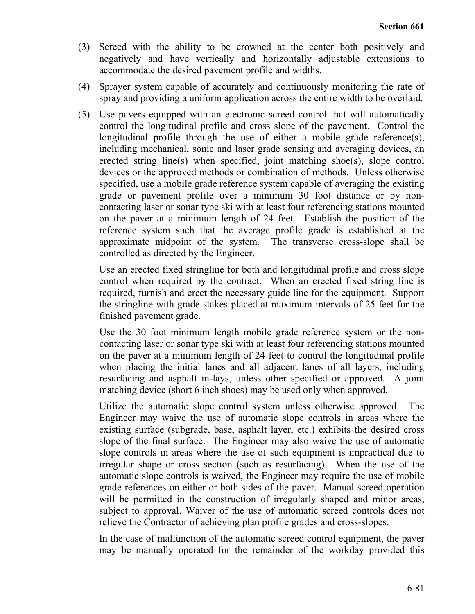- (3) Screed with the ability to be crowned at the center both positively and negatively and have vertically and horizontally adjustable extensions to accommodate the desired pavement profile and widths.
- (4) Sprayer system capable of accurately and continuously monitoring the rate of spray and providing a uniform application across the entire width to be overlaid.
- (5) Use pavers equipped with an electronic screed control that will automatically control the longitudinal profile and cross slope of the pavement. Control the longitudinal profile through the use of either a mobile grade reference(s), including mechanical, sonic and laser grade sensing and averaging devices, an erected string line(s) when specified, joint matching shoe(s), slope control devices or the approved methods or combination of methods. Unless otherwise specified, use a mobile grade reference system capable of averaging the existing grade or pavement profile over a minimum 30 foot distance or by noncontacting laser or sonar type ski with at least four referencing stations mounted on the paver at a minimum length of 24 feet. Establish the position of the reference system such that the average profile grade is established at the approximate midpoint of the system. The transverse cross-slope shall be controlled as directed by the Engineer.

Use an erected fixed stringline for both and longitudinal profile and cross slope control when required by the contract. When an erected fixed string line is required, furnish and erect the necessary guide line for the equipment. Support the stringline with grade stakes placed at maximum intervals of 25 feet for the finished pavement grade.

Use the 30 foot minimum length mobile grade reference system or the noncontacting laser or sonar type ski with at least four referencing stations mounted on the paver at a minimum length of 24 feet to control the longitudinal profile when placing the initial lanes and all adjacent lanes of all layers, including resurfacing and asphalt in-lays, unless other specified or approved. A joint matching device (short 6 inch shoes) may be used only when approved.

Utilize the automatic slope control system unless otherwise approved. The Engineer may waive the use of automatic slope controls in areas where the existing surface (subgrade, base, asphalt layer, etc.) exhibits the desired cross slope of the final surface. The Engineer may also waive the use of automatic slope controls in areas where the use of such equipment is impractical due to irregular shape or cross section (such as resurfacing). When the use of the automatic slope controls is waived, the Engineer may require the use of mobile grade references on either or both sides of the paver. Manual screed operation will be permitted in the construction of irregularly shaped and minor areas, subject to approval. Waiver of the use of automatic screed controls does not relieve the Contractor of achieving plan profile grades and cross-slopes.

In the case of malfunction of the automatic screed control equipment, the paver may be manually operated for the remainder of the workday provided this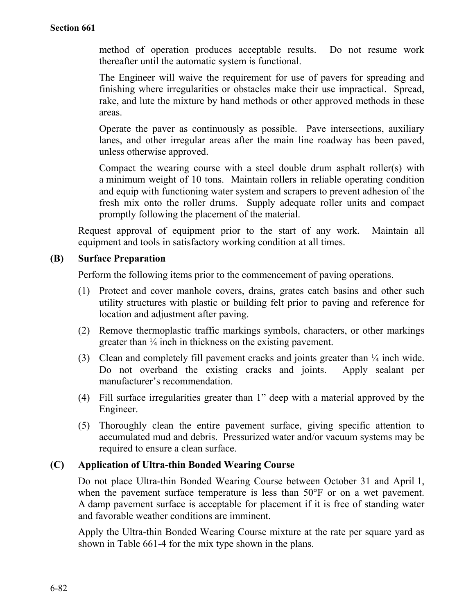method of operation produces acceptable results. Do not resume work thereafter until the automatic system is functional.

The Engineer will waive the requirement for use of pavers for spreading and finishing where irregularities or obstacles make their use impractical. Spread, rake, and lute the mixture by hand methods or other approved methods in these areas.

Operate the paver as continuously as possible. Pave intersections, auxiliary lanes, and other irregular areas after the main line roadway has been paved, unless otherwise approved.

Compact the wearing course with a steel double drum asphalt roller(s) with a minimum weight of 10 tons. Maintain rollers in reliable operating condition and equip with functioning water system and scrapers to prevent adhesion of the fresh mix onto the roller drums. Supply adequate roller units and compact promptly following the placement of the material.

Request approval of equipment prior to the start of any work. Maintain all equipment and tools in satisfactory working condition at all times.

## **(B) Surface Preparation**

Perform the following items prior to the commencement of paving operations.

- (1) Protect and cover manhole covers, drains, grates catch basins and other such utility structures with plastic or building felt prior to paving and reference for location and adjustment after paving.
- (2) Remove thermoplastic traffic markings symbols, characters, or other markings greater than ¼ inch in thickness on the existing pavement.
- (3) Clean and completely fill pavement cracks and joints greater than ¼ inch wide. Do not overband the existing cracks and joints. Apply sealant per manufacturer's recommendation.
- (4) Fill surface irregularities greater than 1" deep with a material approved by the Engineer.
- (5) Thoroughly clean the entire pavement surface, giving specific attention to accumulated mud and debris. Pressurized water and/or vacuum systems may be required to ensure a clean surface.

## **(C) Application of Ultra-thin Bonded Wearing Course**

Do not place Ultra-thin Bonded Wearing Course between October 31 and April 1, when the pavement surface temperature is less than 50°F or on a wet pavement. A damp pavement surface is acceptable for placement if it is free of standing water and favorable weather conditions are imminent.

Apply the Ultra-thin Bonded Wearing Course mixture at the rate per square yard as shown in Table 661-4 for the mix type shown in the plans.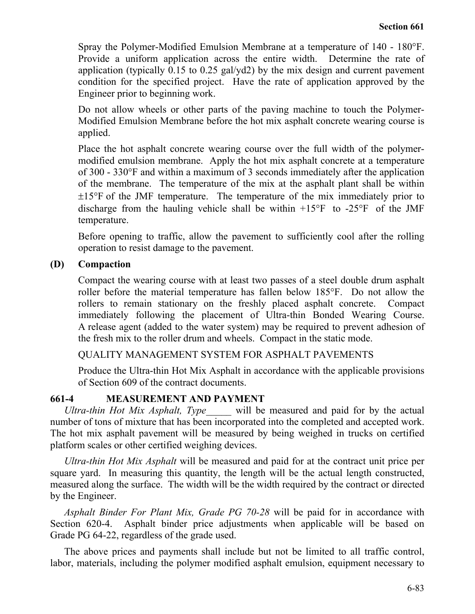Spray the Polymer-Modified Emulsion Membrane at a temperature of 140 - 180°F. Provide a uniform application across the entire width. Determine the rate of application (typically 0.15 to 0.25 gal/yd2) by the mix design and current pavement condition for the specified project. Have the rate of application approved by the Engineer prior to beginning work.

Do not allow wheels or other parts of the paving machine to touch the Polymer-Modified Emulsion Membrane before the hot mix asphalt concrete wearing course is applied.

Place the hot asphalt concrete wearing course over the full width of the polymermodified emulsion membrane. Apply the hot mix asphalt concrete at a temperature of 300 - 330°F and within a maximum of 3 seconds immediately after the application of the membrane. The temperature of the mix at the asphalt plant shall be within ±15°F of the JMF temperature. The temperature of the mix immediately prior to discharge from the hauling vehicle shall be within  $+15^{\circ}$ F to  $-25^{\circ}$ F of the JMF temperature.

Before opening to traffic, allow the pavement to sufficiently cool after the rolling operation to resist damage to the pavement.

### **(D) Compaction**

Compact the wearing course with at least two passes of a steel double drum asphalt roller before the material temperature has fallen below 185°F. Do not allow the rollers to remain stationary on the freshly placed asphalt concrete. Compact immediately following the placement of Ultra-thin Bonded Wearing Course. A release agent (added to the water system) may be required to prevent adhesion of the fresh mix to the roller drum and wheels. Compact in the static mode.

QUALITY MANAGEMENT SYSTEM FOR ASPHALT PAVEMENTS

Produce the Ultra-thin Hot Mix Asphalt in accordance with the applicable provisions of Section 609 of the contract documents.

## **661-4 MEASUREMENT AND PAYMENT**

*Ultra-thin Hot Mix Asphalt, Type\_\_\_\_\_* will be measured and paid for by the actual number of tons of mixture that has been incorporated into the completed and accepted work. The hot mix asphalt pavement will be measured by being weighed in trucks on certified platform scales or other certified weighing devices.

*Ultra-thin Hot Mix Asphalt* will be measured and paid for at the contract unit price per square yard. In measuring this quantity, the length will be the actual length constructed, measured along the surface. The width will be the width required by the contract or directed by the Engineer.

*Asphalt Binder For Plant Mix, Grade PG 70-28* will be paid for in accordance with Section 620-4. Asphalt binder price adjustments when applicable will be based on Grade PG 64-22, regardless of the grade used.

The above prices and payments shall include but not be limited to all traffic control, labor, materials, including the polymer modified asphalt emulsion, equipment necessary to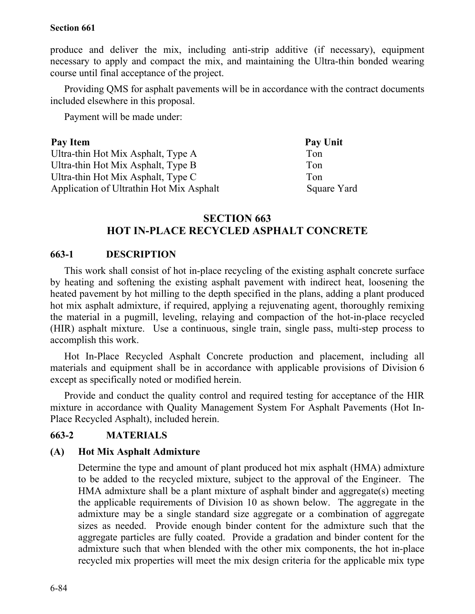produce and deliver the mix, including anti-strip additive (if necessary), equipment necessary to apply and compact the mix, and maintaining the Ultra-thin bonded wearing course until final acceptance of the project.

Providing QMS for asphalt pavements will be in accordance with the contract documents included elsewhere in this proposal.

Payment will be made under:

| Pay Item                                 | Pay Unit    |
|------------------------------------------|-------------|
| Ultra-thin Hot Mix Asphalt, Type A       | Ton         |
| Ultra-thin Hot Mix Asphalt, Type B       | Ton         |
| Ultra-thin Hot Mix Asphalt, Type C       | Ton         |
| Application of Ultrathin Hot Mix Asphalt | Square Yard |

## **SECTION 663 HOT IN-PLACE RECYCLED ASPHALT CONCRETE**

# **663-1 DESCRIPTION**

This work shall consist of hot in-place recycling of the existing asphalt concrete surface by heating and softening the existing asphalt pavement with indirect heat, loosening the heated pavement by hot milling to the depth specified in the plans, adding a plant produced hot mix asphalt admixture, if required, applying a rejuvenating agent, thoroughly remixing the material in a pugmill, leveling, relaying and compaction of the hot-in-place recycled (HIR) asphalt mixture. Use a continuous, single train, single pass, multi-step process to accomplish this work.

Hot In-Place Recycled Asphalt Concrete production and placement, including all materials and equipment shall be in accordance with applicable provisions of Division 6 except as specifically noted or modified herein.

Provide and conduct the quality control and required testing for acceptance of the HIR mixture in accordance with Quality Management System For Asphalt Pavements (Hot In-Place Recycled Asphalt), included herein.

## **663-2 MATERIALS**

#### **(A) Hot Mix Asphalt Admixture**

Determine the type and amount of plant produced hot mix asphalt (HMA) admixture to be added to the recycled mixture, subject to the approval of the Engineer. The HMA admixture shall be a plant mixture of asphalt binder and aggregate(s) meeting the applicable requirements of Division 10 as shown below. The aggregate in the admixture may be a single standard size aggregate or a combination of aggregate sizes as needed. Provide enough binder content for the admixture such that the aggregate particles are fully coated. Provide a gradation and binder content for the admixture such that when blended with the other mix components, the hot in-place recycled mix properties will meet the mix design criteria for the applicable mix type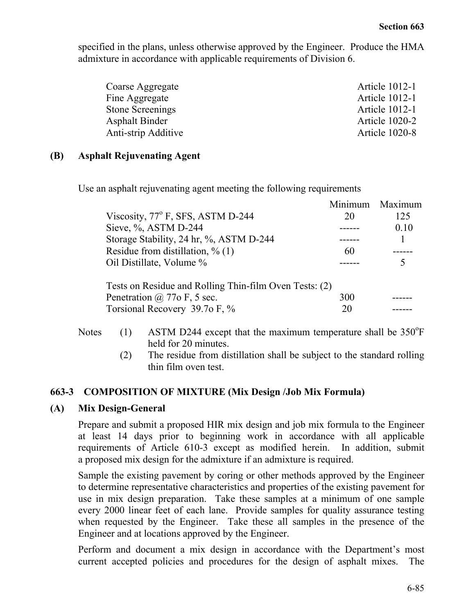specified in the plans, unless otherwise approved by the Engineer. Produce the HMA admixture in accordance with applicable requirements of Division 6.

| Coarse Aggregate      | <b>Article 1012-1</b> |
|-----------------------|-----------------------|
| Fine Aggregate        | <b>Article 1012-1</b> |
| Stone Screenings      | <b>Article 1012-1</b> |
| <b>Asphalt Binder</b> | <b>Article 1020-2</b> |
| Anti-strip Additive   | <b>Article 1020-8</b> |
|                       |                       |

#### **(B) Asphalt Rejuvenating Agent**

Use an asphalt rejuvenating agent meeting the following requirements

|                                                        |     | Minimum Maximum |
|--------------------------------------------------------|-----|-----------------|
| Viscosity, $77^{\circ}$ F, SFS, ASTM D-244             | 20  | 125             |
| Sieve, %, ASTM D-244                                   |     | 0.10            |
| Storage Stability, 24 hr, %, ASTM D-244                |     |                 |
| Residue from distillation, $\%$ (1)                    | 60  |                 |
| Oil Distillate, Volume %                               |     |                 |
| Tests on Residue and Rolling Thin-film Oven Tests: (2) |     |                 |
| Penetration $\omega$ 770 F, 5 sec.                     | 300 |                 |
| Torsional Recovery 39.7o F, %                          | 20  |                 |

# Notes  $(1)$  ASTM D244 except that the maximum temperature shall be 350 $\degree$ F held for 20 minutes.

(2) The residue from distillation shall be subject to the standard rolling thin film oven test.

## **663-3 COMPOSITION OF MIXTURE (Mix Design /Job Mix Formula)**

## **(A) Mix Design-General**

Prepare and submit a proposed HIR mix design and job mix formula to the Engineer at least 14 days prior to beginning work in accordance with all applicable requirements of Article 610-3 except as modified herein. In addition, submit a proposed mix design for the admixture if an admixture is required.

Sample the existing pavement by coring or other methods approved by the Engineer to determine representative characteristics and properties of the existing pavement for use in mix design preparation. Take these samples at a minimum of one sample every 2000 linear feet of each lane. Provide samples for quality assurance testing when requested by the Engineer. Take these all samples in the presence of the Engineer and at locations approved by the Engineer.

Perform and document a mix design in accordance with the Department's most current accepted policies and procedures for the design of asphalt mixes. The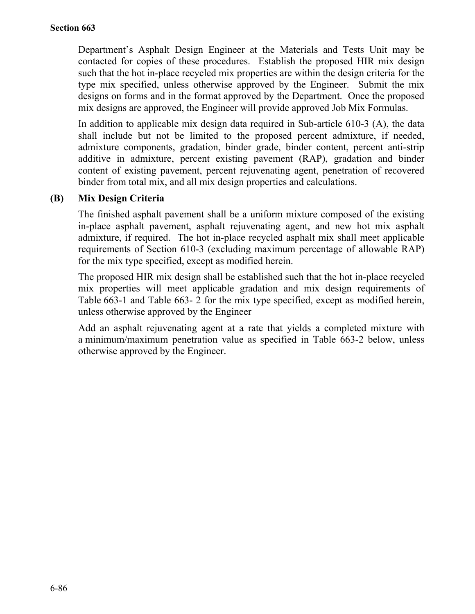Department's Asphalt Design Engineer at the Materials and Tests Unit may be contacted for copies of these procedures. Establish the proposed HIR mix design such that the hot in-place recycled mix properties are within the design criteria for the type mix specified, unless otherwise approved by the Engineer. Submit the mix designs on forms and in the format approved by the Department. Once the proposed mix designs are approved, the Engineer will provide approved Job Mix Formulas.

In addition to applicable mix design data required in Sub-article 610-3 (A), the data shall include but not be limited to the proposed percent admixture, if needed, admixture components, gradation, binder grade, binder content, percent anti-strip additive in admixture, percent existing pavement (RAP), gradation and binder content of existing pavement, percent rejuvenating agent, penetration of recovered binder from total mix, and all mix design properties and calculations.

## **(B) Mix Design Criteria**

The finished asphalt pavement shall be a uniform mixture composed of the existing in-place asphalt pavement, asphalt rejuvenating agent, and new hot mix asphalt admixture, if required. The hot in-place recycled asphalt mix shall meet applicable requirements of Section 610-3 (excluding maximum percentage of allowable RAP) for the mix type specified, except as modified herein.

The proposed HIR mix design shall be established such that the hot in-place recycled mix properties will meet applicable gradation and mix design requirements of Table 663-1 and Table 663- 2 for the mix type specified, except as modified herein, unless otherwise approved by the Engineer

Add an asphalt rejuvenating agent at a rate that yields a completed mixture with a minimum/maximum penetration value as specified in Table 663-2 below, unless otherwise approved by the Engineer.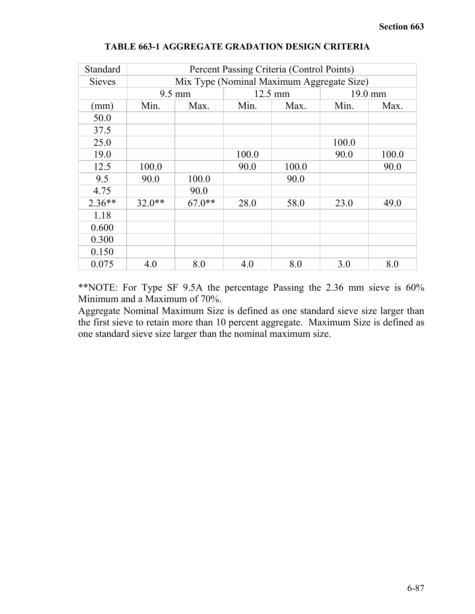| Standard      | Percent Passing Criteria (Control Points) |                                                  |       |              |               |      |  |  |
|---------------|-------------------------------------------|--------------------------------------------------|-------|--------------|---------------|------|--|--|
| <b>Sieves</b> |                                           | Mix Type (Nominal Maximum Aggregate Size)        |       |              |               |      |  |  |
|               |                                           | $9.5 \text{ mm}$<br>12.5 mm<br>$19.0 \text{ mm}$ |       |              |               |      |  |  |
| (mm)          | Min.                                      | Max.                                             | Min.  | Min.<br>Max. |               |      |  |  |
| 50.0          |                                           |                                                  |       |              |               |      |  |  |
| 37.5          |                                           |                                                  |       |              |               |      |  |  |
| 25.0          |                                           |                                                  |       |              | 100.0         |      |  |  |
| 19.0          |                                           |                                                  | 100.0 |              | 90.0<br>100.0 |      |  |  |
| 12.5          | 100.0                                     |                                                  | 90.0  | 100.0        |               | 90.0 |  |  |
| 9.5           | 90.0                                      | 100.0                                            |       | 90.0         |               |      |  |  |
| 4.75          |                                           | 90.0                                             |       |              |               |      |  |  |
| $2.36**$      | $32.0**$                                  | $67.0**$                                         | 28.0  | 58.0         | 23.0          | 49.0 |  |  |
| 1.18          |                                           |                                                  |       |              |               |      |  |  |
| 0.600         |                                           |                                                  |       |              |               |      |  |  |
| 0.300         |                                           |                                                  |       |              |               |      |  |  |
| 0.150         |                                           |                                                  |       |              |               |      |  |  |
| 0.075         | 4.0                                       | 8.0                                              | 4.0   | 8.0          | 3.0           | 8.0  |  |  |

#### **TABLE 663-1 AGGREGATE GRADATION DESIGN CRITERIA**

\*\*NOTE: For Type SF 9.5A the percentage Passing the 2.36 mm sieve is 60% Minimum and a Maximum of 70%.

Aggregate Nominal Maximum Size is defined as one standard sieve size larger than the first sieve to retain more than 10 percent aggregate. Maximum Size is defined as one standard sieve size larger than the nominal maximum size.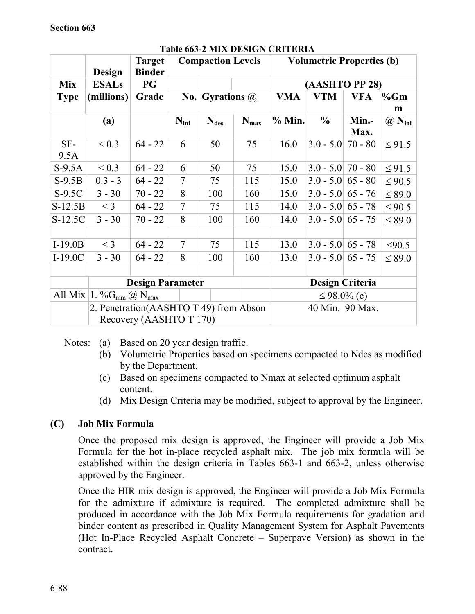|             | Design                                 | <b>Target</b><br><b>Binder</b>         | <b>Compaction Levels</b> |                        | <u>Jo a Milia Depisive Citilia</u> | <b>Volumetric Properties (b)</b> |                       |            |                                             |
|-------------|----------------------------------------|----------------------------------------|--------------------------|------------------------|------------------------------------|----------------------------------|-----------------------|------------|---------------------------------------------|
| <b>Mix</b>  | <b>ESALs</b>                           | PG                                     |                          |                        |                                    |                                  | (AASHTO PP 28)        |            |                                             |
| <b>Type</b> | (millions)                             | Grade                                  |                          | No. Gyrations $\omega$ |                                    | <b>VMA</b>                       | <b>VTM</b>            | <b>VFA</b> | %Gm                                         |
|             |                                        |                                        |                          |                        |                                    |                                  |                       |            | m                                           |
|             | (a)                                    |                                        | $N_{\text{ini}}$         | $N_{des}$              | $N_{max}$                          | % Min.                           | $\frac{0}{0}$         | Min.-      | $\left(\widehat{a}\right)$ N <sub>ini</sub> |
|             |                                        |                                        |                          |                        |                                    |                                  |                       | Max.       |                                             |
| $SF-$       | ${}_{0.3}$                             | $64 - 22$                              | 6                        | 50                     | 75                                 | 16.0                             | $ 3.0 - 5.0 $         | $70 - 80$  | $\leq$ 91.5                                 |
| 9.5A        |                                        |                                        |                          |                        |                                    |                                  |                       |            |                                             |
| $S-9.5A$    | ${}_{0.3}$                             | $64 - 22$                              | 6                        | 50                     | 75                                 | 15.0                             | $ 3.0 - 5.0 $ 70 - 80 |            | $\leq$ 91.5                                 |
| $S-9.5B$    | $0.3 - 3$                              | $64 - 22$                              | 7                        | 75                     | 115                                | 15.0                             | $3.0 - 5.0   65 - 80$ |            | $\leq 90.5$                                 |
| $S-9.5C$    | $3 - 30$                               | $70 - 22$                              | 8                        | 100                    | 160                                | 15.0                             | $3.0 - 5.0   65 - 76$ |            | $\leq 89.0$                                 |
| $S-12.5B$   | $<$ 3                                  | $64 - 22$                              | $\overline{7}$           | 75                     | 115                                | 14.0                             | $3.0 - 5.0   65 - 78$ |            | $\leq 90.5$                                 |
| S-12.5C     | $3 - 30$                               | $70 - 22$                              | 8                        | 100                    | 160                                | 14.0                             | $3.0 - 5.0$ 65 - 75   |            | $\leq$ 89.0                                 |
|             |                                        |                                        |                          |                        |                                    |                                  |                       |            |                                             |
| $I-19.0B$   | $<$ 3                                  | $64 - 22$                              | $\overline{7}$           | 75                     | 115                                | 13.0                             | $3.0 - 5.0   65 - 78$ |            | $\leq 90.5$                                 |
| $I-19.0C$   | $3 - 30$                               | $64 - 22$                              | 8                        | 100                    | 160                                | 13.0                             | $3.0 - 5.0$ 65 - 75   |            | $\leq$ 89.0                                 |
|             |                                        |                                        |                          |                        |                                    |                                  |                       |            |                                             |
|             | <b>Design Parameter</b>                |                                        |                          |                        | <b>Design Criteria</b>             |                                  |                       |            |                                             |
|             |                                        | All Mix $ 1. \%G_{mm}(\omega)N_{max} $ |                          |                        |                                    | $\leq 98.0\%$ (c)                |                       |            |                                             |
|             | 2. Penetration(AASHTO T 49) from Abson |                                        |                          |                        |                                    | 40 Min. 90 Max.                  |                       |            |                                             |
|             |                                        | Recovery (AASHTO T 170)                |                          |                        |                                    |                                  |                       |            |                                             |

### **Table 663-2 MIX DESIGN CRITERIA**

Notes: (a) Based on 20 year design traffic.

- (b) Volumetric Properties based on specimens compacted to Ndes as modified by the Department.
- (c) Based on specimens compacted to Nmax at selected optimum asphalt content.
- (d) Mix Design Criteria may be modified, subject to approval by the Engineer.

# **(C) Job Mix Formula**

Once the proposed mix design is approved, the Engineer will provide a Job Mix Formula for the hot in-place recycled asphalt mix. The job mix formula will be established within the design criteria in Tables 663-1 and 663-2, unless otherwise approved by the Engineer.

Once the HIR mix design is approved, the Engineer will provide a Job Mix Formula for the admixture if admixture is required. The completed admixture shall be produced in accordance with the Job Mix Formula requirements for gradation and binder content as prescribed in Quality Management System for Asphalt Pavements (Hot In-Place Recycled Asphalt Concrete – Superpave Version) as shown in the contract.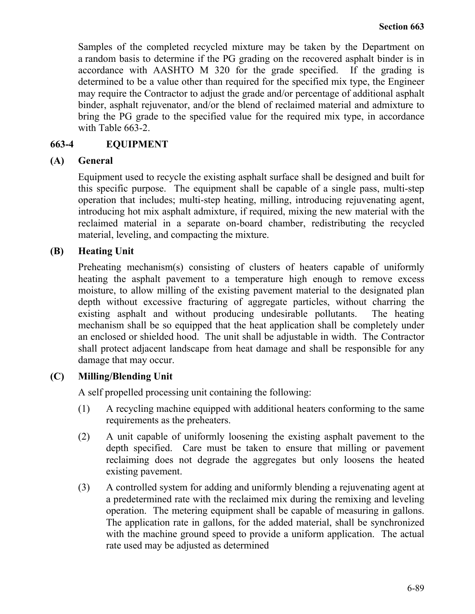Samples of the completed recycled mixture may be taken by the Department on a random basis to determine if the PG grading on the recovered asphalt binder is in accordance with AASHTO M 320 for the grade specified. If the grading is determined to be a value other than required for the specified mix type, the Engineer may require the Contractor to adjust the grade and/or percentage of additional asphalt binder, asphalt rejuvenator, and/or the blend of reclaimed material and admixture to bring the PG grade to the specified value for the required mix type, in accordance with Table 663-2.

## **663-4 EQUIPMENT**

## **(A) General**

Equipment used to recycle the existing asphalt surface shall be designed and built for this specific purpose. The equipment shall be capable of a single pass, multi-step operation that includes; multi-step heating, milling, introducing rejuvenating agent, introducing hot mix asphalt admixture, if required, mixing the new material with the reclaimed material in a separate on-board chamber, redistributing the recycled material, leveling, and compacting the mixture.

## **(B) Heating Unit**

Preheating mechanism(s) consisting of clusters of heaters capable of uniformly heating the asphalt pavement to a temperature high enough to remove excess moisture, to allow milling of the existing pavement material to the designated plan depth without excessive fracturing of aggregate particles, without charring the existing asphalt and without producing undesirable pollutants. The heating mechanism shall be so equipped that the heat application shall be completely under an enclosed or shielded hood. The unit shall be adjustable in width. The Contractor shall protect adjacent landscape from heat damage and shall be responsible for any damage that may occur.

# **(C) Milling/Blending Unit**

A self propelled processing unit containing the following:

- (1) A recycling machine equipped with additional heaters conforming to the same requirements as the preheaters.
- (2) A unit capable of uniformly loosening the existing asphalt pavement to the depth specified. Care must be taken to ensure that milling or pavement reclaiming does not degrade the aggregates but only loosens the heated existing pavement.
- (3) A controlled system for adding and uniformly blending a rejuvenating agent at a predetermined rate with the reclaimed mix during the remixing and leveling operation. The metering equipment shall be capable of measuring in gallons. The application rate in gallons, for the added material, shall be synchronized with the machine ground speed to provide a uniform application. The actual rate used may be adjusted as determined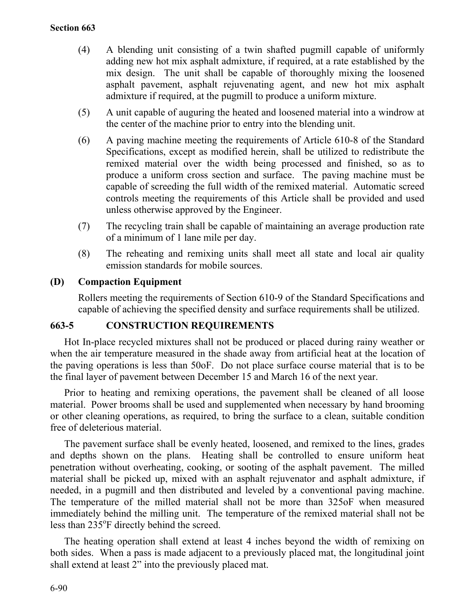- (4) A blending unit consisting of a twin shafted pugmill capable of uniformly adding new hot mix asphalt admixture, if required, at a rate established by the mix design. The unit shall be capable of thoroughly mixing the loosened asphalt pavement, asphalt rejuvenating agent, and new hot mix asphalt admixture if required, at the pugmill to produce a uniform mixture.
- (5) A unit capable of auguring the heated and loosened material into a windrow at the center of the machine prior to entry into the blending unit.
- (6) A paving machine meeting the requirements of Article 610-8 of the Standard Specifications, except as modified herein, shall be utilized to redistribute the remixed material over the width being processed and finished, so as to produce a uniform cross section and surface. The paving machine must be capable of screeding the full width of the remixed material. Automatic screed controls meeting the requirements of this Article shall be provided and used unless otherwise approved by the Engineer.
- (7) The recycling train shall be capable of maintaining an average production rate of a minimum of 1 lane mile per day.
- (8) The reheating and remixing units shall meet all state and local air quality emission standards for mobile sources.

#### **(D) Compaction Equipment**

Rollers meeting the requirements of Section 610-9 of the Standard Specifications and capable of achieving the specified density and surface requirements shall be utilized.

## **663-5 CONSTRUCTION REQUIREMENTS**

Hot In-place recycled mixtures shall not be produced or placed during rainy weather or when the air temperature measured in the shade away from artificial heat at the location of the paving operations is less than 50oF. Do not place surface course material that is to be the final layer of pavement between December 15 and March 16 of the next year.

Prior to heating and remixing operations, the pavement shall be cleaned of all loose material. Power brooms shall be used and supplemented when necessary by hand brooming or other cleaning operations, as required, to bring the surface to a clean, suitable condition free of deleterious material.

The pavement surface shall be evenly heated, loosened, and remixed to the lines, grades and depths shown on the plans. Heating shall be controlled to ensure uniform heat penetration without overheating, cooking, or sooting of the asphalt pavement. The milled material shall be picked up, mixed with an asphalt rejuvenator and asphalt admixture, if needed, in a pugmill and then distributed and leveled by a conventional paving machine. The temperature of the milled material shall not be more than 325oF when measured immediately behind the milling unit. The temperature of the remixed material shall not be less than 235°F directly behind the screed.

The heating operation shall extend at least 4 inches beyond the width of remixing on both sides. When a pass is made adjacent to a previously placed mat, the longitudinal joint shall extend at least 2" into the previously placed mat.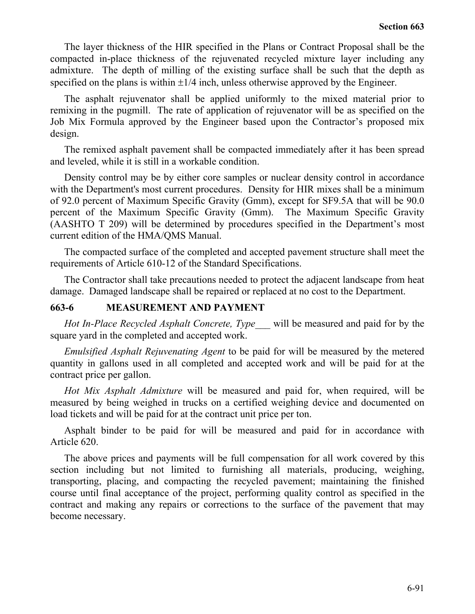The layer thickness of the HIR specified in the Plans or Contract Proposal shall be the compacted in-place thickness of the rejuvenated recycled mixture layer including any admixture. The depth of milling of the existing surface shall be such that the depth as specified on the plans is within  $\pm 1/4$  inch, unless otherwise approved by the Engineer.

The asphalt rejuvenator shall be applied uniformly to the mixed material prior to remixing in the pugmill. The rate of application of rejuvenator will be as specified on the Job Mix Formula approved by the Engineer based upon the Contractor's proposed mix design.

The remixed asphalt pavement shall be compacted immediately after it has been spread and leveled, while it is still in a workable condition.

Density control may be by either core samples or nuclear density control in accordance with the Department's most current procedures. Density for HIR mixes shall be a minimum of 92.0 percent of Maximum Specific Gravity (Gmm), except for SF9.5A that will be 90.0 percent of the Maximum Specific Gravity (Gmm). The Maximum Specific Gravity (AASHTO T 209) will be determined by procedures specified in the Department's most current edition of the HMA/QMS Manual.

The compacted surface of the completed and accepted pavement structure shall meet the requirements of Article 610-12 of the Standard Specifications.

The Contractor shall take precautions needed to protect the adjacent landscape from heat damage. Damaged landscape shall be repaired or replaced at no cost to the Department.

### **663-6 MEASUREMENT AND PAYMENT**

*Hot In-Place Recycled Asphalt Concrete, Type\_\_\_* will be measured and paid for by the square yard in the completed and accepted work.

*Emulsified Asphalt Rejuvenating Agent* to be paid for will be measured by the metered quantity in gallons used in all completed and accepted work and will be paid for at the contract price per gallon.

*Hot Mix Asphalt Admixture* will be measured and paid for, when required, will be measured by being weighed in trucks on a certified weighing device and documented on load tickets and will be paid for at the contract unit price per ton.

Asphalt binder to be paid for will be measured and paid for in accordance with Article 620.

The above prices and payments will be full compensation for all work covered by this section including but not limited to furnishing all materials, producing, weighing, transporting, placing, and compacting the recycled pavement; maintaining the finished course until final acceptance of the project, performing quality control as specified in the contract and making any repairs or corrections to the surface of the pavement that may become necessary.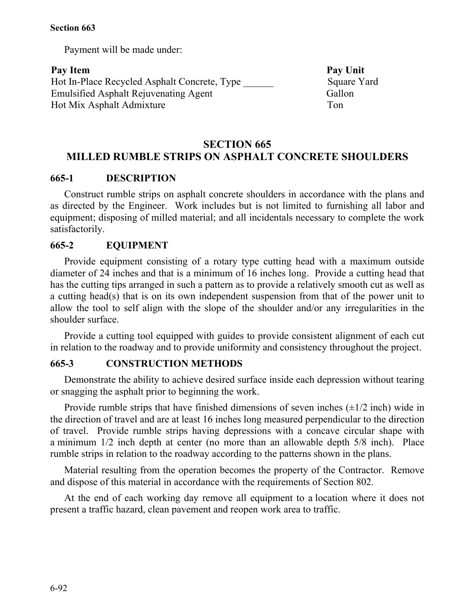Payment will be made under:

Pay Item Pay Unit Hot In-Place Recycled Asphalt Concrete, Type \_\_\_\_\_\_ Square Yard Emulsified Asphalt Rejuvenating Agent Gallon Hot Mix Asphalt Admixture Ton

# **SECTION 665 MILLED RUMBLE STRIPS ON ASPHALT CONCRETE SHOULDERS**

## **665-1 DESCRIPTION**

Construct rumble strips on asphalt concrete shoulders in accordance with the plans and as directed by the Engineer. Work includes but is not limited to furnishing all labor and equipment; disposing of milled material; and all incidentals necessary to complete the work satisfactorily.

### **665-2 EQUIPMENT**

Provide equipment consisting of a rotary type cutting head with a maximum outside diameter of 24 inches and that is a minimum of 16 inches long. Provide a cutting head that has the cutting tips arranged in such a pattern as to provide a relatively smooth cut as well as a cutting head(s) that is on its own independent suspension from that of the power unit to allow the tool to self align with the slope of the shoulder and/or any irregularities in the shoulder surface.

Provide a cutting tool equipped with guides to provide consistent alignment of each cut in relation to the roadway and to provide uniformity and consistency throughout the project.

#### **665-3 CONSTRUCTION METHODS**

Demonstrate the ability to achieve desired surface inside each depression without tearing or snagging the asphalt prior to beginning the work.

Provide rumble strips that have finished dimensions of seven inches  $(\pm 1/2 \text{ inch})$  wide in the direction of travel and are at least 16 inches long measured perpendicular to the direction of travel. Provide rumble strips having depressions with a concave circular shape with a minimum 1/2 inch depth at center (no more than an allowable depth 5/8 inch). Place rumble strips in relation to the roadway according to the patterns shown in the plans.

Material resulting from the operation becomes the property of the Contractor. Remove and dispose of this material in accordance with the requirements of Section 802.

At the end of each working day remove all equipment to a location where it does not present a traffic hazard, clean pavement and reopen work area to traffic.